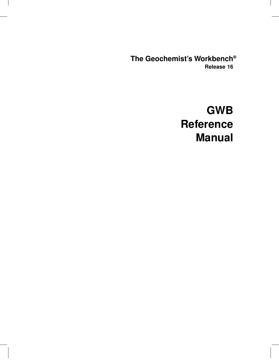**The Geochemist's Workbench® Release 16**

 $\mathcal{A}$ 

**GWB Reference Manual**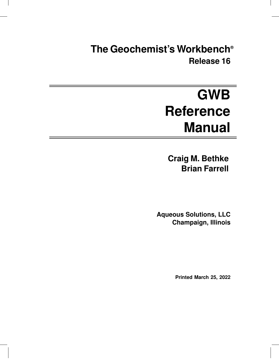**The Geochemist's Workbench® Release 16**

# **GWB Reference Manual**

**Craig M. Bethke Brian Farrell**

**Aqueous Solutions, LLC Champaign, Illinois**

**Printed March 25, 2022**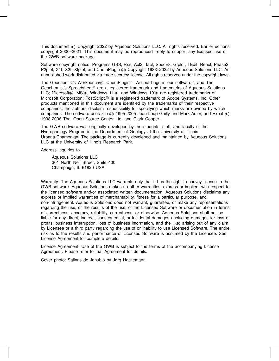This document © Copyright 2022 by Aqueous Solutions LLC. All rights reserved. Earlier editions copyright 2000–2021. This document may be reproduced freely to support any licensed use of the GWB software package.

Software copyright notice: Programs GSS, Rxn, Act2, Tact, SpecE8, Gtplot, TEdit, React, Phase2, P2plot, X1t, X2t, Xtplot, and ChemPlugin © Copyright 1983–2022 by Aqueous Solutions LLC. An unpublished work distributed via trade secrecy license. All rights reserved under the copyright laws.

The Geochemist's Workbench®, ChemPlugin<sup>™</sup>, We put bugs in our software<sup>™</sup>, and The Geochemist's Spreadsheet<sup> $M$ </sup> are a registered trademark and trademarks of Aqueous Solutions LLC; Microsoft®, MS®, Windows 11®, and Windows 10® are registered trademarks of Microsoft Corporation; PostScript® is a registered trademark of Adobe Systems, Inc. Other products mentioned in this document are identified by the trademarks of their respective companies; the authors disclaim responsibility for specifying which marks are owned by which companies. The software uses zlib  $\odot$  1995-2005 Jean-Loup Gailly and Mark Adler, and Expat  $\odot$ 1998-2006 Thai Open Source Center Ltd. and Clark Cooper.

The GWB software was originally developed by the students, staff, and faculty of the Hydrogeology Program in the Department of Geology at the University of Illinois Urbana-Champaign. The package is currently developed and maintained by Aqueous Solutions LLC at the University of Illinois Research Park.

Address inquiries to

Aqueous Solutions LLC 301 North Neil Street, Suite 400 Champaign, IL 61820 USA

Warranty: The Aqueous Solutions LLC warrants only that it has the right to convey license to the GWB software. Aqueous Solutions makes no other warranties, express or implied, with respect to the licensed software and/or associated written documentation. Aqueous Solutions disclaims any express or implied warranties of merchantability, fitness for a particular purpose, and non-infringement. Aqueous Solutions does not warrant, guarantee, or make any representations regarding the use, or the results of the use, of the Licensed Software or documentation in terms of correctness, accuracy, reliability, currentness, or otherwise. Aqueous Solutions shall not be liable for any direct, indirect, consequential, or incidental damages (including damages for loss of profits, business interruption, loss of business information, and the like) arising out of any claim by Licensee or a third party regarding the use of or inability to use Licensed Software. The entire risk as to the results and performance of Licensed Software is assumed by the Licensee. See License Agreement for complete details.

License Agreement: Use of the GWB is subject to the terms of the accompanying License Agreement. Please refer to that Agreement for details.

Cover photo: Salinas de Janubio by Jorg Hackemann.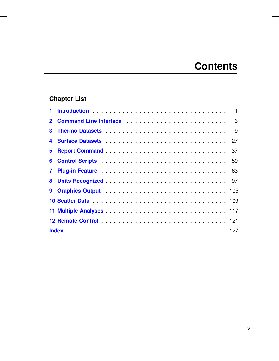## **Contents**

## **Chapter List**

 $\mathcal{L}$ 

| 5 |  |
|---|--|
|   |  |
|   |  |
|   |  |
|   |  |
|   |  |
|   |  |
|   |  |
|   |  |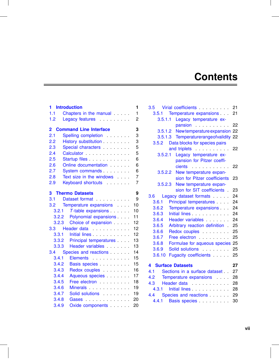## **Contents**

| 1.<br><b>Introduction</b> | 1                                                                                                                                                                                                                                          |
|---------------------------|--------------------------------------------------------------------------------------------------------------------------------------------------------------------------------------------------------------------------------------------|
| 1.1                       | $\mathbf{1}$<br>Chapters in the manual                                                                                                                                                                                                     |
| 1.2 <sub>2</sub>          | $\overline{2}$<br>Legacy features                                                                                                                                                                                                          |
| $\overline{2}$            | 3<br><b>Command Line Interface</b>                                                                                                                                                                                                         |
| 2.1                       | 3<br>Spelling completion                                                                                                                                                                                                                   |
| 2.2                       | 3<br>History substitution <b>All Accords</b>                                                                                                                                                                                               |
| 2.3                       | Special characters <b>Special</b> characters and the substantial<br>5                                                                                                                                                                      |
| 2.4                       | 5<br>Calculator                                                                                                                                                                                                                            |
| 2.5                       | 6<br>Startup files                                                                                                                                                                                                                         |
| 2.6                       | 6<br>Online documentation                                                                                                                                                                                                                  |
| 2.7                       | 6<br>System commands                                                                                                                                                                                                                       |
| 2.8                       | 7<br>Text size in the windows                                                                                                                                                                                                              |
| 2.9                       | Keyboard shortcuts<br>7                                                                                                                                                                                                                    |
| $\mathbf{3}$              | 9<br><b>Thermo Datasets</b>                                                                                                                                                                                                                |
| 3.1                       | Dataset format<br>9                                                                                                                                                                                                                        |
| 3.2 <sub>1</sub>          | 10<br>Temperature expansions                                                                                                                                                                                                               |
| 3.2.1                     | 10<br>T-table expansions                                                                                                                                                                                                                   |
| 3.2.2                     | Polynomial expansions<br>11                                                                                                                                                                                                                |
| 3.2.3                     | 12<br>Choice of expansion                                                                                                                                                                                                                  |
| 3.3                       | 12<br>Header data <b>Figure 1.1 August</b>                                                                                                                                                                                                 |
| 3.3.1                     | Initial lines<br>12                                                                                                                                                                                                                        |
| 3.3.2                     | Principal temperatures<br>13                                                                                                                                                                                                               |
| 3.3.3                     | 13<br>Header variables<br>$\sim$                                                                                                                                                                                                           |
| 3.4                       | 14<br>Species and reactions                                                                                                                                                                                                                |
| 3.4.1                     | 15<br><b>Elements</b><br>$\mathcal{L}$ is a set of the set of $\mathcal{L}$                                                                                                                                                                |
| 3.4.2                     | 15<br>Basis species <b>contains a state of the set of the set of the set of the set of the set of the set of the set of the set of the set of the set of the set of the set of the set of the set of the set of the set of the set of </b> |
| 3.4.3                     | Redox couples<br>16                                                                                                                                                                                                                        |
| 3.4.4                     | 17<br>Aqueous species                                                                                                                                                                                                                      |
| 3.4.5                     | Free electron<br>18                                                                                                                                                                                                                        |
| 3.4.6                     | 19                                                                                                                                                                                                                                         |
|                           |                                                                                                                                                                                                                                            |
|                           | Minerals                                                                                                                                                                                                                                   |
| 3.4.7<br>3.4.8            | Solid solutions<br>19<br>20<br>Gases                                                                                                                                                                                                       |

 $\mathbb{R}$ 

| $3.5\,$<br>Virial coefficients                             | 21 |
|------------------------------------------------------------|----|
| 3.5.1 Temperature expansions                               | 21 |
| 3.5.1.1<br>Legacy temperature ex-                          |    |
| pansion<br>والمتحدث والمتحدث والمنافذة                     | 22 |
| New temperature expansion<br>3.5.1.2                       | 22 |
| 3.5.1.3<br>Temperaturerangeofvalidity                      | 22 |
| Data blocks for species pairs<br>3.5.2                     |    |
| and triplets <b>and triplets</b>                           | 22 |
| 3.5.2.1<br>Legacy temperature ex-                          |    |
| pansion for Pitzer coeffi-                                 |    |
|                                                            | 22 |
| New temperature expan-<br>3.5.2.2                          |    |
| sion for Pitzer coefficients                               | 23 |
| 3.5.2.3<br>New temperature expan-                          |    |
| sion for SIT coefficients.                                 | 23 |
| Legacy dataset formats<br>3.6                              | 24 |
| Principal temperatures<br>3.6.1                            | 24 |
| Temperature expansions<br>3.6.2                            | 24 |
| 3.6.3<br>Initial lines                                     | 24 |
| 3.6.4<br>Header variables <b>Header</b>                    | 24 |
| Arbitrary reaction definition.<br>3.6.5                    | 25 |
| 3.6.6<br>Redox couples                                     | 25 |
| 3.6.7<br>Free electron                                     | 25 |
| Formulae for aqueous species<br>3.6.8                      | 25 |
| 3.6.9<br>Solid solutions                                   | 25 |
| Fugacity coefficients<br>3.6.10                            | 25 |
| 4<br><b>Surface Datasets</b>                               | 27 |
| 4.1<br>Sections in a surface dataset.                      | 27 |
| 4.2<br>Temperature expansions                              | 28 |
| Header data<br>4.3                                         | 28 |
| 4.3.1<br>Initial lines <b>All According to the Initial</b> | 28 |
| Species and reactions<br>4.4                               | 29 |
| 4.4.1 Basis species                                        | 30 |
|                                                            |    |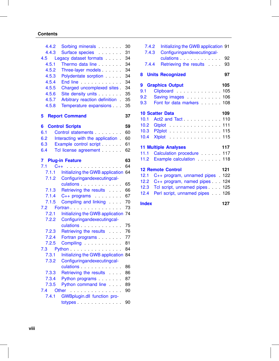#### **Contents**

 $\overline{\phantom{a}}$ 

| 4.4.2 | Sorbing minerals                                       | 30 |
|-------|--------------------------------------------------------|----|
| 4.4.3 | Surface species                                        | 31 |
| 4.5   | Legacy dataset formats                                 | 34 |
| 4.5.1 | Thermo data line                                       | 34 |
| 4.5.2 | Three-layer models                                     | 34 |
| 4.5.3 | Polydentate sorption                                   | 34 |
| 4.5.4 | End line                                               | 34 |
| 4.5.5 | Charged uncomplexed sites.                             | 34 |
| 4.5.6 | Site density units <b>Site Allenger</b>                | 35 |
| 4.5.7 | Arbitrary reaction definition.                         | 35 |
| 4.5.8 | Temperature expansions                                 | 35 |
| 5     | <b>Report Command</b>                                  | 37 |
| 6     | <b>Control Scripts</b>                                 | 59 |
| 6.1   | Control statements                                     | 60 |
| 6.2   | Interacting with the application.                      | 60 |
| 6.3   | Example control script                                 | 61 |
| 6.4   | Tcl license agreement                                  | 62 |
| 7     | <b>Plug-in Feature</b>                                 | 63 |
| 7.1   | $C++$<br>and a series of                               | 64 |
| 7.1.1 | Initializing the GWB application                       | 64 |
| 7.1.2 | Configuringandexecutingcal-                            |    |
|       | culations                                              | 65 |
| 7.1.3 | Retrieving the results                                 | 66 |
| 7.1.4 | $C++$ programs $\ldots \ldots$                         | 67 |
| 7.1.5 | Compiling and linking                                  | 70 |
| 7.2   | Fortran<br>the contract of the contract of             | 73 |
| 7.2.1 | Initializing the GWB application                       | 74 |
| 7.2.2 | Configuringandexecutingcal-                            |    |
|       | culations                                              | 75 |
| 7.2.3 | Retrieving the results                                 | 76 |
| 7.2.4 | Fortran programs                                       | 77 |
| 7.2.5 | Compiling                                              | 81 |
| 7.3   | <b>Python Example 2 Python</b>                         | 84 |
| 7.3.1 | Initializing the GWB application                       | 84 |
| 7.3.2 | Configuringandexecutingcal-                            |    |
|       | culations                                              | 86 |
| 7.3.3 | Retrieving the results<br>$\mathcal{L}^{\mathcal{L}}$  | 86 |
|       |                                                        |    |
| 7.3.4 | Python programs                                        | 87 |
| 7.3.5 | Python command line                                    | 89 |
| 7.4   | Other<br>and a straight and a straight<br>$\sim$<br>l. | 90 |
| 7.4.1 | GWBplugin.dll function pro-<br>totypes                 |    |

| 7.4.2<br>7.4.3 | Initializing the GWB application 91<br>Configuringandexecutingcal- |     |
|----------------|--------------------------------------------------------------------|-----|
|                | culations                                                          | 92  |
| 7.4.4          | Retrieving the results                                             | 93  |
| 8              | <b>Units Recognized</b>                                            | 97  |
| 9              | <b>Graphics Output</b>                                             | 105 |
| 9.1            | Clipboard 105                                                      |     |
| 9.2            | Saving images 106                                                  |     |
| 9.3            | Font for data markers 108                                          |     |
|                | <b>10 Scatter Data</b>                                             | 109 |
| 10.1           |                                                                    |     |
| 10.2           | Gtplot 111                                                         |     |
|                | 10.3 P2plot 115                                                    |     |
| 10.4           | Xtplot 115                                                         |     |
|                | <b>11 Multiple Analyses</b>                                        | 117 |
| $11.1 -$       | Calculation procedure  117                                         |     |
| 11.2           |                                                                    |     |
|                | <b>12 Remote Control</b>                                           | 121 |
| 12.1           | C++ program, unnamed pipes . 122                                   |     |
| 12.2           | C++ program, named pipes 124                                       |     |
| 12.3           | Tcl script, unnamed pipes 125                                      |     |
| 12.4           | Perl script, unnamed pipes 126                                     |     |
| <b>Index</b>   |                                                                    | 127 |

 $\mathbf{I}$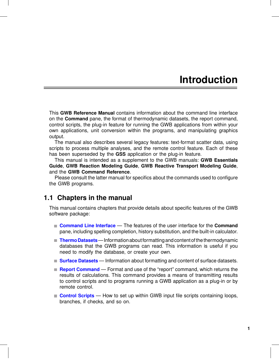## **Introduction**

<span id="page-8-0"></span>This **GWB Reference Manual** contains information about the command line interface on the **Command** pane, the format of thermodynamic datasets, the report command, control scripts, the plug-in feature for running the GWB applications from within your own applications, unit conversion within the programs, and manipulating graphics output.

The manual also describes several legacy features: text-format scatter data, using scripts to process multiple analyses, and the remote control feature. Each of these has been superseded by the **GSS** application or the plug-in feature.

This manual is intended as a supplement to the GWB manuals: **GWB Essentials Guide**, **GWB Reaction Modeling Guide**, **GWB Reactive Transport Modeling Guide**, and the **GWB Command Reference**.

Please consult the latter manual for specifics about the commands used to configure the GWB programs.

### <span id="page-8-1"></span>**1.1 Chapters in the manual**

This manual contains chapters that provide details about specific features of the GWB software package:

- **[Command Line Interface](#page-10-0)** The features of the user interface for the **Command** pane, including spelling completion, history substitution, and the built-in calculator.
- **[Thermo Datasets](#page-16-0)**—Information about formatting and content of the thermodynamic databases that the GWB programs can read. This information is useful if you need to modify the database, or create your own.
- **[Surface Datasets](#page-34-0)** Information about formatting and content of surface datasets.
- **[Report Command](#page-44-0)** Format and use of the "report" command, which returns the results of calculations. This command provides a means of transmitting results to control scripts and to programs running a GWB application as a plug-in or by remote control.
- **[Control Scripts](#page-66-0)** How to set up within GWB input file scripts containing loops, branches, if checks, and so on.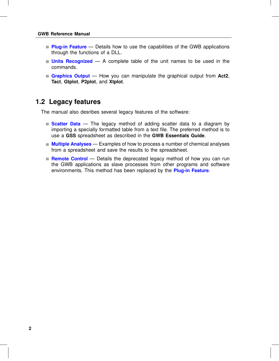- **[Plug-in Feature](#page-70-0)** Details how to use the capabilities of the GWB applications through the functions of a DLL.
- **[Units Recognized](#page-104-0)** A complete table of the unit names to be used in the commands.
- **[Graphics Output](#page-112-0)** How you can manipulate the graphical output from **Act2**, **Tact**, **Gtplot**, **P2plot**, and **Xtplot**.

## <span id="page-9-0"></span>**1.2 Legacy features**

The manual also desribes several legacy features of the software:

- **[Scatter Data](#page-116-0)** The legacy method of adding scatter data to a diagram by importing a specially formatted table from a text file. The preferred method is to use a **GSS** spreadsheet as described in the **GWB Essentials Guide**.
- **[Multiple Analyses](#page-124-0)** Examples of how to process a number of chemical analyses from a spreadsheet and save the results to the spreadsheet.
- **[Remote Control](#page-128-0)** Details the deprecated legacy method of how you can run the GWB applications as slave processes from other programs and software environments. This method has been replaced by the **[Plug-in Feature](#page-70-0)**.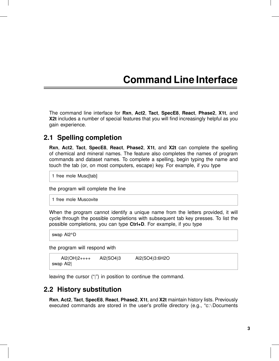## **Command Line Interface**

<span id="page-10-0"></span>The command line interface for **Rxn**, **Act2**, **Tact**, **SpecE8**, **React**, **Phase2**, **X1t**, and **X2t** includes a number of special features that you will find increasingly helpful as you gain experience.

## <span id="page-10-1"></span>**2.1 Spelling completion**

**Rxn**, **Act2**, **Tact**, **SpecE8**, **React**, **Phase2**, **X1t**, and **X2t** can complete the spelling of chemical and mineral names. The feature also completes the names of program commands and dataset names. To complete a spelling, begin typing the name and touch the tab (or, on most computers, escape) key. For example, if you type

1 free mole Musc[tab]

the program will complete the line

1 free mole Muscovite

When the program cannot identify a unique name from the letters provided, it will cycle through the possible completions with subsequent tab key presses. To list the possible completions, you can type **Ctrl+D**. For example, if you type

swap Al2^D

the program will respond with

Al2(OH)2++++ Al2(SO4)3 Al2(SO4)3:6H2O

swap Al2|

leaving the cursor ("j") in position to continue the command.

## <span id="page-10-2"></span>**2.2 History substitution**

**Rxn**, **Act2**, **Tact**, **SpecE8**, **React**, **Phase2**, **X1t**, and **X2t** maintain history lists. Previously executed commands are stored in the user's profile directory (e.g., "c:\Documents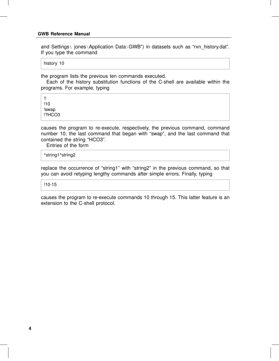and Settings\ jones\Application Data\GWB") in datasets such as "rxn\_history.dat". If you type the command

history 10

the program lists the previous ten commands executed.

Each of the history substitution functions of the C-shell are available within the programs. For example, typing

!! !10 !swap !?HCO3

causes the program to re-execute, respectively, the previous command, command number 10, the last command that began with "swap", and the last command that contained the string "HCO3".

Entries of the form

^string1^string2

replace the occurrence of "string1" with "string2" in the previous command, so that you can avoid retyping lengthy commands after simple errors. Finally, typing

#### !10-15

causes the program to re-execute commands 10 through 15. This latter feature is an extension to the C-shell protocol.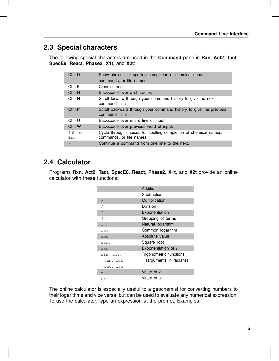## <span id="page-12-0"></span>**2.3 Special characters**

The following special characters are used in the **Command** pane in **Rxn**, **Act2**, **Tact**, **SpecE8**, **React**, **Phase2**, **X1t**, and **X2t**:

| $Ctrl + D$      | Show choices for spelling completion of chemical names,<br>commands, or file names.          |
|-----------------|----------------------------------------------------------------------------------------------|
| $Ctrl + F$      | Clear screen.                                                                                |
| $Ctrl + H$      | Backspace over a character.                                                                  |
| $Ctrl + N$      | Scroll forward through your command history to give the next<br>command in list.             |
| $Ctrl + P$      | Scroll backward through your command history to give the previous<br>command in list.        |
| $Ctrl+U$        | Backspace over entire line of input.                                                         |
| $Ctrl+W$        | Backspace over previous word of input.                                                       |
| Tab $or$<br>Esc | Cycle through choices for spelling completion of chemical names,<br>commands, or file names. |
|                 | Continue a command from one line to the next.                                                |

## <span id="page-12-1"></span>**2.4 Calculator**

Programs **Rxn**, **Act2**, **Tact**, **SpecE8**, **React**, **Phase2**, **X1t**, and **X2t** provide an online calculator with these functions:

| $^{+}$    | Addition                |
|-----------|-------------------------|
|           | Subtraction             |
| $\star$   | Multiplication          |
|           | Division                |
| $\lambda$ | Exponentiation          |
| ( )       | Grouping of terms       |
| ln        | Natural logarithm       |
| log       | Common logarithm        |
| abs       | Absolute value          |
| sqrt      | Square root             |
| exp       | Exponentiation of e     |
| sin, cos, | Trigonometric functions |
| tan, cot, | (arguments in radians)  |
| sec, csc  |                         |
| e         | Value of e              |
| рi        | Value of $\pi$          |

The online calculator is especially useful to a geochemist for converting numbers to their logarithms and vice versa, but can be used to evaluate any numerical expression. To use the calculator, type an expression at the prompt. Examples: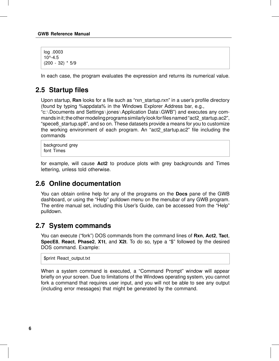log .0003 10^-4.5 (200 - 32) \* 5/9

In each case, the program evaluates the expression and returns its numerical value.

## <span id="page-13-0"></span>**2.5 Startup files**

Upon startup, **Rxn** looks for a file such as "rxn\_startup.rxn" in a user's profile directory (found by typing %appdata% in the Windows Explorer Address bar, e.g.,

"c:\Documents and Settings\jones\Application Data\GWB") and executes any commands in it; the other modeling programs similarly look for files named "act2\_startup.ac2", "spece8\_startup.sp8", and so on. These datasets provide a means for you to customize the working environment of each program. An "act2\_startup.ac2" file including the commands

background grey font Times

for example, will cause **Act2** to produce plots with grey backgrounds and Times lettering, unless told otherwise.

## <span id="page-13-1"></span>**2.6 Online documentation**

You can obtain online help for any of the programs on the **Docs** pane of the GWB dashboard, or using the "Help" pulldown menu on the menubar of any GWB program. The entire manual set, including this User's Guide, can be accessed from the "Help" pulldown.

## <span id="page-13-2"></span>**2.7 System commands**

You can execute ("fork") DOS commands from the command lines of **Rxn**, **Act2**, **Tact**, **SpecE8**, **React**, **Phase2**, **X1t**, and **X2t**. To do so, type a "\$" followed by the desired DOS command. Example:

\$print React\_output.txt

When a system command is executed, a "Command Prompt" window will appear briefly on your screen. Due to limitations of the Windows operating system, you cannot fork a command that requires user input, and you will not be able to see any output (including error messages) that might be generated by the command.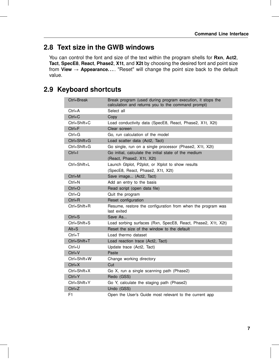## <span id="page-14-0"></span>**2.8 Text size in the GWB windows**

You can control the font and size of the text within the program shells for **Rxn**, **Act2**, **Tact**, **SpecE8**, **React**, **Phase2**, **X1t**, and **X2t** by choosing the desired font and point size from View  $\rightarrow$  Appearance.... "Reset" will change the point size back to the default value.

## <span id="page-14-1"></span>**2.9 Keyboard shortcuts**

| Ctrl+Break         | Break program (used during program execution, it stops the<br>calculation and returns you to the command prompt) |
|--------------------|------------------------------------------------------------------------------------------------------------------|
| $Ctrl+A$           | Select all                                                                                                       |
| $Ctrl + C$         | Copy                                                                                                             |
| Ctrl+Shift+C       | Load conductivity data (SpecE8, React, Phase2, X1t, X2t)                                                         |
| $Ctrl + F$         | Clear screen                                                                                                     |
| $Ctrl + G$         | Go, run calculation of the model                                                                                 |
| Ctrl+Shift+G       | Load scatter data (Act2, Tact)                                                                                   |
| Ctrl+Shift+G       | Go single, run on a single processor (Phase2, X1t, X2t)                                                          |
| $Ctrl + I$         | Go initial, calculate the initial state of the medium                                                            |
|                    | (React, Phase2, X1t, X2t)                                                                                        |
| Ctrl+Shift+L       | Launch Gtplot, P2plot, or Xtplot to show results                                                                 |
|                    | (SpecE8, React, Phase2, X1t, X2t)                                                                                |
| $Ctrl+M$           | Save image (Act2, Tact)                                                                                          |
| Ctrl+N             | Add an entry to the basis                                                                                        |
| $Ctrl + O$         | Read script (open data file)                                                                                     |
| $Ctrl + Q$         | Quit the program                                                                                                 |
| $Ctrl + R$         | Reset configuration                                                                                              |
| Ctrl+Shift+R       | Resume, restore the configuration from when the program was<br>last exited                                       |
| $Ctrl + S$         | Save As                                                                                                          |
| $Ctrl + Shift + S$ | Load sorbing surfaces (Rxn, SpecE8, React, Phase2, X1t, X2t)                                                     |
| $Alt + S$          | Reset the size of the window to the default                                                                      |
| $Ctrl+T$           | Load thermo dataset                                                                                              |
| Ctrl+Shift+T       | Load reaction trace (Act2, Tact)                                                                                 |
| $Ctrl+U$           | Update trace (Act2, Tact)                                                                                        |
| $Ctrl + V$         | Paste                                                                                                            |
| Ctrl+Shift+W       | Change working directory                                                                                         |
| $Ctrl+X$           | Cut                                                                                                              |
| $Ctrl + Shift + X$ | Go X, run a single scanning path (Phase2)                                                                        |
| $Ctrl+Y$           | Redo (GSS)                                                                                                       |
| $Ctrl + Shift + Y$ | Go Y, calculate the staging path (Phase2)                                                                        |
| $Ctrl + Z$         | Undo (GSS)                                                                                                       |
| F <sub>1</sub>     | Open the User's Guide most relevant to the current app                                                           |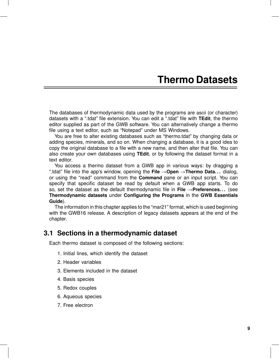## **Thermo Datasets**

<span id="page-16-0"></span>The databases of thermodynamic data used by the programs are ascii (or character) datasets with a ".tdat" file extension. You can edit a ".tdat" file with **TEdit**, the thermo editor supplied as part of the GWB software. You can alternatively change a thermo file using a text editor, such as "Notepad" under MS Windows.

You are free to alter existing databases such as "thermo.tdat" by changing data or adding species, minerals, and so on. When changing a database, it is a good idea to copy the original database to a file with a new name, and then alter that file. You can also create your own databases using **TEdit**, or by following the dataset format in a text editor.

You access a thermo dataset from a GWB app in various ways: by dragging a ".tdat" file into the app's window, opening the **File**  $\rightarrow$  **Open**  $\rightarrow$  **Thermo Data...** dialog, or using the "read" command from the **Command** pane or an input script. You can specify that specific dataset be read by default when a GWB app starts. To do so, set the dataset as the default thermodynamic file in File  $\rightarrow$  Preferences... (see **Thermodynamic datasets** under **Configuring the Programs** in the **GWB Essentials Guide**).

The information in this chapter applies to the "mar21" format, which is used beginning with the GWB16 release. A description of legacy datasets appears at the end of the chapter.

### <span id="page-16-1"></span>**3.1 Sections in a thermodynamic dataset**

Each thermo dataset is composed of the following sections:

- 1. Initial lines, which identify the dataset
- 2. Header variables
- 3. Elements included in the dataset
- 4. Basis species
- 5. Redox couples
- 6. Aqueous species
- 7. Free electron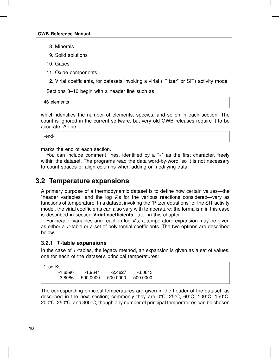- 8. Minerals
- 9. Solid solutions
- 10. Gases
- 11. Oxide components

12. Virial coefficients, for datasets invoking a virial ("Pitzer" or SIT) activity model

Sections 3–10 begin with a header line such as

```
46 elements
```
which identifies the number of elements, species, and so on in each section. The count is ignored in the current software, but very old GWB releases require it to be accurate. A line

-end-

marks the end of each section.

You can include comment lines, identified by a " $*$ " as the first character, freely within the dataset. The programs read the data word-by-word, so it is not necessary to count spaces or align columns when adding or modifying data.

## <span id="page-17-0"></span>**3.2 Temperature expansions**

A primary purpose of a thermodynamic dataset is to define how certain values—the "header variables" and the log  $Ks$  for the various reactions considered—vary as functions of temperature. In a dataset invoking the "Pitzer equations" or the SIT activity model, the virial coefficients can also vary with temperature; the formalism in this case is described in section **Virial coefficients**, later in this chapter.

For header variables and reaction log  $Ks$ , a temperature expansion may be given as either a  $T$ -table or a set of polynomial coefficients. The two options are described below.

#### <span id="page-17-1"></span>**3.2.1** *T***-table expansions**

In the case of *-tables, the legacy method, an expansion is given as a set of values,* one for each of the dataset's principal temperatures:

| * log Ks |          |           |          |  |
|----------|----------|-----------|----------|--|
| -1.6590  | -1.9641  | $-2.4627$ | -3.0613  |  |
| -3.8086  | 500.0000 | 500.0000  | 500.0000 |  |

The corresponding principal temperatures are given in the header of the dataset, as The corresponding principal temperatures are given in the header of the dataset, as<br>described in the next section; commonly they are 0°C, 25°C, 60°C, 100°C, 150°C, described in the next section; commonly they are  $0^{\circ}$ C,  $25^{\circ}$ C,  $60^{\circ}$ C,  $100^{\circ}$ C,  $150^{\circ}$ C,  $200^{\circ}$ C,  $250^{\circ}$ C, and  $300^{\circ}$ C, though any number of principal temperatures can be chosen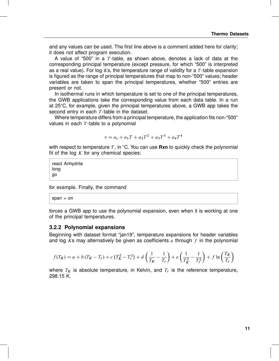and any values can be used. The first line above is a comment added here for clarity; it does not affect program execution.

A value of "500" in a  $T$ -table, as shown above, denotes a lack of data at the corresponding principal temperature (except pressure, for which "500" is interpreted as a real value). For log  $Ks$ , the temperature range of validity for a  $T$ -table expansion is figured as the range of principal temperatures that map to non-"500" values; header variables are taken to span the principal temperatures, whether "500" entries are present or not.

In isothermal runs in which temperature is set to one of the principal temperatures, the GWB applications take the corresponding value from each data table. In a run at 25°C, for example, given the principal temperatures above, a GWB app takes the second entry in each  $T$ -table in the dataset.

Where temperature differs from a principal temperature, the application fits non-"500" values in each  $T$ -table to a polynomial

$$
v = a_0 + a_1 T + a_2 T^2 + a_3 T^3 + a_4 T^4
$$

with respect to temperature  $T$ , in  ${}^{\circ}$ C. You can use **Rxn** to quickly check the polynomial fit of the log  $K$  for any chemical species:

react Anhydrite long go

for example. Finally, the command

 $span = on$ 

forces a GWB app to use the polynomial expansion, even when it is working at one of the principal temperatures.

#### <span id="page-18-0"></span>**3.2.2 Polynomial expansions**

Beginning with dataset format "jan19", temperature expansions for header variables and log Ks may alternatively be given as coefficients  $a$  through  $f$  in the polynomial

$$
f(T_K) = a + b (T_K - T_r) + c (T_K^2 - T_r^2) + d \left( \frac{1}{T_K} - \frac{1}{T_r} \right) + e \left( \frac{1}{T_K^2} - \frac{1}{T_r^2} \right) + f \ln \left( \frac{T_K}{T_r} \right)
$$

where  $T_K$  is absolute temperature, in Kelvin, and  $T_r$  is the reference temperature, 298.15 K.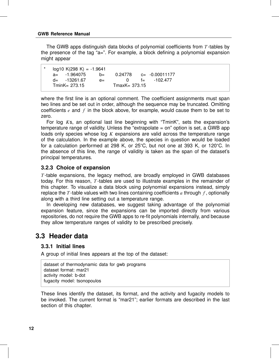The GWB apps distinguish data blocks of polynomial coefficients from  $T$ -tables by the presence of the tag "a=". For example, a block defining a polynomial expansion might appear

 $log10 K(298 K) = -1.9641$ a= -1.964075 b= 0.24778 c= -0.00011177 d= -13261.67 e= 0 f= -102.477 TminK= 273.15 TmaxK= 373.15

where the first line is an optional comment. The coefficient assignments must span two lines and be set out in order, although the sequence may be truncated. Omitting coefficients  $e$  and  $f$  in the block above, for example, would cause them to be set to zero.

For log  $Ks$ , an optional last line beginning with "TminK", sets the expansion's temperature range of validity. Unless the "extrapolate = on" option is set, a GWB app loads only species whose log  $K$  expansions are valid across the temperature range of the calculation. In the example above, the species in question would be loaded loads only species whose log *K* expansions are valid across the temperature range<br>of the calculation. In the example above, the species in question would be loaded<br>for a calculation performed at 298 K, or 25°C, but not on the absence of this line, the range of validity is taken as the span of the dataset's principal temperatures.

#### <span id="page-19-0"></span>**3.2.3 Choice of expansion**

 $T$ -table expansions, the legacy method, are broadly employed in GWB databases today. For this reason,  $T$ -tables are used to illustrate examples in the remainder of this chapter. To visualize a data block using polynomial expansions instead, simply replace the T-table values with two lines containing coefficients  $a$  through  $f$ , optionally along with a third line setting out a temperature range.

In developing new databases, we suggest taking advantage of the polynomial expansion feature, since the expansions can be imported directly from various repositories, do not require the GWB apps to re-fit polynomials internally, and because they allow temperature ranges of validity to be prescribed precisely.

### <span id="page-19-1"></span>**3.3 Header data**

#### <span id="page-19-2"></span>**3.3.1 Initial lines**

A group of initial lines appears at the top of the dataset:

```
dataset of thermodynamic data for gwb programs
dataset format: mar21
activity model: b-dot
fugacity model: tsonopoulos
```
These lines identify the dataset, its format, and the activity and fugacity models to be invoked. The current format is "mar21"; earlier formats are described in the last section of this chapter.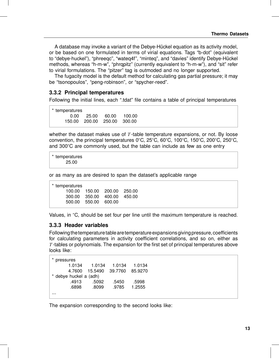A database may invoke a variant of the Debye-Hückel equation as its activity model, or be based on one formulated in terms of virial equations. Tags "b-dot" (equivalent to "debye-huckel"), "phreeqc", "wateq4f", "minteq", and "davies" identify Debye-Hückel methods, whereas "h-m-w", "phrqpitz" (currently equivalent to "h-m-w"), and "sit" refer to virial formulations. The "pitzer" tag is outmoded and no longer supported.

The fugacity model is the default method for calculating gas partial pressure; it may be "tsonopoulos", "peng-robinson", or "spycher-reed".

#### <span id="page-20-0"></span>**3.3.2 Principal temperatures**

Following the initial lines, each ".tdat" file contains a table of principal temperatures

\* temperatures 0.00 25.00 60.00 100.00 150.00 200.00 250.00 300.00

whether the dataset makes use of  $T$ -table temperature expansions, or not. By loose whether the dataset makes use of *T*-table temperature expansions, or not. By loose<br>convention, the principal temperatures 0°C, 25°C, 60°C, 100°C, 150°C, 200°C, 250°C, whether the dataset makes use of *T*-table temperature expansions, or not. By<br>convention, the principal temperatures 0°C, 25°C, 60°C, 100°C, 150°C, 200°C, 2<br>and 300°C are commonly used, but the table can include as few as

\* temperatures 25.00

or as many as are desired to span the dataset's applicable range

temperatures 100.00 150.00 200.00 250.00 300.00 350.00 400.00 450.00 500.00 550.00 600.00

Values, in °C, should be set four per line until the maximum temperature is reached.

#### <span id="page-20-1"></span>**3.3.3 Header variables**

Following the temperature table are temperature expansions giving pressure, coefficients for calculating parameters in activity coefficient correlations, and so on, either as  $T$ -tables or polynomials. The expansion for the first set of principal temperatures above looks like:

```
pressures
     1.0134 1.0134 1.0134 1.0134
     4.7600 15.5490 39.7760 85.9270
* debye huckel a (adh)
      .4913 .5092 .5450 .5998
      .6898 .8099 .9785 1.2555
...
```
The expansion corresponding to the second looks like: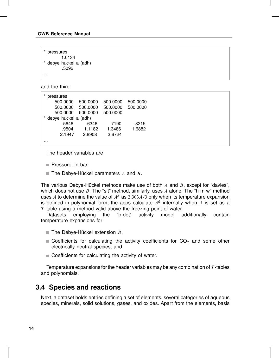\* pressures 1.0134 \* debye huckel a (adh) .5092 ...

and the third:

| pressures            |          |          |          |
|----------------------|----------|----------|----------|
| 500.0000             | 500.0000 | 500.0000 | 500.0000 |
| 500.0000             | 500.0000 | 500.0000 | 500.0000 |
| 500.0000             | 500.0000 | 500.0000 |          |
| debye huckel a (adh) |          |          |          |
| .5646                | .6346    | .7190    | .8215    |
| .9504                | 1.1182   | 1.3486   | 1.6882   |
| 2.1947               | 2.8908   | 3.6724   |          |
|                      |          |          |          |

The header variables are

- $\blacksquare$  Pressure, in bar,
- $\blacksquare$  The Debye-Hückel parameters A and B.

The various Debye-Hückel methods make use of both  $A$  and  $B$ , except for "davies", which does not use  $B$ . The "sit" method, similarly, uses  $A$  alone. The "h-m-w" method uses A to determine the value of  $A^{\phi}$  as 2.303A/3 only when its temperature expansion is defined in polynomial form; the apps calculate  $A^{\phi}$  internally when A is set as a  $T$ -table using a method valid above the freezing point of water.

Datasets employing the "b-dot" activity model additionally contain temperature expansions for

- **The Debye-Hückel extension B,**
- $\blacksquare$  Coefficients for calculating the activity coefficients for CO<sub>2</sub> and some other electrically neutral species, and
- Coefficients for calculating the activity of water.

Temperature expansions for the header variables may be any combination of  $T$ -tables and polynomials.

## <span id="page-21-0"></span>**3.4 Species and reactions**

Next, a dataset holds entries defining a set of elements, several categories of aqueous species, minerals, solid solutions, gases, and oxides. Apart from the elements, basis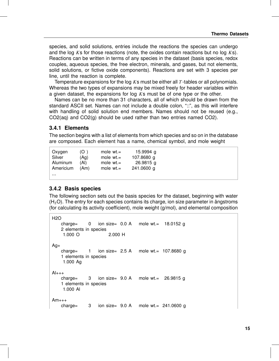species, and solid solutions, entries include the reactions the species can undergo and the log  $Ks$  for those reactions (note, the oxides contain reactions but no log  $Ks$ ). Reactions can be written in terms of any species in the dataset (basis species, redox couples, aqueous species, the free electron, minerals, and gases, but not elements, solid solutions, or fictive oxide components). Reactions are set with 3 species per line, until the reaction is complete.

Temperature expansions for the log  $Ks$  must be either all  $T$ -tables or all polynomials. Whereas the two types of expansions may be mixed freely for header variables within a given dataset, the expansions for log Ks must be of one type or the other.

Names can be no more than 31 characters, all of which should be drawn from the standard ASCII set. Names can not include a double colon, "::", as this will interfere with handling of solid solution end members. Names should not be reused (e.g., CO2(aq) and CO2(g) should be used rather than two entries named CO2).

#### <span id="page-22-0"></span>**3.4.1 Elements**

The section begins with a list of elements from which species and so on in the database are composed. Each element has a name, chemical symbol, and mole weight

| Oxygen    | (O)  | mole $wt =$ | 15.9994 a  |  |
|-----------|------|-------------|------------|--|
| Silver    | (Ag) | mole $wt =$ | 107.8680 g |  |
| Aluminum  | (AI) | mole $wt =$ | 26.9815 g  |  |
| Americium | (Am) | mole $wt =$ | 241.0600 g |  |
| .         |      |             |            |  |
|           |      |             |            |  |

#### <span id="page-22-1"></span>**3.4.2 Basis species**

The following section sets out the basis species for the dataset, beginning with water  $(H<sub>2</sub>O)$ . The entry for each species contains its charge, ion size parameter in ångstroms (for calculating its activity coefficient), mole weight (g/mol), and elemental composition

```
H2O
   charge= \overline{0} ion size= 0.0 A mole wt.= 18.0152 g
   2 elements in species
    1.000 O 2.000 H
Ag+
   charge= 1 ion size= 2.5 A mole wt.= 107.8680 g
    1 elements in species
    1.000 Ag
Al+++charge= 3 ion size= 9.0 A mole wt.= 26.9815 g
    1 elements in species
    1.000 Al
Am+++charge= 3 ion size= 9.0 \text{ A} mole wt.= 241.0600 g
```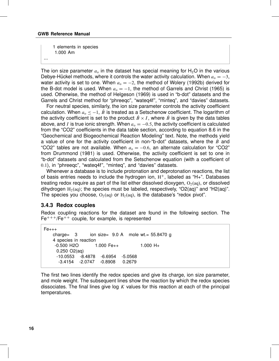...

1 elements in species 1.000 Am

The ion size parameter  $a_0$  in the dataset has special meaning for  $H_2O$  in the various Debye-Hückel methods, where it controls the water activity calculation. When  $a_0 = -3$ , water activity is set to one. When  $a_0 = -2$ , the method of Wolery (1992b) derived for the B-dot model is used. When  $a_0 = -1$ , the method of Garrels and Christ (1965) is used. Otherwise, the method of Helgeson (1969) is used in "b-dot" datasets and the Garrels and Christ method for "phreeqc", "wateq4f", "minteq", and "davies" datasets.

For neutral species, similarly, the ion size parameter controls the activity coefficient calculation. When  $a_0 \leq -1$ , B is treated as a Setschenow coefficient. The logarithm of the activity coefficient is set to the product  $\vec{B} \times I$ , where  $\vec{B}$  is given by the data tables above, and I is true ionic strength. When  $a_{\rm o} = -0.5$ , the activity coefficient is calculated from the "CO2" coefficients in the data table section, according to equation 8.6 in the "Geochemical and Biogeochemical Reaction Modeling" text. Note, the methods yield a value of one for the activity coefficient in non-"b-dot" datasets, where the  $\dot{B}$  and "CO2" tables are not available. When  $a_0 = -0.6$ , an alternate calculation for "CO2" from Drummond (1981) is used. Otherwise, the activity coefficient is set to one in "b-dot" datasets and calculated from the Setschenow equation (with a coefficient of 0:1), in "phreeqc", "wateq4f", "minteq", and "davies" datasets.

Whenever a database is to include protonation and deprotonation reactions, the list of basis entries needs to include the hydrogen ion,  $H^+$ , labeled as "H+". Databases treating redox require as part of the list either dissolved dioxygen,  $O<sub>2</sub>(aq)$ , or dissolved dihydrogen  $H_2(aq)$ ; the species must be labeled, respectively, "O2(aq)" and "H2(aq)". The species you choose,  $O_2(aq)$  or  $H_2(aq)$ , is the database's "redox pivot".

#### <span id="page-23-0"></span>**3.4.3 Redox couples**

Redox coupling reactions for the dataset are found in the following section. The  $Fe^{+++}/Fe^{++}$  couple, for example, is represented

```
Fe+++charge= 3 ion size= 9.0 A mole wt.= 55.8470 g
   4 species in reaction
    -0.500 H2O 1.000 Fe++ 1.000 H+
    0.250 O2(aq)
    -10.0553 -8.4878 -6.6954 -5.0568
     -3.4154 -2.0747 -0.8908 0.2679
```
The first two lines identify the redox species and give its charge, ion size parameter, and mole weight. The subsequent lines show the reaction by which the redox species dissociates. The final lines give log  $K$  values for this reaction at each of the principal temperatures.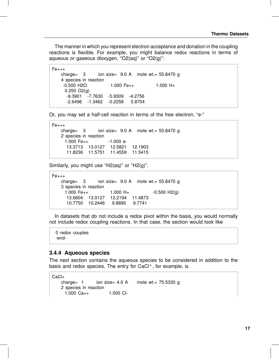The manner in which you represent electron acceptance and donation in the coupling reactions is flexible. For example, you might balance redox reactions in terms of aqueous or gaseous dioxygen, "O2(aq)" or "O2(g)":

```
Fe+++charge= 3 ion size= 9.0 A mole wt.= 55.8470 g
   4 species in reaction
   -0.500 H2O 1.000 Fe++ 1.000 H+
    0.250 O2(g)
     -9.3901 -7.7630 -5.9309 -4.2756
     -2.6496 -1.3462 -0.2258 0.8704
```
Or, you may set a half-cell reaction in terms of the free electron, "e-"

```
Fe+++
   charge= 3 ion size= 9.0 A mole wt. = 55.8470 g
   2 species in reaction
     1.000 \text{Fe}_{++} -1.000 e-
      13.3713 13.0127 12.5821 12.1903
      11.8236 11.5751 11.4559 11.5415
```
Similarly, you might use "H2(aq)" or "H2(g)".

```
Fe+++charge= 3 ion size= 9.0 A mole wt.= 55.8470 g
   3 species in reaction
     1.000 Fe<sub>++</sub> 1.000 H<sub>+</sub> -0.500 H<sub>2(g)</sub>
      13.6804 13.0127 12.2194 11.4873
      10.7750 10.2446 9.8895 9.7741
```
In datasets that do not include a redox pivot within the basis, you would normally not include redox coupling reactions. In that case, the section would look like

0 redox couples -end-

#### <span id="page-24-0"></span>**3.4.4 Aqueous species**

The next section contains the aqueous species to be considered in addition to the basis and redox species. The entry for CaCl $^+$ , for example, is

```
CaCl+
   charge= 1 ion size= 4.0 A mole wt.= 75.5330 g
   2 species in reaction
     1.000 Ca++ 1.000 Cl-
```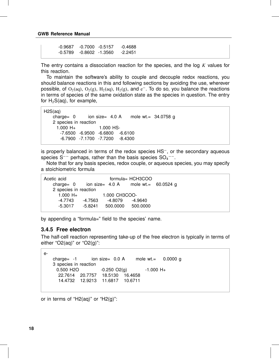| -0.9687 | $-0.7000 - 0.5157$ |                   | -0.4688   |
|---------|--------------------|-------------------|-----------|
| -0.5789 |                    | $-0.8602 -1.3560$ | $-2.2451$ |

The entry contains a dissociation reaction for the species, and the log  $K$  values for this reaction.

To maintain the software's ability to couple and decouple redox reactions, you should balance reactions in this and following sections by avoiding the use, wherever possible, of  $O_2(aq)$ ,  $O_2(g)$ ,  $H_2(aq)$ ,  $H_2(g)$ , and  $e^-$ . To do so, you balance the reactions in terms of species of the same oxidation state as the species in question. The entry for  $H_2S(aq)$ , for example,

H2S(aq) charge=  $0$  ion size=  $4.0$  A mole wt.= 34.0758 g 2 species in reaction 1.000 H+ 1.000 HS- -7.6500 -6.9500 -6.6800 -6.6100 -6.7900 -7.1700 -7.7200 -8.4300

is properly balanced in terms of the redox species  $HS^-$ , or the secondary aqueous species  $S^{--}$  perhaps, rather than the basis species  $SO_4^{--}$ .

Note that for any basis species, redox couple, or aqueous species, you may specify a stoichiometric formula

Acetic acid formula= HCH3COO charge=  $0$  ion size=  $4.0$  A mole wt.=  $60.0524$  g 2 species in reaction 1.000 H+ 1.000 CH3COO- -4.7743 -4.7563 -4.8079 -5.3017 -5.8241 500.0000 500.0000

by appending a "formula=" field to the species' name.

#### <span id="page-25-0"></span>**3.4.5 Free electron**

The half-cell reaction representing take-up of the free electron is typically in terms of either "O2(aq)" or "O2(g)":

```
e-
   charge= -1 ion size= 0.0 \text{ A} mole wt.= 0.0000 \text{ g}3 species in reaction
     0.500 H2O -0.250 O2(g) -1.000 H<sup>+</sup>
     22.7614 20.7757 18.5130 16.4658
      14.4732 12.9213 11.6817 10.6711
```
or in terms of "H2(aq)" or "H2(g)":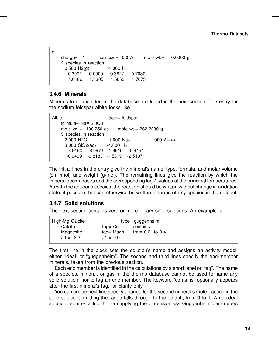```
\mathsf{P}charge= -1 ion size= 0.0 \text{ A} mole wt.= 0.0000 \text{ g}2 species in reaction
     0.500 H2(g) -1.000 H<sub>+</sub>
      -0.3091 0.0000 0.3627 0.7030
       1.0486 1.3305 1.5663 1.7673
```
#### <span id="page-26-0"></span>**3.4.6 Minerals**

Minerals to be included in the database are found in the next section. The entry for the sodium feldspar albite looks like

```
Albite type= feldspar
   formula= NaAlSi3O8
   mole vol.= 100.250 cc mole wt.= 262.2230 g
   5 species in reaction
    2.000 H2O 1.000 Na+ 1.000 Al+++
    3.000 SiO2(aq) -4.000 H<sub>+</sub>
      3.9160 3.0973 1.9915 0.9454
     -0.0499 -0.8183 -1.5319 -2.5197
```
The initial lines in the entry give the mineral's name, type, formula, and molar volume (cm<sup>3</sup>/mol) and weight (g/mol). The remaining lines give the reaction by which the mineral decomposes and the corresponding  $log K$  values at the principal temperatures. As with the aqueous species, the reaction should be written without change in oxidation state, if possible, but can otherwise be written in terms of any species in the dataset.

#### <span id="page-26-1"></span>**3.4.7 Solid solutions**

The next section contains zero or more binary solid solutions. An example is,

| High-Mg Calcite          |                         | type= guggenheim    |
|--------------------------|-------------------------|---------------------|
| Calcite                  | $taa = Cc$              | contains            |
| Magnesite<br>$a0 = -3.2$ | tag= Magn<br>$a1 = 0.0$ | from $0.0$ to $0.4$ |
|                          |                         |                     |

The first line in the block sets the solution's name and assigns an activity model, either "ideal" or "guggenheim". The second and third lines specify the end-member minerals, taken from the previous section.

Each end member is identified in the calculations by a short label or "tag". The name of a species, mineral, or gas in the thermo database cannot be used to name any solid solution, nor to tag an end member. The keyword "contains" optionally appears after the first mineral's tag, for clarity only.

You can on the next line specify a range for the second mineral's mole fraction in the solid solution; omitting the range falls through to the default, from 0 to 1. A nonideal solution requires a fourth line supplying the dimensionless Guggenheim parameters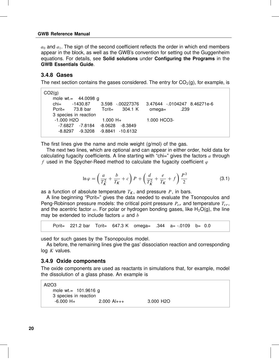$a_0$  and  $a_1$ . The sign of the second coefficient reflects the order in which end members appear in the block, as well as the GWB's convention for setting out the Guggenheim equations. For details, see **Solid solutions** under **Configuring the Programs** in the **GWB Essentials Guide**.

#### <span id="page-27-0"></span>**3.4.8 Gases**

The next section contains the gases considered. The entry for  $CO<sub>2</sub>(g)$ , for example, is

 $CO2(g)$ mole wt.= 44.0098 g chi= -1430.87 3.598 -.00227376 3.47644 -.0104247 8.46271e-6 Pcrit= 73.8 bar Tcrit= 304.1 K omega= .239 3 species in reaction -1.000 H2O 1.000 H<sub>+</sub> 1.000 HCO3--7.6827 -7.8184 -8.0628 -8.3849 -8.8297 -9.3208 -9.8841 -10.6132

The first lines give the name and mole weight (g/mol) of the gas.

The next two lines, which are optional and can appear in either order, hold data for calculating fugacity coefficients. A line starting with "chi=" gives the factors  $a$  through f used in the Spycher-Reed method to calculate the fugacity coefficient  $\varphi$ 

$$
\ln \varphi = \left(\frac{a}{T_K^2} + \frac{b}{T_K} + c\right)P + \left(\frac{d}{T_K^2} + \frac{e}{T_K} + f\right)\frac{P^2}{2}
$$
(3.1)

as a function of absolute temperature  $T_K$ , and pressure P, in bars.

A line beginning "Pcrit=" gives the data needed to evaluate the Tsonopoulos and Peng-Robinson pressure models: the critical point pressure  $P_{cr}$  and temperature  $T_{cr}$ , and the acentric factor  $\omega$ . For polar or hydrogen bonding gases, like H<sub>2</sub>O(g), the line may be extended to include factors  $a$  and  $b$ 

Pcrit= 221.2 bar Tcrit= 647.3 K omega= .344 a= -.0109 b= 0.0

used for such gases by the Tsonopoulos model.

As before, the remaining lines give the gas' dissociation reaction and corresponding  $log K$  values.

#### <span id="page-27-1"></span>**3.4.9 Oxide components**

The oxide components are used as reactants in simulations that, for example, model the dissolution of a glass phase. An example is

```
Al2O3
   mole wt.= 101.9616 g
   3 species in reaction
   -6.000 H+ 2.000 Al+++ 3.000 H2O
```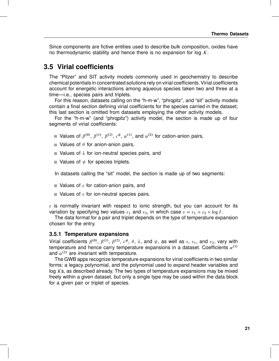Since components are fictive entities used to describe bulk composition, oxides have no thermodynamic stability and hence there is no expansion for log  $K$ .

### <span id="page-28-0"></span>**3.5 Virial coefficients**

The "Pitzer" and SIT activity models commonly used in geochemistry to describe chemical potentials in concentrated solutions rely on virial coefficients. Virial coefficients account for energetic interactions among aqueous species taken two and three at a time—i.e., species pairs and triplets.

For this reason, datasets calling on the "h-m-w", "phrqpitz", and "sit" activity models contain a final section defining virial coefficients for the species carried in the dataset; this last section is omitted from datasets employing the other activity models.

For the "h-m-w" (and "phrqpitz") activity model, the section is made up of four segments of virial coefficients:

- Values of  $\beta^{(0)}$ ,  $\beta^{(1)}$ ,  $\beta^{(2)}$ ,  $c^{\phi}$ ,  $\alpha^{(1)}$ , and  $\alpha^{(2)}$  for cation-anion pairs,
- $\blacksquare$  Values of  $\theta$  for anion-anion pairs,
- $\blacksquare$  Values of  $\lambda$  for ion-neutral species pairs, and
- $\blacksquare$  Values of  $\psi$  for species triplets.

In datasets calling the "sit" model, the section is made up of two segments:

- $\blacksquare$  Values of  $\varepsilon$  for cation-anion pairs, and
- $\blacksquare$  Values of  $\varepsilon$  for ion-neutral species pairs.

 $\varepsilon$  is normally invariant with respect to ionic strength, but you can account for its variation by specifying two values  $\varepsilon_1$  and  $\varepsilon_2$ , in which case  $\varepsilon = \varepsilon_1 + \varepsilon_2 \times \log I$ .

The data format for a pair and triplet depends on the type of temperature expansion chosen for the entry.

#### <span id="page-28-1"></span>**3.5.1 Temperature expansions**

Virial coefficients  $\beta^{(0)}$ ,  $\beta^{(1)}$ ,  $\beta^{(2)}$ ,  $c^{\phi}$ ,  $\theta$ ,  $\lambda$ , and  $\psi$ , as well as  $\varepsilon$ ,  $\varepsilon_1$ , and  $\varepsilon_2$ , vary with temperature and hence carry temperature expansions in a dataset. Coefficients  $\alpha^{(1)}$ and  $\alpha^{(2)}$  are invariant with temperature.

The GWB apps recognize temperature expansions for virial coefficients in two similar forms: a legacy polynomial, and the polynomial used to expand header variables and log Ks, as described already. The two types of temperature expansions may be mixed freely within a given dataset, but only a single type may be used within the data block for a given pair or triplet of species.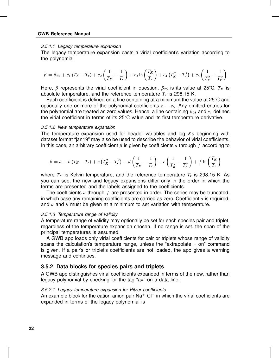#### <span id="page-29-0"></span>*3.5.1.1 Legacy temperature expansion*

The legacy temperature expansion casts a virial coefficient's variation according to the polynomial

$$
\beta = \beta_{25} + c_1 (T_K - T_r) + c_2 \left(\frac{1}{T_K} - \frac{1}{T_r}\right) + c_3 \ln \left(\frac{T_K}{T_r}\right) + c_4 (T_K^2 - T_r^2) + c_5 \left(\frac{1}{T_K^2} - \frac{1}{T_r^2}\right)
$$

Here,  $\beta$  represents the virial coefficient in question,  $\beta_{25}$  is its value at 25°C,  $T_K$  is absolute temperature, and the reference temperature  $T_r$  is 298.15 K.

Each coefficient is defined on a line containing at a minimum the value at 25°C and optionally one or more of the polynomial coefficients  $c_1 - c_5$ . Any omitted entries for the polynomial are treated as zero values. Hence, a line containing  $\beta_{25}$  and  $c_1$  defines optionally one or more of the polynomial coefficients  $c_1-c_5.$  Any omitted entries<br>the polynomial are treated as zero values. Hence, a line containing  $\beta_{25}$  and  $c_1$  defir<br>the virial coefficient in terms of its 25°C

#### <span id="page-29-1"></span>*3.5.1.2 New temperature expansion*

The temperature expansion used for header variables and log  $Ks$  beginning with dataset format "jan19" may also be used to describe the behavior of virial coefficients. In this case, an arbitrary coefficient  $\beta$  is given by coefficients a through f according to

$$
\beta = a + b (T_K - T_r) + c (T_K^2 - T_r^2) + d \left( \frac{1}{T_K} - \frac{1}{T_r} \right) + e \left( \frac{1}{T_K^2} - \frac{1}{T_r^2} \right) + f \ln \left( \frac{T_K}{T_r} \right)
$$

where  $T_K$  is Kelvin temperature, and the reference temperature  $T_r$  is 298.15 K. As you can see, the new and legacy expansions differ only in the order in which the terms are presented and the labels assigned to the coefficients.

The coefficients a through f are presented in order. The series may be truncated, in which case any remaining coefficients are carried as zero. Coefficient  $a$  is required, and  $a$  and  $b$  must be given at a minimum to set variation with temperature.

#### <span id="page-29-2"></span>*3.5.1.3 Temperature range of validity*

A temperature range of validity may optionally be set for each species pair and triplet, regardless of the temperature expansion chosen. If no range is set, the span of the principal temperatures is assumed.

A GWB app loads only virial coefficients for pair or triplets whose range of validity spans the calculation's temperature range, unless the "extrapolate = on" command is given. If a pair's or triplet's coefficients are not loaded, the app gives a warning message and continues.

#### <span id="page-29-3"></span>**3.5.2 Data blocks for species pairs and triplets**

A GWB app distinguishes virial coefficients expanded in terms of the new, rather than legacy polynomial by checking for the tag "a=" on a data line.

#### <span id="page-29-4"></span>*3.5.2.1 Legacy temperature expansion for Pitzer coefficients*

An example block for the cation-anion pair  $Na^+$ -Cl<sup>-</sup> in which the virial coefficients are expanded in terms of the legacy polynomial is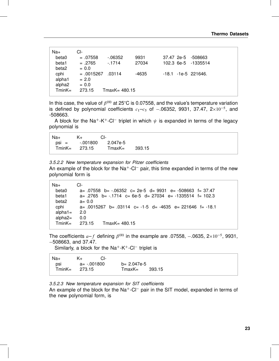Na+ Clbeta0 = .07558 -.06352 9931 37.47 2e-5 -508663 beta1 = .2765 -.1714 27034 102.3 6e-5 -1335514  $beta2 = 0.0$ cphi = .0015267 .03114 -4635 -18.1 -1e-5 221646. alpha1  $= 2.0$ alpha2  $= 0.0$ TminK= 273.15 TmaxK= 480.15

Imink= 2/3.15 Imaxk= 480.15<br>In this case, the value of  $\beta^{(0)}$  at 25°C is 0.07558, and the value's temperature variation is defined by polynomial coefficients  $c_1-c_5$  of  $-.06352, 9931, 37.47, 2\times10^{-5}$ , and -508663.

A block for the Na<sup>+</sup>-K<sup>+</sup>-Cl<sup>-</sup> triplet in which  $\psi$  is expanded in terms of the legacy polynomial is

Na+ K+ Clpsi = -.001800 2.047e-5 TminK= 273.15 TmaxK= 393.15

#### <span id="page-30-0"></span>*3.5.2.2 New temperature expansion for Pitzer coefficients*

An example of the block for the  $Na^+$ -Cl<sup>-</sup> pair, this time expanded in terms of the new polynomial form is

Na+ Clbeta0 a= .07558 b= -.06352 c= 2e-5 d= 9931 e= -508663 f= 37.47 beta1 a= .2765 b= -.1714 c= 6e-5 d= 27034 e= -1335514 f= 102.3 beta $2 \qquad a = 0.0$ cphi a= .0015267 b= .03114 c= -1-5 d= -4635 e= 221646 f= -18.1 alpha $1=$  2.0 alpha2= 0.0 TminK= 273.15 TmaxK= 480.15

The coefficients  $a-f$  defining  $\beta^{(0)}$  in the example are .07558, -.0635, 2×10<sup>-5</sup>, 9931, 508663, and 37.47.

Similarly, a block for the  $Na^+ - K^+ - Cl^-$  triplet is

| Na+              | K+          |                  |  |  |
|------------------|-------------|------------------|--|--|
| <b>DSI</b>       | a= -.001800 | $b = 2.047e-5$   |  |  |
| $TminK = 273.15$ |             | $TmaxK = 393.15$ |  |  |

<span id="page-30-1"></span>*3.5.2.3 New temperature expansion for SIT coefficients*

An example of the block for the Na<sup>+</sup>-Cl<sup>-</sup> pair in the SIT model, expanded in terms of the new polynomial form, is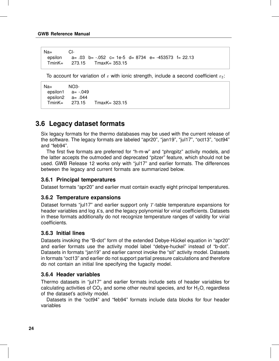Na+ Clepsilon a= .03 b= -.052 c= 1e-5 d= 8734 e= -453573 f= 22.13 TminK= 273.15 TmaxK= 353.15

To account for variation of  $\varepsilon$  with ionic strength, include a second coefficient  $\varepsilon_2$ :

Na+ NO3 epsilon1  $a = -.049$ epsilon2 a= .044 TminK= 273.15 TmaxK= 323.15

## <span id="page-31-0"></span>**3.6 Legacy dataset formats**

Six legacy formats for the thermo databases may be used with the current release of the software. The legacy formats are labeled "apr20", "jan19", "jul17", "oct13", "oct94" and "feb94".

The first five formats are preferred for "h-m-w" and "phrqpitz" activity models, and the latter accepts the outmoded and deprecated "pitzer" feature, which should not be used. GWB Release 12 works only with "jul17" and earlier formats. The differences between the legacy and current formats are summarized below.

#### <span id="page-31-1"></span>**3.6.1 Principal temperatures**

Dataset formats "apr20" and earlier must contain exactly eight principal temperatures.

#### <span id="page-31-2"></span>**3.6.2 Temperature expansions**

Dataset formats "jul17" and earlier support only  $T$ -table temperature expansions for header variables and log Ks, and the legacy polynomial for virial coefficients. Datasets in these formats additionally do not recognize temperature ranges of validity for virial coefficients.

#### <span id="page-31-3"></span>**3.6.3 Initial lines**

Datasets invoking the "B-dot" form of the extended Debye-Hückel equation in "apr20" and earlier formats use the activity model label "debye-huckel" instead of "b-dot". Datasets in formats "jan19" and earlier cannot invoke the "sit" activity model. Datasets in formats "oct13" and earlier do not support partial pressure calculations and therefore do not contain an initial line specifying the fugacity model.

#### <span id="page-31-4"></span>**3.6.4 Header variables**

Thermo datasets in "jul17" and earlier formats include sets of header variables for calculating activities of  $CO<sub>2</sub>$  and some other neutral species, and for H<sub>2</sub>O, regardless of the dataset's activity model.

Datasets in the "oct94" and "feb94" formats include data blocks for four header variables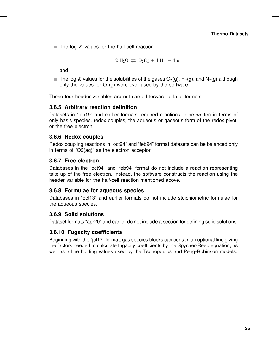$\blacksquare$  The log K values for the half-cell reaction

2 H<sub>2</sub>O 
$$
\rightleftarrows
$$
 O<sub>2</sub>(g) + 4 H<sup>+</sup> + 4 e<sup>-</sup>

and

The log K values for the solubilities of the gases  $O_2(q)$ ,  $H_2(q)$ , and  $N_2(q)$  although only the values for  $O_2(q)$  were ever used by the software

These four header variables are not carried forward to later formats

#### <span id="page-32-0"></span>**3.6.5 Arbitrary reaction definition**

Datasets in "jan19" and earlier formats required reactions to be written in terms of only basis species, redox couples, the aqueous or gaseous form of the redox pivot, or the free electron.

#### <span id="page-32-1"></span>**3.6.6 Redox couples**

Redox coupling reactions in "oct94" and "feb94" format datasets can be balanced only in terms of "O2(aq)" as the electron acceptor.

#### <span id="page-32-2"></span>**3.6.7 Free electron**

Databases in the "oct94" and "feb94" format do not include a reaction representing take-up of the free electron. Instead, the software constructs the reaction using the header variable for the half-cell reaction mentioned above.

#### <span id="page-32-3"></span>**3.6.8 Formulae for aqueous species**

Databases in "oct13" and earlier formats do not include stoichiometric formulae for the aqueous species.

#### <span id="page-32-4"></span>**3.6.9 Solid solutions**

Dataset formats "apr20" and earlier do not include a section for defining solid solutions.

#### <span id="page-32-5"></span>**3.6.10 Fugacity coefficients**

Beginning with the "jul17" format, gas species blocks can contain an optional line giving the factors needed to calculate fugacity coefficients by the Spycher-Reed equation, as well as a line holding values used by the Tsonopoulos and Peng-Robinson models.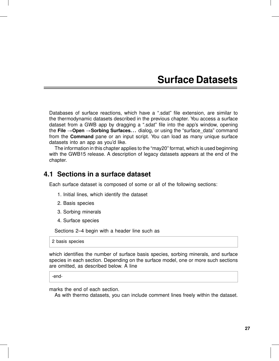## **Surface Datasets**

<span id="page-34-0"></span>Databases of surface reactions, which have a ".sdat" file extension, are similar to the thermodynamic datasets described in the previous chapter. You access a surface dataset from a GWB app by dragging a ".sdat" file into the app's window, opening the **File** !**Open** !**Sorbing Surfaces. . .** dialog, or using the "surface\_data" command from the **Command** pane or an input script. You can load as many unique surface datasets into an app as you'd like.

The information in this chapter applies to the "may20" format, which is used beginning with the GWB15 release. A description of legacy datasets appears at the end of the chapter.

### <span id="page-34-1"></span>**4.1 Sections in a surface dataset**

Each surface dataset is composed of some or all of the following sections:

- 1. Initial lines, which identify the dataset
- 2. Basis species
- 3. Sorbing minerals
- 4. Surface species

Sections 2–4 begin with a header line such as

2 basis species

which identifies the number of surface basis species, sorbing minerals, and surface species in each section. Depending on the surface model, one or more such sections are omitted, as described below. A line

-end-

marks the end of each section.

As with thermo datasets, you can include comment lines freely within the dataset.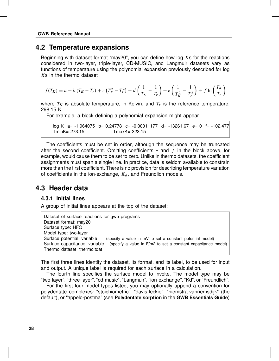### <span id="page-35-0"></span>**4.2 Temperature expansions**

Beginning with dataset format "may20", you can define how log  $Ks$  for the reactions considered in two-layer, triple-layer, CD-MUSIC, and Langmuir datasets vary as functions of temperature using the polynomial expansion previously described for log Ks in the thermo dataset

$$
f(T_K) = a + b (T_K - T_r) + c (T_K^2 - T_r^2) + d \left( \frac{1}{T_K} - \frac{1}{T_r} \right) + e \left( \frac{1}{T_K^2} - \frac{1}{T_r^2} \right) + f \ln \left( \frac{T_K}{T_r} \right)
$$

where  $T_K$  is absolute temperature, in Kelvin, and  $T_r$  is the reference temperature, 298.15 K.

For example, a block defining a polynomial expansion might appear

```
log K a= -1.964075 b= 0.24778 c= -0.00011177 d= -13261.67 e= 0 f= -102.477
TminK= 273.15 TmaxK= 323.15
```
The coefficients must be set in order, although the sequence may be truncated after the second coefficient. Omitting coefficients  $e$  and  $f$  in the block above, for example, would cause them to be set to zero. Unlike in thermo datasets, the coefficient assignments must span a single line. In practice, data is seldom available to constrain more than the first coefficient. There is no provision for describing temperature variation of coefficients in the ion-exchange,  $K_d$ , and Freundlich models.

## <span id="page-35-1"></span>**4.3 Header data**

#### <span id="page-35-2"></span>**4.3.1 Initial lines**

A group of initial lines appears at the top of the dataset:

```
Dataset of surface reactions for gwb programs
Dataset format: may20
Surface type: HFO
Model type: two-layer
Surface potential: variable (specify a value in mV to set a constant potential model)
Surface capacitance: variable (specify a value in F/m2 to set a constant capacitance model)
Thermo dataset: thermo.tdat
```
The first three lines identify the dataset, its format, and its label, to be used for input and output. A unique label is required for each surface in a calculation.

The fourth line specifies the surface model to invoke. The model type may be "two-layer", "three-layer", "cd-music", "Langmuir", "ion-exchange", "Kd", or "Freundlich".

For the first four model types listed, you may optionally append a convention for polydentate complexes: "stoichiometric", "davis-leckie", "hiemstra-vanriemsdijk" (the default), or "appelo-postma" (see **Polydentate sorption** in the **GWB Essentials Guide**)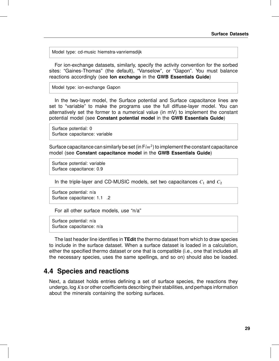Model type: cd-music hiemstra-vanriemsdijk

For ion-exchange datasets, similarly, specify the activity convention for the sorbed sites: "Gaines-Thomas" (the default), "Vanselow", or "Gapon". You must balance reactions accordingly (see **Ion exchange** in the **GWB Essentials Guide**)

Model type: ion-exchange Gapon

In the two-layer model, the Surface potential and Surface capacitance lines are set to "variable" to make the programs use the full diffuse-layer model. You can alternatively set the former to a numerical value (in mV) to implement the constant potential model (see **Constant potential model** in the **GWB Essentials Guide**)

Surface potential: 0 Surface capacitance: variable

Surface capacitance can similarly be set (in  $F/m^2$ ) to implement the constant capacitance model (see **Constant capacitance model** in the **GWB Essentials Guide**)

Surface potential: variable Surface capacitance: 0.9

In the triple-layer and CD-MUSIC models, set two capacitances  $C_1$  and  $C_2$ 

```
Surface potential: n/a
Surface capacitance: 1.1 .2
```
For all other surface models, use "n/a"

Surface potential: n/a Surface capacitance: n/a

The last header line identifies in **TEdit** the thermo dataset from which to draw species to include in the surface dataset. When a surface dataset is loaded in a calculation, either the specified thermo dataset or one that is compatible (i.e., one that includes all the necessary species, uses the same spellings, and so on) should also be loaded.

## **4.4 Species and reactions**

Next, a dataset holds entries defining a set of surface species, the reactions they undergo, log Ks or other coefficients describing their stabilities, and perhaps information about the minerals containing the sorbing surfaces.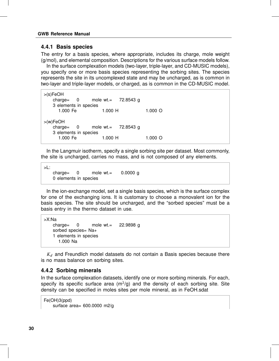#### **GWB Reference Manual**

#### **4.4.1 Basis species**

The entry for a basis species, where appropriate, includes its charge, mole weight (g/mol), and elemental composition. Descriptions for the various surface models follow.

In the surface complexation models (two-layer, triple-layer, and CD-MUSIC models), you specify one or more basis species representing the sorbing sites. The species represents the site in its uncomplexed state and may be uncharged, as is common in two-layer and triple-layer models, or charged, as is common in the CD-MUSIC model.

```
>(s)FeOH
   charge= 0 mole wt.= 72.8543 g
   3 elements in species
     1.000 Fe  1.000 H  1.000 O
>(w)FeOH
   charge= 0 mole wt.= 72.8543 g
   3 elements in species
     1.000 Fe  1.000 H  1.000 O
```
In the Langmuir isotherm, specify a single sorbing site per dataset. Most commonly, the site is uncharged, carries no mass, and is not composed of any elements.

>L: charge=  $0$  mole wt.=  $0.0000$  g 0 elements in species

In the ion-exchange model, set a single basis species, which is the surface complex for one of the exchanging ions. It is customary to choose a monovalent ion for the basis species. The site should be uncharged, and the "sorbed species" must be a basis entry in the thermo dataset in use.

```
>X:Na
   charge= 0 mole wt.= 22.9898 g
   sorbed species= Na+
   1 elements in species
      1.000 Na
```
 $K_d$  and Freundlich model datasets do not contain a Basis species because there is no mass balance on sorbing sites.

#### **4.4.2 Sorbing minerals**

In the surface complexation datasets, identify one or more sorbing minerals. For each, specify its specific surface area ( $m^2$ /g) and the density of each sorbing site. Site density can be specified in moles sites per mole mineral, as in FeOH.sdat

```
Fe(OH)3(ppd)
    surface area= 600.0000 m2/g
```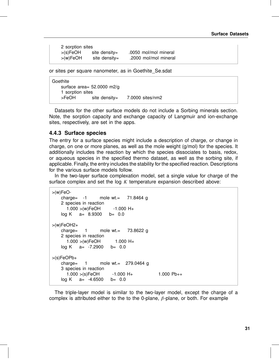| 2 sorption sites |               |                       |
|------------------|---------------|-----------------------|
| >(s)FeOH         | site density= | .0050 mol/mol mineral |
| >(w)FeOH         | site density= | .2000 mol/mol mineral |

or sites per square nanometer, as in Goethite\_Se.sdat

```
Goethite
   surface area= 52.0000 m2/g
   1 sorption sites
   >FeOH site density= 7.0000 sites/nm2
```
Datasets for the other surface models do not include a Sorbing minerals section. Note, the sorption capacity and exchange capacity of Langmuir and ion-exchange sites, respectively, are set in the apps.

#### **4.4.3 Surface species**

The entry for a surface species might include a description of charge, or change in charge, on one or more planes, as well as the mole weight (g/mol) for the species. It additionally includes the reaction by which the species dissociates to basis, redox, or aqueous species in the specified thermo dataset, as well as the sorbing site, if applicable. Finally, the entry includes the stability for the specified reaction. Descriptions for the various surface models follow.

In the two-layer surface complexation model, set a single value for charge of the surface complex and set the log  $K$  temperature expansion described above:

```
>(w)FeO-
   charge= -1 mole wt.= 71.8464 g
   2 species in reaction
     1.000 > (w)FeOH -1.000 H+
   log K a= 8.9300 b= 0.0
>(w)FeOH2+
   charge= 1 mole wt.= 73.8622 g
   2 species in reaction
     1.000 > (w)FeOH 1.000 H<sub>+</sub>
   log K a= -7.2900 b= 0.0
>(s)FeOPb+
   charge= 1 mole wt.= 279.0464 g
   3 species in reaction
     1.000 >(s)FeOH -1.000 H+ 1.000 Pb++
   log K a= -4.6500 b= 0.0
```
The triple-layer model is similar to the two-layer model, except the charge of a complex is attributed either to the to the 0-plane,  $\beta$ -plane, or both. For example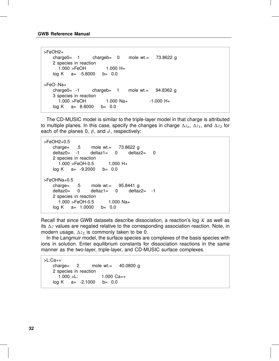#### **GWB Reference Manual**

```
>FeOH2+
   charge0= 1 chargeb= 0 mole wt.= 73.8622 g
   2 species in reaction
     1.000 >FeOH 1.000 H+
   log K a= -5.8000 b= 0.0
>FeO-:Na+
   charge0= -1 chargeb= 1 mole wt.= 94.8362 g
   3 species in reaction
     1.000 > FeOH 1.000 Na+ -1.000 H+log K a= 8.8000 b= 0.0
```
The CD-MUSIC model is similar to the triple-layer model in that charge is attributed to multiple planes. In this case, specify the changes in charge  $\Delta z_0$ ,  $\Delta z_1$ , and  $\Delta z_2$  for each of the planes 0,  $\beta$ , and d, respectively:

```
>FeOH2+0.5
   charge= .5 mole wt.= 73.8622 g
   deltaz0= -1 deltaz1= 0 deltaz2= 0
   2 species in reaction
     1.000 >FeOH-0.5 1.000 H+
   log K a= -9.2000 b= 0.0
>FeOHNa+0.5
   charge= .5 mole wt.= 95.8441 g
   deltaz0= 0 deltaz1= 0 deltaz2= -1
   2 species in reaction
     1.000 >FeOH-0.5 1.000 Na+
   log K a= 1.0000 b= 0.0
```
Recall that since GWB datasets describe dissociation, a reaction's log  $K$  as well as its  $\Delta z$  values are negated relative to the corresponding association reaction. Note, in modern usage,  $\Delta z_2$  is commonly taken to be 0.

In the Langmuir model, the surface species are complexes of the basis species with ions in solution. Enter equilibrium constants for dissociation reactions in the same manner as the two-layer, triple-layer, and CD-MUSIC surface complexes.

```
>L:Ca++
   charge= 2 mole wt.= 40.0800 g
   2 species in reaction
     1.000 >L: 1.000 Ca++
   log K a= -2.1000 b= 0.0
```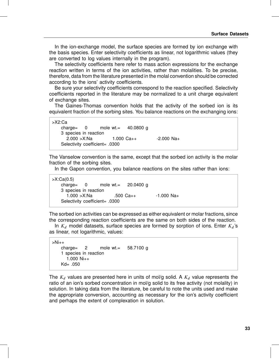In the ion-exchange model, the surface species are formed by ion exchange with the basis species. Enter selectivity coefficients as linear, not logarithmic values (they are converted to log values internally in the program).

The selectivity coefficients here refer to mass action expressions for the exchange reaction written in terms of the ion activities, rather than molalities. To be precise, therefore, data from the literature presented in the molal convention should be corrected according to the ions' activity coefficients.

Be sure your selectivity coefficients correspond to the reaction specified. Selectivity coefficients reported in the literature may be normalized to a unit charge equivalent of exchange sites.

The Gaines-Thomas convention holds that the activity of the sorbed ion is its equivalent fraction of the sorbing sites. You balance reactions on the exchanging ions:

| >X2:Ca                |                                 |              |  |
|-----------------------|---------------------------------|--------------|--|
|                       | charge= $0$ mole wt.= 40.0800 g |              |  |
| 3 species in reaction |                                 |              |  |
|                       | $2.000 > X:Na$ 1.000 Ca++       | $-2.000$ Na+ |  |
|                       | Selectivity coefficient= .0300  |              |  |
|                       |                                 |              |  |

The Vanselow convention is the same, except that the sorbed ion activity is the molar fraction of the sorbing sites.

In the Gapon convention, you balance reactions on the sites rather than ions:

| >X:Ca(0.5)            |                                 |           |              |
|-----------------------|---------------------------------|-----------|--------------|
|                       | charge= $0$ mole wt.= 20.0400 g |           |              |
| 3 species in reaction |                                 |           |              |
| 1.000 >X:Na           |                                 | .500 Ca++ | $-1.000$ Na+ |
|                       | Selectivity coefficient= .0300  |           |              |

The sorbed ion activities can be expressed as either equivalent or molar fractions, since the corresponding reaction coefficients are the same on both sides of the reaction.

In  $K_d$  model datasets, surface species are formed by sorption of ions. Enter  $K_d$ 's as linear, not logarithmic, values:

```
>Ni++
   charge= 2 mole wt.= 58.7100 g
   1 species in reaction
      1.000 Ni++
   Kd= .050
```
The  $K_d$  values are presented here in units of mol/g solid. A  $K_d$  value represents the ratio of an ion's sorbed concentration in mol/g solid to its free activity (not molality) in solution. In taking data from the literature, be careful to note the units used and make the appropriate conversion, accounting as necessary for the ion's activity coefficient and perhaps the extent of complexation in solution.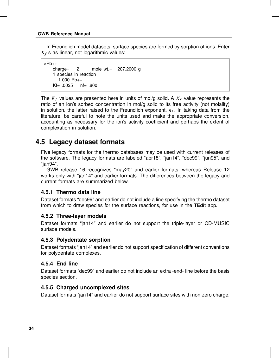#### **GWB Reference Manual**

In Freundlich model datasets, surface species are formed by sorption of ions. Enter  $K_f$ 's as linear, not logarithmic values:

```
>Pb++charge= 2 mole wt.= 207.2000 g
   1 species in reaction
      1.000 Pb++
   Kf = .0025 nf= .800
```
The  $K_f$  values are presented here in units of mol/g solid. A  $K_f$  value represents the ratio of an ion's sorbed concentration in mol/g solid to its free activity (not molality) in solution, the latter raised to the Freundlich exponent,  $n_f$ . In taking data from the literature, be careful to note the units used and make the appropriate conversion, accounting as necessary for the ion's activity coefficient and perhaps the extent of complexation in solution.

# **4.5 Legacy dataset formats**

Five legacy formats for the thermo databases may be used with current releases of the software. The legacy formats are labeled "apr18", "jan14", "dec99", "jun95", and "jan94".

GWB release 16 recognizes "may20" and earlier formats, whereas Release 12 works only with "jan14" and earlier formats. The differences between the legacy and current formats are summarized below.

## **4.5.1 Thermo data line**

Dataset formats "dec99" and earlier do not include a line specifying the thermo dataset from which to draw species for the surface reactions, for use in the **TEdit** app.

### **4.5.2 Three-layer models**

Dataset formats "jan14" and earlier do not support the triple-layer or CD-MUSIC surface models.

### **4.5.3 Polydentate sorption**

Dataset formats "jan14" and earlier do not support specification of different conventions for polydentate complexes.

### **4.5.4 End line**

Dataset formats "dec99" and earlier do not include an extra -end- line before the basis species section.

### **4.5.5 Charged uncomplexed sites**

Dataset formats "jan14" and earlier do not support surface sites with non-zero charge.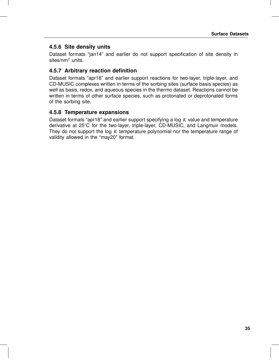## **4.5.6 Site density units**

Dataset formats "jan14" and earlier do not support specification of site density in sites/nm<sup>2</sup> units.

## **4.5.7 Arbitrary reaction definition**

Dataset formats "apr18" and earlier support reactions for two-layer, triple-layer, and CD-MUSIC complexes written in terms of the sorbing sites (surface basis species) as well as basis, redox, and aqueous species in the thermo dataset. Reactions cannot be written in terms of other surface species, such as protonated or deprotonated forms of the sorbing site.

## **4.5.8 Temperature expansions**

Dataset formats "apr18" and earlier support specifying a log  $K$  value and temperature derivative at 25°C for the two-layer, triple-layer, CD-MUSIC, and Langmuir models. They do not support the log  $K$  temperature polynomial nor the temperature range of validity allowed in the "may20" format.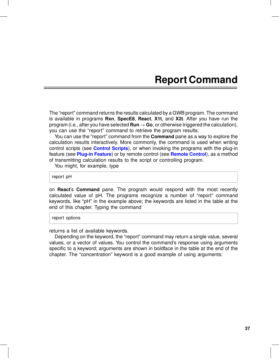# **Report Command**

<span id="page-44-0"></span>The "report" command returns the results calculated by a GWB program. The command is available in programs **Rxn**, **SpecE8**, **React**, **X1t**, and **X2t**. After you have run the program (i.e., after you have selected **Run**  $\rightarrow$  **Go**, or otherwise triggered the calculation), you can use the "report" command to retrieve the program results.

You can use the "report" command from the **Command** pane as a way to explore the calculation results interactively. More commonly, the command is used when writing control scripts (see **[Control Scripts](#page-66-0)**), or when invoking the programs with the plug-in feature (see **[Plug-in Feature](#page-70-0)**) or by remote control (see **[Remote Control](#page-128-0)**), as a method of transmitting calculation results to the script or controlling program.

You might, for example, type

report pH

on **React**'s **Command** pane. The program would respond with the most recently calculated value of pH. The programs recognize a number of "report" command keywords, like "pH" in the example above; the keywords are listed in the table at the end of this chapter. Typing the command

report options

returns a list of available keywords.

Depending on the keyword, the "report" command may return a single value, several values, or a vector of values. You control the command's response using arguments specific to a keyword; arguments are shown in boldface in the table at the end of the chapter. The "concentration" keyword is a good example of using arguments: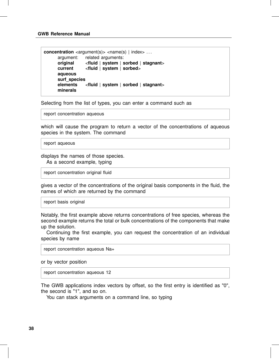```
concentration <argument(s)> <name(s) | index> ...
     argument: related arguments:
     original <fluid | system | sorbed | stagnant>
     current <fluid | system | sorbed>
     aqueous
     surf_species
     elements <fluid | system | sorbed | stagnant>
     minerals
```
Selecting from the list of types, you can enter a command such as

report concentration aqueous

which will cause the program to return a vector of the concentrations of aqueous species in the system. The command

report aqueous

displays the names of those species.

As a second example, typing

report concentration original fluid

gives a vector of the concentrations of the original basis components in the fluid, the names of which are returned by the command

report basis original

Notably, the first example above returns concentrations of free species, whereas the second example returns the total or bulk concentrations of the components that make up the solution.

Continuing the first example, you can request the concentration of an individual species by name

report concentration aqueous Na+

or by vector position

report concentration aqueous 12

The GWB applications index vectors by offset, so the first entry is identified as "0", the second is "1", and so on.

You can stack arguments on a command line, so typing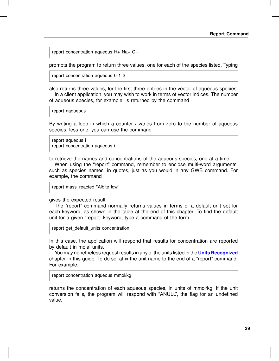report concentration aqueous H+ Na+ Cl-

prompts the program to return three values, one for each of the species listed. Typing

report concentration aqueous 0 1 2

also returns three values, for the first three entries in the vector of aqueous species. In a client application, you may wish to work in terms of vector indices. The number of aqueous species, for example, is returned by the command

report naqueous

By writing a loop in which a counter *i* varies from zero to the number of aqueous species, less one, you can use the command

report aqueous i report concentration aqueous i

to retrieve the names and concentrations of the aqueous species, one at a time.

When using the "report" command, remember to enclose multi-word arguments, such as species names, in quotes, just as you would in any GWB command. For example, the command

report mass\_reacted "Albite low"

gives the expected result.

The "report" command normally returns values in terms of a default unit set for each keyword, as shown in the table at the end of this chapter. To find the default unit for a given "report" keyword, type a command of the form

report get\_default\_units concentration

In this case, the application will respond that results for concentration are reported by default in molal units.

You may nonetheless request results in any of the units listed in the **[Units Recognized](#page-104-0)** chapter in this guide. To do so, affix the unit name to the end of a "report" command. For example,

report concentration aqueous mmol/kg

returns the concentration of each aqueous species, in units of mmol/kg. If the unit conversion fails, the program will respond with "ANULL", the flag for an undefined value.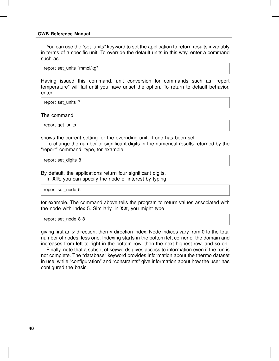#### **GWB Reference Manual**

You can use the "set units" keyword to set the application to return results invariably in terms of a specific unit. To override the default units in this way, enter a command such as

report set units "mmol/kg"

Having issued this command, unit conversion for commands such as "report temperature" will fail until you have unset the option. To return to default behavior, enter

report set\_units ?

The command

report get\_units

shows the current setting for the overriding unit, if one has been set.

To change the number of significant digits in the numerical results returned by the "report" command, type, for example

report set\_digits 8

By default, the applications return four significant digits. In **X1t**, you can specify the node of interest by typing

report set\_node 5

for example. The command above tells the program to return values associated with the node with index 5. Similarly, in **X2t**, you might type

report set\_node 8 8

giving first an x-direction, then y-direction index. Node indices vary from 0 to the total number of nodes, less one. Indexing starts in the bottom left corner of the domain and increases from left to right in the bottom row, then the next highest row, and so on.

Finally, note that a subset of keywords gives access to information even if the run is not complete. The "database" keyword provides information about the thermo dataset in use, while "configuration" and "constraints" give information about how the user has configured the basis.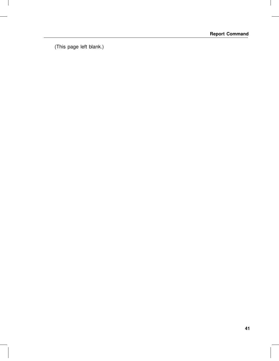(This page left blank.)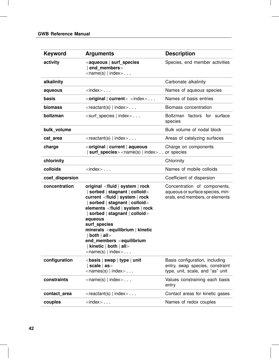| <b>Keyword</b>  | <b>Arguments</b>                                                                                                                                                                                                                                                                                                                                                                                                                                                                                                                                        | <b>Description</b>                                                                                    |
|-----------------|---------------------------------------------------------------------------------------------------------------------------------------------------------------------------------------------------------------------------------------------------------------------------------------------------------------------------------------------------------------------------------------------------------------------------------------------------------------------------------------------------------------------------------------------------------|-------------------------------------------------------------------------------------------------------|
| activity        | <aqueous surf_species<br=""  ="">end members&gt;<br/><math>\langle</math>name(s)   index<math>&gt;</math></aqueous>                                                                                                                                                                                                                                                                                                                                                                                                                                     | Species, end member activities                                                                        |
| alkalinity      |                                                                                                                                                                                                                                                                                                                                                                                                                                                                                                                                                         | Carbonate alkalinity                                                                                  |
| aqueous         | $\langle$ index $>$                                                                                                                                                                                                                                                                                                                                                                                                                                                                                                                                     | Names of aqueous species                                                                              |
| basis           | $\le$ original   current $>$ $\le$ index $>$                                                                                                                                                                                                                                                                                                                                                                                                                                                                                                            | Names of basis entries                                                                                |
| biomass         | $<$ reactant(s)   index $>$                                                                                                                                                                                                                                                                                                                                                                                                                                                                                                                             | Biomass concentration                                                                                 |
| boltzman        | $\lt$ surf_species   index>                                                                                                                                                                                                                                                                                                                                                                                                                                                                                                                             | Boltzman factors for surface<br>species                                                               |
| bulk volume     |                                                                                                                                                                                                                                                                                                                                                                                                                                                                                                                                                         | Bulk volume of nodal block                                                                            |
| cat_area        | $\langle$ reactant(s)   index $>$                                                                                                                                                                                                                                                                                                                                                                                                                                                                                                                       | Areas of catalyzing surfaces                                                                          |
| charge          | <original aqueous<br="" current=""  ="">surf species&gt; <math>\times</math> name(s)   index <math>&gt;</math>. or species</original>                                                                                                                                                                                                                                                                                                                                                                                                                   | Charge on components                                                                                  |
| chlorinity      |                                                                                                                                                                                                                                                                                                                                                                                                                                                                                                                                                         | Chlorinity                                                                                            |
| colloids        | $\langle$ index $>$                                                                                                                                                                                                                                                                                                                                                                                                                                                                                                                                     | Names of mobile colloids                                                                              |
| coef_dispersion |                                                                                                                                                                                                                                                                                                                                                                                                                                                                                                                                                         | Coefficient of dispersion                                                                             |
| concentration   | original <fluid rock<br="" system=""  ="">sorbed   stagnant   colloid&gt;<br/>current <fluid rock<br="" system=""  ="">  sorbed   stagnant   colloid&gt;<br/>elements <fluid rock<br="" system=""  ="">sorbed   stagnant   colloid&gt;<br/>aqueous<br/>surf_species<br/>minerals <math>\le</math>equilibrium   kinetic<br/><math>\vert</math> both <math>\vert</math> all<math>&gt;</math><br/>end_members <equilibrium<br>  kinetic   both   all&gt;<br/><math>\langle</math>name(s)   index<math>&gt;</math></equilibrium<br></fluid></fluid></fluid> | Concentration of components,<br>aqueous or surface species, min-<br>erals, end members, or elements   |
| configuration   | <basis swap="" type="" unit<br=""  =""><math> scale </math> as<br/><math>\langle</math>names(s)   index<math>\rangle</math></basis>                                                                                                                                                                                                                                                                                                                                                                                                                     | Basis configuration, including<br>entry, swap species, constraint<br>type, unit, scale, and "as" unit |
| constraints     | $\langle$ name(s)   index $>$                                                                                                                                                                                                                                                                                                                                                                                                                                                                                                                           | Values constraining each basis<br>entry                                                               |
| contact_area    | $<$ reactant(s)   index $>$                                                                                                                                                                                                                                                                                                                                                                                                                                                                                                                             | Contact areas for kinetic gases                                                                       |
| couples         | $\langle$ index $>$                                                                                                                                                                                                                                                                                                                                                                                                                                                                                                                                     | Names of redox couples                                                                                |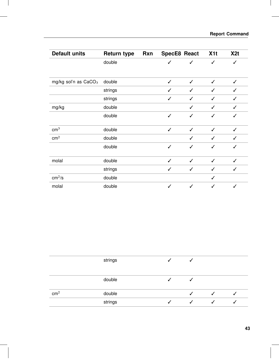| <b>Default units</b>             | <b>Return type</b> | <b>Rxn</b> |                                                                   | <b>SpecE8 React</b> | X <sub>1</sub> t | X <sub>2</sub> t |
|----------------------------------|--------------------|------------|-------------------------------------------------------------------|---------------------|------------------|------------------|
|                                  | double             |            | $\checkmark$                                                      | ✓                   | ✓                | ✓                |
| mg/kg sol'n as CaCO <sub>3</sub> | double             |            | $\checkmark$                                                      | $\checkmark$        | $\checkmark$     | $\checkmark$     |
|                                  | strings            |            | $\checkmark$                                                      | $\checkmark$        | $\checkmark$     | $\checkmark$     |
|                                  | strings            |            | $\checkmark$                                                      | $\checkmark$        | $\checkmark$     | ✓                |
| mg/kg                            | double             |            |                                                                   | ✓                   | ✓                | ✓                |
|                                  | double             |            | $\checkmark$                                                      | $\checkmark$        | $\checkmark$     | $\checkmark$     |
| cm <sup>3</sup>                  | double             |            | $\checkmark$                                                      | ✓                   | $\checkmark$     | ✓                |
| $\text{cm}^2$                    | double             |            | $\checkmark$<br>✓<br>$\checkmark$<br>$\checkmark$<br>$\checkmark$ |                     | ✓                |                  |
|                                  | double             |            |                                                                   |                     |                  | $\checkmark$     |
| molal                            | double             |            | $\checkmark$                                                      | $\checkmark$        | $\checkmark$     | $\checkmark$     |
|                                  | strings            |            | $\checkmark$                                                      | $\checkmark$        | $\checkmark$     | ✓                |
| cm <sup>2</sup> /s               | double             |            |                                                                   |                     | ✓                |                  |
| molal                            | double             |            | $\checkmark$                                                      | ✓                   | ✓                | ✓                |

|                 | strings |  |  |
|-----------------|---------|--|--|
|                 |         |  |  |
|                 | double  |  |  |
| cm <sup>2</sup> | double  |  |  |
|                 | strings |  |  |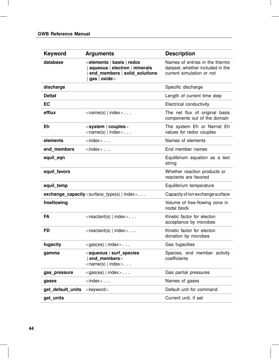| <b>Keyword</b>    | <b>Arguments</b>                                                                                                                   | <b>Description</b>                                                                              |
|-------------------|------------------------------------------------------------------------------------------------------------------------------------|-------------------------------------------------------------------------------------------------|
| database          | <elements basis="" redox<br=""  ="">aqueous   electron   minerals<br/>end_members   solid_solutions<br/>gas   oxide&gt;</elements> | Names of entries in the thermo<br>dataset, whether included in the<br>current simulation or not |
| discharge         |                                                                                                                                    | Specific discharge                                                                              |
| <b>Deltat</b>     |                                                                                                                                    | Length of current time step                                                                     |
| EC                |                                                                                                                                    | Electrical conductivity                                                                         |
| efflux            | $\langle$ name(s)   index $>$                                                                                                      | The net flux of original basis<br>components out of the domain                                  |
| Eh                | <system couples=""  =""><br/><math>\langle</math>name(s)   index<math>&gt;</math></system>                                         | The system Eh or Nernst Eh<br>values for redox couples                                          |
| elements          | $\langle$ index $>$                                                                                                                | Names of elements                                                                               |
| end members       | $\langle$ index $>$                                                                                                                | End member names                                                                                |
| equil_eqn         |                                                                                                                                    | Equilibrium equation as a text<br>string                                                        |
| equil_favors      |                                                                                                                                    | Whether reaction products or<br>reactants are favored                                           |
| equil_temp        |                                                                                                                                    | Equilibrium temperature                                                                         |
|                   | $ext{exchange\_capacity} < \text{surface\_type(s)}$   index>                                                                       | Capacity of ion exchange surface                                                                |
| freeflowing       |                                                                                                                                    | Volume of free-flowing zone in<br>nodal block                                                   |
| FA                | $\langle$ reactant(s)   index $>$                                                                                                  | Kinetic factor for electon<br>acceptance by microbes                                            |
| <b>FD</b>         | $<$ reactant(s)   index $>$                                                                                                        | Kinetic factor for electon<br>donation by microbes                                              |
| fugacity          | <gas(es) index=""  =""></gas(es)>                                                                                                  | Gas fugacities                                                                                  |
| gamma             | <aqueous surf_species<br=""  ="">  end_members&gt;<br/><math>\langle</math>name(s)   index<math>&gt;</math></aqueous>              | Species, end member activity<br>coefficients                                                    |
| gas pressure      | $\langle gas(es)   index >$                                                                                                        | Gas partial pressures                                                                           |
| gases             | $\langle$ index $>$                                                                                                                | Names of gases                                                                                  |
| get default units | <keyword></keyword>                                                                                                                | Default unit for command                                                                        |
| get_units         |                                                                                                                                    | Current unit, if set                                                                            |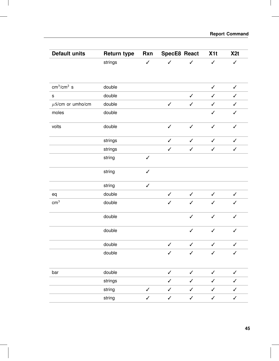| <b>Default units</b>  | <b>Return type</b> | <b>Rxn</b>   | <b>SpecE8 React</b> |              | X <sub>1</sub> t | X <sub>2</sub> t |
|-----------------------|--------------------|--------------|---------------------|--------------|------------------|------------------|
|                       | strings            | ✓            | ✓                   | ✓            | $\checkmark$     | ✓                |
|                       |                    |              |                     |              |                  |                  |
| $cm3/cm2$ s           |                    |              |                     |              |                  |                  |
|                       | double             |              |                     |              | $\checkmark$     | $\checkmark$     |
| ${\sf s}$             | double             |              |                     | $\checkmark$ | $\checkmark$     | ✓                |
| $\mu$ S/cm or umho/cm | double             |              | $\checkmark$        | $\checkmark$ | $\checkmark$     | $\checkmark$     |
| moles                 | double             |              |                     |              | $\checkmark$     | ✓                |
| volts                 | double             |              | $\checkmark$        | $\checkmark$ | $\checkmark$     | $\checkmark$     |
|                       | strings            |              | $\checkmark$        | $\checkmark$ | $\checkmark$     | $\checkmark$     |
|                       | strings            |              | $\checkmark$        | $\checkmark$ | $\checkmark$     | $\checkmark$     |
|                       | string             | $\checkmark$ |                     |              |                  |                  |
|                       | string             | $\checkmark$ |                     |              |                  |                  |
|                       | string             | $\checkmark$ |                     |              |                  |                  |
| eq                    | double             |              | $\checkmark$        | $\checkmark$ | $\checkmark$     | $\checkmark$     |
| cm <sup>3</sup>       | double             |              | $\checkmark$        | $\checkmark$ | $\checkmark$     | ✓                |
|                       | double             |              |                     | $\checkmark$ | $\checkmark$     | $\checkmark$     |
|                       | double             |              |                     | $\checkmark$ | $\checkmark$     | $\checkmark$     |
|                       | double             |              | $\checkmark$        | $\checkmark$ | $\checkmark$     | $\checkmark$     |
|                       | double             |              | $\checkmark$        | $\checkmark$ | $\checkmark$     | ✓                |
| bar                   | double             |              | $\checkmark$        | $\checkmark$ | $\checkmark$     | $\checkmark$     |
|                       | strings            |              | $\checkmark$        | $\checkmark$ | $\checkmark$     | $\checkmark$     |
|                       | string             | $\checkmark$ | $\checkmark$        | $\checkmark$ | $\checkmark$     | $\checkmark$     |
|                       | string             | $\checkmark$ | $\checkmark$        | $\checkmark$ | $\checkmark$     | $\checkmark$     |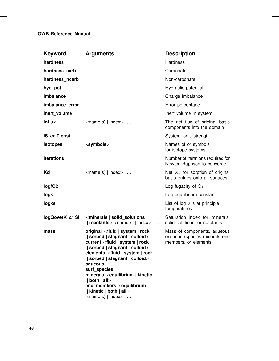| <b>Keyword</b>     | <b>Arguments</b>                                                                                                                                                                                                                                                                                                                                                                                                                                                                                                                                      | <b>Description</b>                                                                       |
|--------------------|-------------------------------------------------------------------------------------------------------------------------------------------------------------------------------------------------------------------------------------------------------------------------------------------------------------------------------------------------------------------------------------------------------------------------------------------------------------------------------------------------------------------------------------------------------|------------------------------------------------------------------------------------------|
| hardness           |                                                                                                                                                                                                                                                                                                                                                                                                                                                                                                                                                       | Hardness                                                                                 |
| hardness carb      |                                                                                                                                                                                                                                                                                                                                                                                                                                                                                                                                                       | Carbonate                                                                                |
| hardness ncarb     |                                                                                                                                                                                                                                                                                                                                                                                                                                                                                                                                                       | Non-carbonate                                                                            |
| hyd_pot            |                                                                                                                                                                                                                                                                                                                                                                                                                                                                                                                                                       | Hydraulic potential                                                                      |
| imbalance          |                                                                                                                                                                                                                                                                                                                                                                                                                                                                                                                                                       | Charge imbalance                                                                         |
| imbalance error    |                                                                                                                                                                                                                                                                                                                                                                                                                                                                                                                                                       | Error percentage                                                                         |
| inert volume       |                                                                                                                                                                                                                                                                                                                                                                                                                                                                                                                                                       | Inert volume in system                                                                   |
| influx             | $\langle$ name(s)   index $\rangle$                                                                                                                                                                                                                                                                                                                                                                                                                                                                                                                   | The net flux of original basis<br>components into the domain                             |
| IS or Tionst       |                                                                                                                                                                                                                                                                                                                                                                                                                                                                                                                                                       | System ionic strength                                                                    |
| isotopes           | <symbols></symbols>                                                                                                                                                                                                                                                                                                                                                                                                                                                                                                                                   | Names of or symbols<br>for isotope systems                                               |
| iterations         |                                                                                                                                                                                                                                                                                                                                                                                                                                                                                                                                                       | Number of iterations required for<br>Newton-Raphson to converge                          |
| Kd                 | $\langle$ name(s)   index $\rangle$                                                                                                                                                                                                                                                                                                                                                                                                                                                                                                                   | Net $K_d$ for sorption of original<br>basis entries onto all surfaces                    |
| logfO <sub>2</sub> |                                                                                                                                                                                                                                                                                                                                                                                                                                                                                                                                                       | Log fugacity of $O_2$                                                                    |
| logk               |                                                                                                                                                                                                                                                                                                                                                                                                                                                                                                                                                       | Log equilibrium constant                                                                 |
| logks              |                                                                                                                                                                                                                                                                                                                                                                                                                                                                                                                                                       | List of log $K$ 's at principle<br>temperatures                                          |
| logQoverK or SI    | <minerals solid_solutions<br=""  =""><math>\textsf{reactants}</math> &gt; &lt; name(s)   index &gt; <math>\dots</math></minerals>                                                                                                                                                                                                                                                                                                                                                                                                                     | Saturation index for minerals,<br>solid solutions, or reactants                          |
| mass               | original <fluid rock<br="" system=""  ="">  sorbed   stagnant   colloid&gt;<br/>current <fluid rock<br="" system=""  ="">sorbed   stagnant   colloid&gt;<br/>elements <fluid rock<br="" system=""  ="">  sorbed   stagnant   colloid&gt;<br/>aqueous<br/>surf_species<br/>minerals <equilibrium kinetic<br=""  =""><math> </math> both <math> </math> all<math>&gt;</math><br/>end_members <equilibrium<br>  kinetic   both   all&gt;<br/><math>\langle</math>name(s)   index<math>&gt;</math></equilibrium<br></equilibrium></fluid></fluid></fluid> | Mass of components, aqueous<br>or surface species, minerals, end<br>members, or elements |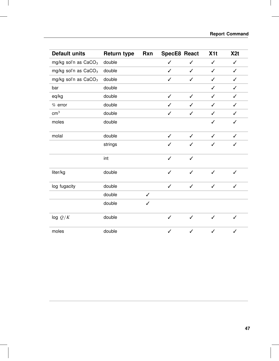| <b>Default units</b>             | <b>Return type</b> | <b>Rxn</b>   |              | <b>SpecE8 React</b> | X <sub>1</sub> t | X <sub>2</sub> t |
|----------------------------------|--------------------|--------------|--------------|---------------------|------------------|------------------|
| mg/kg sol'n as CaCO <sub>3</sub> | double             |              | $\checkmark$ | $\checkmark$        | $\checkmark$     | $\checkmark$     |
| mg/kg sol'n as CaCO <sub>3</sub> | double             |              | $\checkmark$ | $\checkmark$        | $\checkmark$     | ✓                |
| mg/kg sol'n as CaCO <sub>3</sub> | double             |              | $\checkmark$ | $\checkmark$        | $\checkmark$     | $\checkmark$     |
| bar                              | double             |              |              |                     | $\checkmark$     | $\checkmark$     |
| eq/kg                            | double             |              | ✓            | ✓                   | ✓                | ✓                |
| $%$ error                        | double             |              | ✓            | ✓                   | $\checkmark$     | ✓                |
| cm <sup>3</sup>                  | double             |              | ✓            | $\checkmark$        | $\checkmark$     | ✓                |
| moles                            | double             |              |              |                     | ✓                | ✓                |
| molal                            | double             |              | ✓            | $\checkmark$        | ✓                | ✓                |
|                                  | strings            |              | ✓            | $\checkmark$        | $\checkmark$     | $\checkmark$     |
|                                  | int                |              | $\checkmark$ | $\checkmark$        |                  |                  |
| liter/kg                         | double             |              | ✓            | $\checkmark$        | $\checkmark$     | $\checkmark$     |
| log fugacity                     | double             |              | ✓            | $\checkmark$        | $\checkmark$     | ✓                |
|                                  | double             | $\checkmark$ |              |                     |                  |                  |
|                                  | double             | ✓            |              |                     |                  |                  |
| log Q/K                          | double             |              | $\checkmark$ | $\checkmark$        | $\checkmark$     | $\checkmark$     |
| moles                            | double             |              | ✓            | ✓                   | ✓                | ✓                |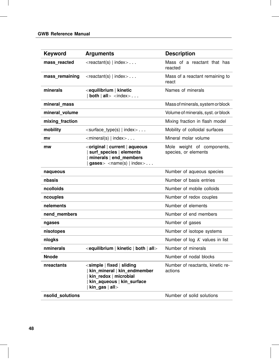| <b>Keyword</b>   | <b>Arguments</b>                                                                                                                                                                        | <b>Description</b>                                 |
|------------------|-----------------------------------------------------------------------------------------------------------------------------------------------------------------------------------------|----------------------------------------------------|
| mass_reacted     | $<$ reactant(s)   index $>$                                                                                                                                                             | Mass of a reactant that has<br>reacted             |
| mass_remaining   | $<$ reactant(s)   index $>$                                                                                                                                                             | Mass of a reactant remaining to<br>react           |
| minerals         | <equilibrium kinetic<br=""  =""><b>both</b> <math> </math><b>all</b> <math>&gt;</math> <index <math="">&gt;</index></equilibrium>                                                       | Names of minerals                                  |
| mineral mass     |                                                                                                                                                                                         | Mass of minerals, system or block                  |
| mineral volume   |                                                                                                                                                                                         | Volume of minerals, syst. or block                 |
| mixing_fraction  |                                                                                                                                                                                         | Mixing fraction in flash model                     |
| mobility         | $\le$ surface_type(s)   index>                                                                                                                                                          | Mobility of colloidal surfaces                     |
| mv               | $\leq$ mineral(s)   index $>$                                                                                                                                                           | Mineral molar volume                               |
| mw               | <original aqueous<br="" current=""  ="">surf_species   elements<br/>minerals   end_members<br/><math>{\sf gases} &gt; \langle {\sf name}(s)   {\sf index} &gt; \ldots</math></original> | Mole weight of components,<br>species, or elements |
| naqueous         |                                                                                                                                                                                         | Number of aqueous species                          |
| nbasis           |                                                                                                                                                                                         | Number of basis entries                            |
| ncolloids        |                                                                                                                                                                                         | Number of mobile colloids                          |
| ncouples         |                                                                                                                                                                                         | Number of redox couples                            |
| nelements        |                                                                                                                                                                                         | Number of elements                                 |
| nend_members     |                                                                                                                                                                                         | Number of end members                              |
| ngases           |                                                                                                                                                                                         | Number of gases                                    |
| nisotopes        |                                                                                                                                                                                         | Number of isotope systems                          |
| nlogks           |                                                                                                                                                                                         | Number of $log K$ values in list                   |
| nminerals        | <equilibrium all="" both="" kinetic=""  =""></equilibrium>                                                                                                                              | Number of minerals                                 |
| <b>Nnode</b>     |                                                                                                                                                                                         | Number of nodal blocks                             |
| nreactants       | $\le$ simple   fixed   sliding<br>kin mineral   kin endmember<br>kin redox   microbial<br>kin_aqueous   kin_surface<br>kin gas $ $ all $>$                                              | Number of reactants, kinetic re-<br>actions        |
| nsolid solutions |                                                                                                                                                                                         | Number of solid solutions                          |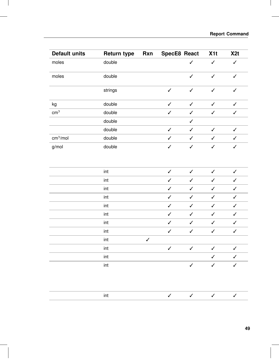| <b>Default units</b> | <b>Return type</b> | <b>Rxn</b>   |              | SpecE8 React | X <sub>1</sub> t | X <sub>2t</sub> |
|----------------------|--------------------|--------------|--------------|--------------|------------------|-----------------|
| moles                | double             |              |              | $\checkmark$ | $\checkmark$     | $\checkmark$    |
| moles                | double             |              |              | $\checkmark$ | $\checkmark$     | $\checkmark$    |
|                      | strings            |              | $\checkmark$ | $\checkmark$ | $\checkmark$     | $\checkmark$    |
| kg                   | double             |              | $\checkmark$ | $\checkmark$ | $\checkmark$     | $\checkmark$    |
| cm <sup>3</sup>      | double             |              | $\checkmark$ | $\checkmark$ | $\checkmark$     | $\checkmark$    |
|                      | double             |              |              | $\checkmark$ |                  |                 |
|                      | double             |              | $\checkmark$ | $\checkmark$ | $\checkmark$     | $\checkmark$    |
| cm <sup>3</sup> /mol | double             |              | $\checkmark$ | $\checkmark$ | $\checkmark$     | $\checkmark$    |
| g/mol                | double             |              | $\checkmark$ | $\checkmark$ | $\checkmark$     | $\checkmark$    |
|                      |                    |              |              |              |                  |                 |
|                      | int                |              | $\checkmark$ | $\checkmark$ | $\checkmark$     | $\checkmark$    |
|                      | int                |              | $\checkmark$ | $\checkmark$ | $\checkmark$     | $\checkmark$    |
|                      | int                |              | $\checkmark$ | $\checkmark$ | $\checkmark$     | $\checkmark$    |
|                      | int                |              | $\checkmark$ | $\checkmark$ | $\checkmark$     | $\checkmark$    |
|                      | int                |              | $\checkmark$ | $\checkmark$ | $\checkmark$     | $\checkmark$    |
|                      | int                |              | $\checkmark$ | $\checkmark$ | $\checkmark$     | $\checkmark$    |
|                      | int                |              | $\checkmark$ | $\checkmark$ | $\checkmark$     | $\checkmark$    |
|                      | int                |              | $\checkmark$ | $\checkmark$ | $\checkmark$     | $\checkmark$    |
|                      | int                | $\checkmark$ |              |              |                  |                 |
|                      | int                |              | $\checkmark$ | $\checkmark$ | $\checkmark$     | $\checkmark$    |
|                      | int                |              |              |              | $\checkmark$     | $\checkmark$    |
|                      | int                |              |              | $\checkmark$ | $\checkmark$     | $\checkmark$    |
|                      |                    |              |              |              |                  |                 |

| $\checkmark$ $\checkmark$ $\checkmark$ $\checkmark$ |
|-----------------------------------------------------|
|-----------------------------------------------------|

**49**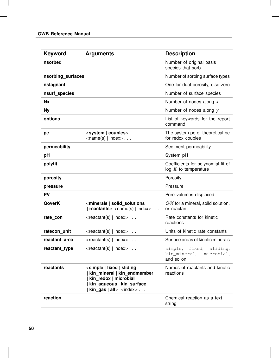| <b>Keyword</b>    | <b>Arguments</b>                                                                                                                                                        | <b>Description</b>                                                       |
|-------------------|-------------------------------------------------------------------------------------------------------------------------------------------------------------------------|--------------------------------------------------------------------------|
| nsorbed           |                                                                                                                                                                         | Number of original basis<br>species that sorb                            |
| nsorbing_surfaces |                                                                                                                                                                         | Number of sorbing surface types                                          |
| nstagnant         |                                                                                                                                                                         | One for dual porosity, else zero                                         |
| nsurf_species     |                                                                                                                                                                         | Number of surface species                                                |
| <b>Nx</b>         |                                                                                                                                                                         | Number of nodes along $x$                                                |
| <b>Ny</b>         |                                                                                                                                                                         | Number of nodes along $y$                                                |
| options           |                                                                                                                                                                         | List of keywords for the report<br>command                               |
| рe                | <system couples=""  =""><br/><math>\langle</math>name(s)   index<math>&gt;</math></system>                                                                              | The system pe or theoretical pe<br>for redox couples                     |
| permeability      |                                                                                                                                                                         | Sediment permeability                                                    |
| рH                |                                                                                                                                                                         | System pH                                                                |
| polyfit           |                                                                                                                                                                         | Coefficients for polynomial fit of<br>$log K$ to temperature             |
| porosity          |                                                                                                                                                                         | Porosity                                                                 |
| pressure          |                                                                                                                                                                         | Pressure                                                                 |
| <b>PV</b>         |                                                                                                                                                                         | Pore volumes displaced                                                   |
| <b>QoverK</b>     | <minerals solid="" solutions<br=""  =""><math> </math> reactants &gt; &lt; name(s) <math> </math> index &gt;</minerals>                                                 | $Q/K$ for a mineral, soild solution,<br>or reactant                      |
| rate_con          | $\langle$ reactant(s)   index $>$                                                                                                                                       | Rate constants for kinetic<br>reactions                                  |
| ratecon unit      | $\langle$ reactant(s)   index $>$                                                                                                                                       | Units of kinetic rate constants                                          |
| reactant_area     | $\langle$ reactant(s)   index $>$                                                                                                                                       | Surface areas of kinetic minerals                                        |
| reactant_type     | $\langle$ reactant(s)   index $>$                                                                                                                                       | simple,<br>fixed,<br>sliding,<br>kin_mineral,<br>microbial,<br>and so on |
| reactants         | $\le$ simple   fixed   sliding<br>kin mineral   kin endmember<br>kin redox   microbial<br>kin_aqueous   kin_surface<br>kin gas $ $ all $>$ <index <math="">&gt;</index> | Names of reactants and kinetic<br>reactions                              |
| reaction          |                                                                                                                                                                         | Chemical reaction as a text<br>string                                    |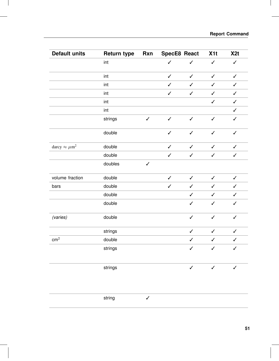| <b>Default units</b>    | <b>Return type</b> | <b>Rxn</b>   |              | <b>SpecE8 React</b> | X <sub>1</sub> t | X <sub>2</sub> t |
|-------------------------|--------------------|--------------|--------------|---------------------|------------------|------------------|
|                         | int                |              | $\checkmark$ | ✓                   | $\checkmark$     | $\checkmark$     |
|                         | int                |              | $\checkmark$ | $\checkmark$        | $\checkmark$     | $\checkmark$     |
|                         | int                |              | $\checkmark$ | $\checkmark$        | $\checkmark$     | $\checkmark$     |
|                         | int                |              | $\checkmark$ | $\checkmark$        | $\checkmark$     | $\checkmark$     |
|                         | int                |              |              |                     | $\checkmark$     | $\checkmark$     |
|                         | int                |              |              |                     |                  | $\checkmark$     |
|                         | strings            | $\checkmark$ | $\checkmark$ | $\checkmark$        | $\checkmark$     | $\checkmark$     |
|                         | double             |              | $\checkmark$ | $\checkmark$        | $\checkmark$     | $\checkmark$     |
| darcy $\approx \mu m^2$ | double             |              | $\checkmark$ | $\checkmark$        | $\checkmark$     | $\checkmark$     |
|                         | double             |              | $\checkmark$ | $\checkmark$        | $\checkmark$     | $\checkmark$     |
|                         | doubles            | $\checkmark$ |              |                     |                  |                  |
| volume fraction         | double             |              | $\checkmark$ | $\checkmark$        | $\checkmark$     | $\checkmark$     |
| bars                    | double             |              | $\checkmark$ | $\checkmark$        | $\checkmark$     | $\checkmark$     |
|                         | double             |              |              | $\checkmark$        | $\checkmark$     | $\checkmark$     |
|                         | double             |              |              | $\checkmark$        | $\checkmark$     | $\checkmark$     |
| (varies)                | double             |              |              | $\checkmark$        | $\checkmark$     | $\checkmark$     |
|                         | strings            |              |              | $\checkmark$        | $\checkmark$     | $\checkmark$     |
| cm <sup>2</sup>         | double             |              |              | $\checkmark$        | $\checkmark$     | $\checkmark$     |
|                         | strings            |              |              | $\checkmark$        | $\checkmark$     | $\checkmark$     |
|                         | strings            |              |              | $\checkmark$        | $\checkmark$     | ✓                |
|                         | string             | $\checkmark$ |              |                     |                  |                  |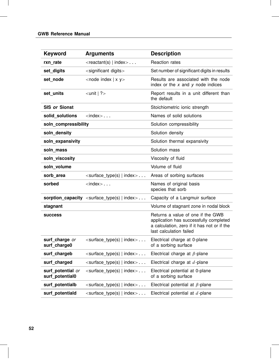| <b>Keyword</b>                       | <b>Arguments</b>                                                                                     | <b>Description</b>                                                                                                                                    |
|--------------------------------------|------------------------------------------------------------------------------------------------------|-------------------------------------------------------------------------------------------------------------------------------------------------------|
| rxn rate                             | $<$ reactant(s)   index $>$                                                                          | Reaction rates                                                                                                                                        |
| set_digits                           | <significant digits=""></significant>                                                                | Set number of significant digits in results                                                                                                           |
| set node                             | $\lt$ node index   x y $>$                                                                           | Results are associated with the node<br>index or the $x$ and $y$ node indices                                                                         |
| set_units                            | $\lt$ unit   ? $>$                                                                                   | Report results in a unit different than<br>the default                                                                                                |
| SIS or Sionst                        |                                                                                                      | Stoichiometric ionic strength                                                                                                                         |
| solid solutions                      | $\langle$ index $>$                                                                                  | Names of solid solutions                                                                                                                              |
| soln_compressibility                 |                                                                                                      | Solution compressibility                                                                                                                              |
| soln_density                         |                                                                                                      | Solution density                                                                                                                                      |
| soln_expansivity                     |                                                                                                      | Solution thermal expansivity                                                                                                                          |
| soln mass                            |                                                                                                      | Solution mass                                                                                                                                         |
| soln_viscosity                       |                                                                                                      | Viscosity of fluid                                                                                                                                    |
| soln_volume                          |                                                                                                      | Volume of fluid                                                                                                                                       |
| sorb_area                            | $\le$ surface_type(s)   index>                                                                       | Areas of sorbing surfaces                                                                                                                             |
| sorbed                               | $\langle$ index $>$                                                                                  | Names of original basis<br>species that sorb                                                                                                          |
|                                      | <b>sorption_capacity</b> <surface_type(s) <math="">  index&gt;<math>\ldots</math>.</surface_type(s)> | Capacity of a Langmuir surface                                                                                                                        |
| stagnant                             |                                                                                                      | Volume of stagnant zone in nodal block                                                                                                                |
| <b>SUCCESS</b>                       |                                                                                                      | Returns a value of one if the GWB<br>application has successfully completed<br>a calculation, zero if it has not or if the<br>last calculation failed |
| surf_charge or<br>surf_charge0       | <surface_type(s) index=""  =""></surface_type(s)>                                                    | Electrical charge at 0-plane<br>of a sorbing surface                                                                                                  |
| surf chargeb                         | <surface_type(s) index=""  =""></surface_type(s)>                                                    | Electrical charge at $\beta$ -plane                                                                                                                   |
| surf_charged                         | $\le$ surface_type(s)   index>                                                                       | Electrical charge at $d$ -plane                                                                                                                       |
| surf_potential or<br>surf_potential0 | $\le$ surface_type(s)   index>                                                                       | Electrical potential at 0-plane<br>of a sorbing surface                                                                                               |
| surf_potentialb                      | $\le$ surface type(s)   index>                                                                       | Electrical potential at $\beta$ -plane                                                                                                                |
| surf_potentiald                      | $\le$ surface_type(s)   index>                                                                       | Electrical potential at d-plane                                                                                                                       |

 $\overline{1}$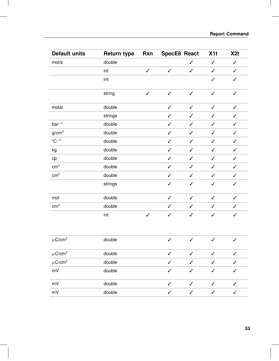$\mathbf{I}$ 

| <b>Default units</b>      | <b>Return type</b> | Rxn          |              | SpecE8 React | X <sub>1</sub> t | X <sub>2t</sub> |
|---------------------------|--------------------|--------------|--------------|--------------|------------------|-----------------|
| mol/s                     | double             |              |              | $\checkmark$ | $\checkmark$     | $\checkmark$    |
|                           | int                | $\checkmark$ | $\checkmark$ | $\checkmark$ | $\checkmark$     | $\checkmark$    |
|                           | int                |              |              |              | $\checkmark$     | ✓               |
|                           | string             | $\checkmark$ | $\checkmark$ | $\checkmark$ | $\checkmark$     | $\checkmark$    |
| molal                     | double             |              | $\checkmark$ | $\checkmark$ | $\checkmark$     | ✓               |
|                           | strings            |              | $\checkmark$ | $\checkmark$ | $\checkmark$     | ✓               |
| $bar^{-1}$                | double             |              | $\checkmark$ | $\checkmark$ | $\checkmark$     | $\checkmark$    |
| g/cm <sup>3</sup>         | double             |              | $\checkmark$ | $\checkmark$ | $\checkmark$     | ✓               |
| $^{\circ}\mathrm{C}^{-1}$ | double             |              | $\checkmark$ | $\checkmark$ | $\checkmark$     | $\checkmark$    |
| kg                        | double             |              | $\checkmark$ | $\checkmark$ | $\checkmark$     | $\checkmark$    |
| cp                        | double             |              | $\checkmark$ | $\checkmark$ | $\checkmark$     | $\checkmark$    |
| cm <sup>3</sup>           | double             |              | $\checkmark$ | $\checkmark$ | $\checkmark$     | ✓               |
| cm <sup>2</sup>           | double             |              | ✓            | $\checkmark$ | $\checkmark$     | ✓               |
|                           | strings            |              | $\checkmark$ | $\checkmark$ | $\checkmark$     | ✓               |
| mol                       | double             |              | $\checkmark$ | $\checkmark$ | $\checkmark$     | $\checkmark$    |
| cm <sup>3</sup>           | double             |              | $\checkmark$ | $\checkmark$ | $\checkmark$     | $\checkmark$    |
|                           | int                | $\checkmark$ | $\checkmark$ | $\checkmark$ | $\checkmark$     | ✓               |
| $\mu$ C/cm <sup>2</sup>   | double             |              | $\checkmark$ | $\checkmark$ | $\checkmark$     | $\checkmark$    |
| $\mu\mathrm{C/cm^2}$      | double             |              | $\checkmark$ | $\checkmark$ | $\checkmark$     | $\checkmark$    |
| $\mu$ C/cm <sup>2</sup>   | double             |              | $\checkmark$ | $\checkmark$ | $\checkmark$     | $\checkmark$    |
| $mV$                      | double             |              | $\checkmark$ | $\checkmark$ | $\checkmark$     | $\checkmark$    |
| $mV$                      | double             |              | $\checkmark$ | $\checkmark$ | $\checkmark$     | ✓               |
| $mV$                      | double             |              | $\checkmark$ | $\checkmark$ | $\checkmark$     | $\checkmark$    |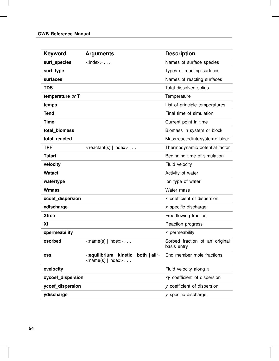| <b>Keyword</b>    | <b>Arguments</b>                                                                                                    | <b>Description</b>                            |
|-------------------|---------------------------------------------------------------------------------------------------------------------|-----------------------------------------------|
| surf_species      | $\langle$ index $>$                                                                                                 | Names of surface species                      |
| surf_type         |                                                                                                                     | Types of reacting surfaces                    |
| surfaces          |                                                                                                                     | Names of reacting surfaces                    |
| <b>TDS</b>        |                                                                                                                     | Total dissolved solids                        |
| temperature or T  |                                                                                                                     | Temperature                                   |
| temps             |                                                                                                                     | List of principle temperatures                |
| <b>Tend</b>       |                                                                                                                     | Final time of simulation                      |
| <b>Time</b>       |                                                                                                                     | Current point in time                         |
| total biomass     |                                                                                                                     | Biomass in system or block                    |
| total reacted     |                                                                                                                     | Mass reacted into system or block             |
| <b>TPF</b>        | $<$ reactant(s)   index>                                                                                            | Thermodynamic potential factor                |
| <b>Tstart</b>     |                                                                                                                     | Beginning time of simulation                  |
| velocity          |                                                                                                                     | Fluid velocity                                |
| Watact            |                                                                                                                     | Activity of water                             |
| watertype         |                                                                                                                     | lon type of water                             |
| <b>Wmass</b>      |                                                                                                                     | Water mass                                    |
| xcoef_dispersion  |                                                                                                                     | $x$ coefficient of dispersion                 |
| xdischarge        |                                                                                                                     | $x$ specific discharge                        |
| <b>Xfree</b>      |                                                                                                                     | Free-flowing fraction                         |
| Xi                |                                                                                                                     | Reaction progress                             |
| xpermeability     |                                                                                                                     | $x$ permeability                              |
| xsorbed           | $\langle$ name(s)   index $\rangle$                                                                                 | Sorbed fraction of an original<br>basis entry |
| xss               | <equilibrium all="" both="" kinetic=""  =""><br/><math>\langle</math>name(s)   index<math>&gt;</math></equilibrium> | End member mole fractions                     |
| xvelocity         |                                                                                                                     | Fluid velocity along $x$                      |
| xycoef_dispersion |                                                                                                                     | xy coefficient of dispersion                  |
| ycoef dispersion  |                                                                                                                     | y coefficient of dispersion                   |
| ydischarge        |                                                                                                                     | $y$ specific discharge                        |

 $\mathbf{I}$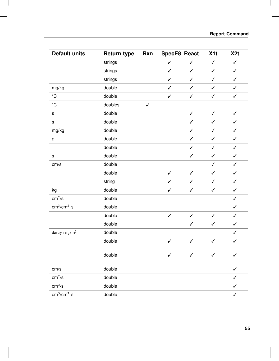$\overline{1}$ 

| <b>Default units</b>    | <b>Return type</b> | <b>Rxn</b>   |              | SpecE8 React | X <sub>1</sub> t | X <sub>2</sub> t |
|-------------------------|--------------------|--------------|--------------|--------------|------------------|------------------|
|                         | strings            |              | $\checkmark$ | $\checkmark$ | $\checkmark$     | $\checkmark$     |
|                         | strings            |              | $\checkmark$ | $\checkmark$ | $\checkmark$     | $\checkmark$     |
|                         | strings            |              | $\checkmark$ | ✓            | ✓                | $\checkmark$     |
| mg/kg                   | double             |              | $\checkmark$ | ✓            | $\checkmark$     | $\checkmark$     |
| $^{\circ}{\rm C}$       | double             |              | ✓            | $\checkmark$ | $\checkmark$     | $\checkmark$     |
| $\mathbf{C}$            | doubles            | $\checkmark$ |              |              |                  |                  |
| $\mathsf{s}$            | double             |              |              | $\checkmark$ | $\checkmark$     | $\checkmark$     |
| $\mathsf S$             | double             |              |              | $\checkmark$ | $\checkmark$     | $\checkmark$     |
| mg/kg                   | double             |              |              | $\checkmark$ | $\checkmark$     | $\checkmark$     |
| g                       | double             |              |              | $\checkmark$ | $\checkmark$     | $\checkmark$     |
|                         | double             |              |              | ✓            | $\checkmark$     | $\checkmark$     |
| s                       | double             |              |              | $\checkmark$ | $\checkmark$     | $\checkmark$     |
| cm/s                    | double             |              |              |              | ✓                | ✓                |
|                         | double             |              | $\checkmark$ | $\checkmark$ | ✓                | $\checkmark$     |
|                         | string             |              | ✓            | $\checkmark$ | ✓                | $\checkmark$     |
| kg                      | double             |              | $\checkmark$ | $\checkmark$ | $\checkmark$     | $\checkmark$     |
| cm <sup>2</sup> /s      | double             |              |              |              |                  | $\checkmark$     |
| $cm3/cm2$ s             | double             |              |              |              |                  | $\checkmark$     |
|                         | double             |              | $\checkmark$ | $\checkmark$ | $\checkmark$     | $\checkmark$     |
|                         | double             |              |              | $\checkmark$ | $\checkmark$     | $\checkmark$     |
| darcy $\approx \mu m^2$ | double             |              |              |              |                  | ✓                |
|                         | double             |              | $\checkmark$ | $\checkmark$ | $\checkmark$     | $\checkmark$     |
|                         | double             |              | $\checkmark$ | $\checkmark$ | $\checkmark$     | $\checkmark$     |
| cm/s                    | double             |              |              |              |                  | $\checkmark$     |
| cm <sup>2</sup> /s      | double             |              |              |              |                  | $\checkmark$     |
| cm <sup>2</sup> /s      | double             |              |              |              |                  | $\checkmark$     |
| $cm3/cm2$ s             | double             |              |              |              |                  | $\checkmark$     |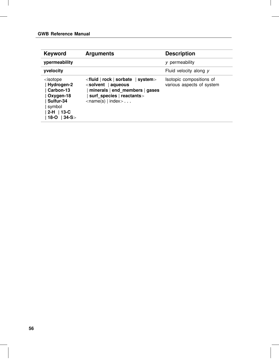| <b>Keyword</b>                                                                                             | <b>Arguments</b>                                                                                                                                                                                                                               | <b>Description</b>                                    |
|------------------------------------------------------------------------------------------------------------|------------------------------------------------------------------------------------------------------------------------------------------------------------------------------------------------------------------------------------------------|-------------------------------------------------------|
| ypermeability                                                                                              |                                                                                                                                                                                                                                                | y permeability                                        |
| yvelocity                                                                                                  |                                                                                                                                                                                                                                                | Fluid velocity along y                                |
| $iisotope$<br>Hydrogen-2<br>Carbon-13<br>Oxygen-18<br>Sulfur-34<br>symbol<br>$2-H$   13-C<br>18-0 $ 34-S>$ | <fluid rock="" sorbate="" system=""  =""><br/><solvent aqueous<br=""  ="">minerals <math> </math> end members <math> </math> gases<br/>surf species   reactants&gt;<br/><math>\langle</math>name(s)   index<math>&gt;</math></solvent></fluid> | Isotopic compositions of<br>various aspects of system |

 $\overline{1}$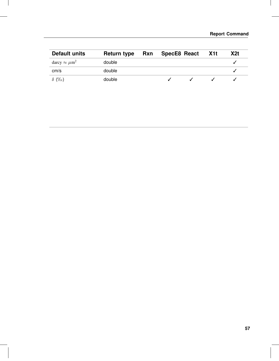| Default units                  | <b>Return type</b> | Rxn SpecE8 React X1t | X <sub>2</sub> t |
|--------------------------------|--------------------|----------------------|------------------|
| darcy $\approx \mu \text{m}^2$ | double             |                      |                  |
| cm/s                           | double             |                      |                  |
| $\delta$ (%)                   | double             |                      |                  |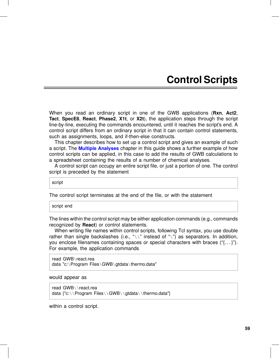# **Control Scripts**

<span id="page-66-0"></span>When you read an ordinary script in one of the GWB applications (**Rxn**, **Act2**, **Tact**, **SpecE8**, **React**, **Phase2**, **X1t**, or **X2t**), the application steps through the script line-by-line, executing the commands encountered, until it reaches the script's end. A control script differs from an ordinary script in that it can contain control statements, such as assignments, loops, and if-then-else constructs.

This chapter describes how to set up a control script and gives an example of such a script. The **[Multiple Analyses](#page-124-0)** chapter in this guide shows a further example of how control scripts can be applied, in this case to add the results of GWB calculations to a spreadsheet containing the results of a number of chemical analyses.

A control script can occupy an entire script file, or just a portion of one. The control script is preceded by the statement

script

The control script terminates at the end of the file, or with the statement

script end

The lines within the control script may be either application commands (e.g., commands recognized by **React**) or control statements.

When writing file names within control scripts, following Tcl syntax, you use double rather than single backslashes (i.e., "\\" instead of "\") as separators. In addition, you enclose filenames containing spaces or special characters with braces ("{ $\dots$ }"). For example, the application commands

read GWB\react.rea data "c:\Program Files\GWB\gtdata\thermo.data"

would appear as

```
read GWB\\react.rea
data {"c:\\Program Files\\GWB\\gtdata\\thermo.data"}
```
within a control script.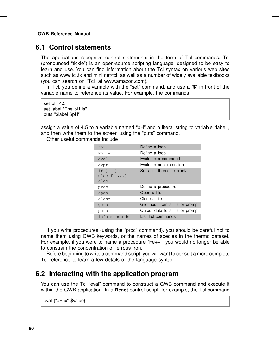## **6.1 Control statements**

The applications recognize control statements in the form of Tcl commands. Tcl (pronounced "tickle") is an open-source scripting language, designed to be easy to learn and use. You can find information about the Tcl syntax on various web sites such as www.tcl.tk and mini.net/tcl, as well as a number of widely available textbooks (you can search on "Tcl" at www.amazon.com).

In Tcl, you define a variable with the "set" command, and use a "\$" in front of the variable name to reference its value. For example, the commands

```
set pH 4.5
set label "The pH is"
puts "$label $pH"
```
assign a value of 4.5 to a variable named "pH" and a literal string to variable "label", and then write them to the screen using the "puts" command.

Other useful commands include

| for                                              | Define a loop                   |
|--------------------------------------------------|---------------------------------|
| while                                            | Define a loop                   |
| eval                                             | Evaluate a command              |
| expr                                             | Evaluate an expression          |
| if $\{\ldots\}$<br>elseif $\{ \ldots \}$<br>else | Set an if-then-else block       |
| proc                                             | Define a procedure              |
| open                                             | Open a file                     |
| close                                            | Close a file                    |
| gets                                             | Get input from a file or prompt |
| puts                                             | Output data to a file or prompt |
| info commands                                    | List Tcl commands               |

If you write procedures (using the "proc" command), you should be careful not to name them using GWB keywords, or the names of species in the thermo dataset. For example, if you were to name a procedure "Fe++", you would no longer be able to constrain the concentration of ferrous iron.

Before beginning to write a command script, you will want to consult a more complete Tcl reference to learn a few details of the language syntax.

# **6.2 Interacting with the application program**

You can use the Tcl "eval" command to construct a GWB command and execute it within the GWB application. In a **React** control script, for example, the Tcl command

eval {"pH =" \$value}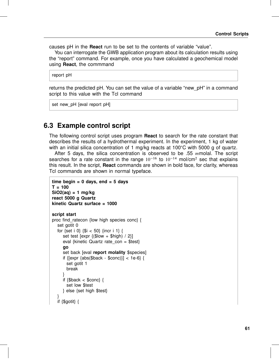causes pH in the **React** run to be set to the contents of variable "value".

You can interrogate the GWB application program about its calculation results using the "report" command. For example, once you have calculated a geochemical model using **React**, the commmand

```
report pH
```
returns the predicted pH. You can set the value of a variable "new\_pH" in a command script to this value with the Tcl command

set new pH [eval report pH]

# **6.3 Example control script**

The following control script uses program **React** to search for the rate constant that describes the results of a hydrothermal experiment. In the experiment, 1 kg of water with an initial silica concentration of 1 mg/kg reacts at 100°C with 5000 g of quartz.

After 5 days, the silica concentration is observed to be .55  *molal. The script* searches for a rate constant in the range  $10^{-16}$  to  $10^{-14}$  mol/cm<sup>2</sup> sec that explains this result. In the script, **React** commands are shown in bold face, for clarity, whereas Tcl commands are shown in normal typeface.

```
time begin = 0 days, end = 5 days
T = 100
SiO2(aq) = 1 mg/kg
react 5000 g Quartz
kinetic Quartz surface = 1000
script start
proc find_ratecon {low high species conc} {
  set gotit 0
  for {set i 0} {$i < 50} {incr i 1} {
     set test [expr {($low + $high) / 2}]
     eval {kinetic Quartz rate con = $test}
     go
     set back [eval report molality $species]
     if {[expr {abs}{\$back - \$cone)}]} < 1e-6set gotit 1
       break
     }
     if {$back < $conc} { }set low $test
     } else {set high $test}
   }
  if {$gotit} {
```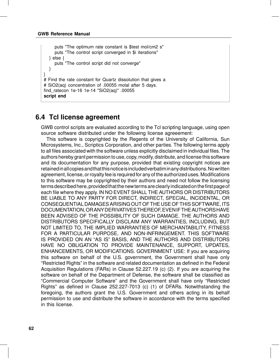#### **GWB Reference Manual**

puts "The optimum rate constant is \$test mol/cm2 s" puts "The control script converged in \$i iterations" } else { puts "The control script did not converge" } } # Find the rate constant for Quartz dissolution that gives a # SiO2(aq) concentration of .00055 molal after 5 days. find\_ratecon 1e-16 1e-14 "SiO2(aq)" .00055 **script end**

# **6.4 Tcl license agreement**

GWB control scripts are evaluated according to the Tcl scripting language, using open source software distributed under the following license agreeement:

This software is copyrighted by the Regents of the University of California, Sun Microsystems, Inc., Scriptics Corporation, and other parties. The following terms apply to all files associated with the software unless explicitly disclaimed in individual files. The authors hereby grant permission to use, copy, modify, distribute, and license this software and its documentation for any purpose, provided that existing copyright notices are retainedinallcopiesandthatthisnoticeisincludedverbatiminanydistributions.Nowritten agreement, license, or royalty fee is required for any of the authorized uses. Modifications to this software may be copyrighted by their authors and need not follow the licensing terms described here, providedthatthe newterms are clearly indicated onthe first page of each file where they apply. IN NO EVENT SHALL THE AUTHORS OR DISTRIBUTORS BE LIABLE TO ANY PARTY FOR DIRECT, INDIRECT, SPECIAL, INCIDENTAL, OR CONSEQUENTIAL DAMAGES ARISING OUT OF THE USE OF THIS SOFTWARE, ITS DOCUMENTATION,ORANYDERIVATIVESTHEREOF,EVENIFTHEAUTHORSHAVE BEEN ADVISED OF THE POSSIBILITY OF SUCH DAMAGE. THE AUTHORS AND DISTRIBUTORS SPECIFICALLY DISCLAIM ANY WARRANTIES, INCLUDING, BUT NOT LIMITED TO, THE IMPLIED WARRANTIES OF MERCHANTABILITY, FITNESS FOR A PARTICULAR PURPOSE, AND NON-INFRINGEMENT. THIS SOFTWARE IS PROVIDED ON AN "AS IS" BASIS, AND THE AUTHORS AND DISTRIBUTORS HAVE NO OBLIGATION TO PROVIDE MAINTENANCE, SUPPORT, UPDATES, ENHANCEMENTS, OR MODIFICATIONS. GOVERNMENT USE: If you are acquiring this software on behalf of the U.S. government, the Government shall have only "Restricted Rights" in the software and related documentation as defined in the Federal Acquisition Regulations (FARs) in Clause 52.227.19 (c) (2). If you are acquiring the software on behalf of the Department of Defense, the software shall be classified as "Commercial Computer Software" and the Government shall have only "Restricted Rights" as defined in Clause 252.227-7013 (c) (1) of DFARs. Notwithstanding the foregoing, the authors grant the U.S. Government and others acting in its behalf permission to use and distribute the software in accordance with the terms specified in this license.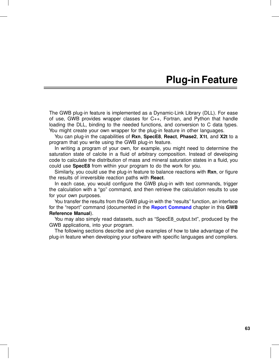# **Plug-in Feature**

<span id="page-70-0"></span>The GWB plug-in feature is implemented as a Dynamic-Link Library (DLL). For ease of use, GWB provides wrapper classes for C++, Fortran, and Python that handle loading the DLL, binding to the needed functions, and conversion to C data types. You might create your own wrapper for the plug-in feature in other languages.

You can plug-in the capabilities of **Rxn**, **SpecE8**, **React**, **Phase2**, **X1t**, and **X2t** to a program that you write using the GWB plug-in feature.

In writing a program of your own, for example, you might need to determine the saturation state of calcite in a fluid of arbitrary composition. Instead of developing code to calculate the distribution of mass and mineral saturation states in a fluid, you could use **SpecE8** from within your program to do the work for you.

Similarly, you could use the plug-in feature to balance reactions with **Rxn**, or figure the results of irreversible reaction paths with **React**.

In each case, you would configure the GWB plug-in with text commands, trigger the calculation with a "go" command, and then retrieve the calculation results to use for your own purposes.

You transfer the results from the GWB plug-in with the "results" function, an interface for the "report" command (documented in the **[Report Command](#page-44-0)** chapter in this **GWB Reference Manual**).

You may also simply read datasets, such as "SpecE8\_output.txt", produced by the GWB applications, into your program.

The following sections describe and give examples of how to take advantage of the plug-in feature when developing your software with specific languages and compilers.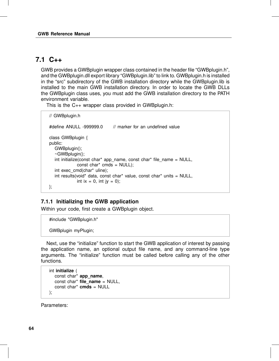# **7.1 C++**

GWB provides a GWBplugin wrapper class contained in the header file "GWBplugin.h", and the GWBplugin.dll export library "GWBplugin.lib" to link to. GWBplugin.h is installed in the "src" subdirectory of the GWB installation directory while the GWBplugin.lib is installed to the main GWB installation directory. In order to locate the GWB DLLs the GWBplugin class uses, you must add the GWB installation directory to the PATH environment variable.

This is the C++ wrapper class provided in GWBplugin.h:

```
// GWBplugin.h
#define ANULL -999999.0 // marker for an undefined value
class GWBplugin {
public:
  GWBplugin();
   ~GWBplugin();
   int initialize(const char* app_name, const char* file_name = NULL,
             const char* cmds = NULL;
   int exec_cmd(char* uline);
  int results(void* data, const char* value, const char* units = NULL,
             int ix = 0, int iy = 0;
};
```
## **7.1.1 Initializing the GWB application**

Within your code, first create a GWBplugin object.

#include "GWBplugin.h"

GWBplugin myPlugin;

Next, use the "initialize" function to start the GWB application of interest by passing the application name, an optional output file name, and any command-line type arguments. The "initialize" function must be called before calling any of the other functions.

```
int initialize (
  const char* app_name,
  const char* file_name = NULL,
  const char* cmds = NULL
);
```
Parameters: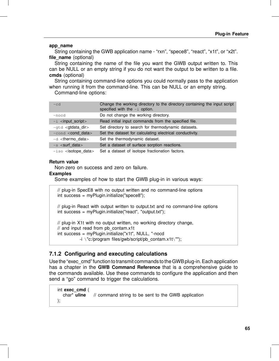#### **app\_name**

String containing the GWB application name - "rxn", "spece8", "react", "x1t", or "x2t". file name (optional)

String containing the name of the file you want the GWB output written to. This can be NULL or an empty string if you do not want the output to be written to a file. **cmds** (optional)

String containing command-line options you could normally pass to the application when running it from the command-line. This can be NULL or an empty string.

Command-line options:

| $-cd$                                 | Change the working directory to the directory containing the input script<br>specified with the $-i$ option. |
|---------------------------------------|--------------------------------------------------------------------------------------------------------------|
| -nocd                                 | Do not change the working directory.                                                                         |
| $-i$ $\langle$ input script $\rangle$ | Read initial input commands from the specified file.                                                         |
| $-$ gtd $\leq$ gtdata dir $>$         | Set directory to search for thermodynamic datasets.                                                          |
| $-cond <$ cond data>                  | Set the dataset for calculating electrical conductivity.                                                     |
| $-d$ <thermo data=""></thermo>        | Set the thermodynamic dataset.                                                                               |
| $-s$ <surf data=""></surf>            | Set a dataset of surface sorption reactions.                                                                 |
| $-iso$ $<$ isotope data>              | Set a dataset of isotope fractionation factors.                                                              |

#### **Return value**

Non-zero on success and zero on failure.

#### **Examples**

Some examples of how to start the GWB plug-in in various ways:

```
// plug-in SpecE8 with no output written and no command-line options
int success = myPlugin.initialize("spece8");
```

```
// plug-in React with output written to output.txt and no command-line options
int success = myPlugin.initialize("react", "output.txt");
```

```
// plug-in X1t with no output written, no working directory change,
// and input read from pb_contam.x1t
int success = myPlugin.initialize("x1t", NULL, "-nocd
           -i \"c:/program files/gwb/script/pb_contam.x1t\"");
```
# **7.1.2 Configuring and executing calculations**

Use the "exec\_cmd" function to transmit commands to the GWB plug-in. Each application has a chapter in the **GWB Command Reference** that is a comprehensive guide to the commands available. Use these commands to configure the application and then send a "go" command to trigger the calculations.

```
int exec_cmd (
  char* uline // command string to be sent to the GWB application
);
```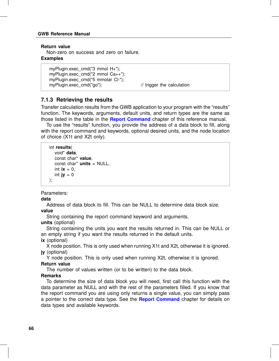#### **GWB Reference Manual**

#### **Return value**

Non-zero on success and zero on failure.

#### **Examples**

myPlugin.exec\_cmd("3 mmol H+"); myPlugin.exec cmd("2 mmol  $Ca++$ "); myPlugin.exec\_cmd("5 mmolar Cl-"); myPlugin.exec\_cmd("go"); // trigger the calculation

# **7.1.3 Retrieving the results**

Transfer calculation results from the GWB application to your program with the "results" function. The keywords, arguments, default units, and return types are the same as those listed in the table in the **[Report Command](#page-44-0)** chapter of this reference manual.

To use the "results" function, you provide the address of a data block to fill, along with the report command and keywords, optional desired units, and the node location of choice (X1t and X2t only).

```
int results(
   void* data,
   const char* value,
   const char* units = NULL,
   int \mathbf{i} \mathbf{x} = 0.
   int j\mathbf{y} = 0);
```
Parameters:

## **data**

Address of data block to fill. This can be NULL to determine data block size.

**value**

String containing the report command keyword and arguments.

# **units** (optional)

String containing the units you want the results returned in. This can be NULL or an empty string if you want the results returned in the default units.

**ix** (optional)

X node position. This is only used when running X1t and X2t, otherwise it is ignored. **jy** (optional)

Y node position. This is only used when running X2t, otherwise it is ignored.

#### **Return value**

The number of values written (or to be written) to the data block.

#### **Remarks**

To determine the size of data block you will need, first call this function with the data parameter as NULL and with the rest of the parameters filled. If you know that the report command you are using only returns a single value, you can simply pass a pointer to the correct data type. See the **[Report Command](#page-44-0)** chapter for details on data types and available keywords.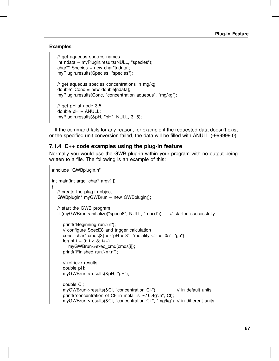#### **Examples**

```
// get aqueous species names
int ndata = myPlugin.results(NULL, "species");
char** Species = new char*[ndata];
myPlugin.results(Species, "species");
// get aqueous species concentrations in mg/kg
double* Conc = new double[ndata];
myPlugin.results(Conc, "concentration aqueous", "mg/kg");
// get pH at node 3,5
double pH = ANULL;
myPlugin.results(&pH, "pH", NULL, 3, 5);
```
If the command fails for any reason, for example if the requested data doesn't exist or the specified unit conversion failed, the data will be filled with ANULL (-999999.0).

# **7.1.4 C++ code examples using the plug-in feature**

Normally you would use the GWB plug-in within your program with no output being written to a file. The following is an example of this:

```
#include "GWBplugin.h"
int main(int argc, char* argv[ ])
{
  // create the plug-in object
  GWBplugin* myGWBrun = new GWBplugin();
  // start the GWB program
  if (myGWBrun->initialize("spece8", NULL, "-nocd")) { // started successfully
     printf("Beginning run.\n");
     // configure SpecE8 and trigger calculation
     const char* cmds[3] = {^m}PH = 8", "molality Cl- = .05", "go"};
     for(int i = 0; i < 3; i++)
        myGWBrun->exec_cmd(cmds[i]);
     printf("Finished run.\n\n");
     // retrieve results
     double pH;
     myGWBrun->results(&pH, "pH");
     double Cl;
     myGWBrun->results(&Cl, "concentration Cl-"); // in default units
     printf("concentration of Cl- in molal is %10.4g\n", Cl);
     myGWBrun->results(&Cl, "concentration Cl-", "mg/kg"); // in different units
```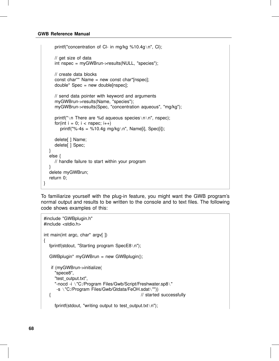#### **GWB Reference Manual**

```
printf("concentration of CI- in mg/kg %10.4g\n", Cl);
  // get size of data
  int nspec = myGWBrun->results(NULL, "species");
  // create data blocks
  const char** Name = new const char*[nspec];
  double* Spec = new double[nspec];
  // send data pointer with keyword and arguments
   myGWBrun->results(Name, "species");
   myGWBrun->results(Spec, "concentration aqueous", "mg/kg");
   printf("\n There are %d aqueous species\n\n", nspec);
  for(int i = 0; i < nspec; i++)
     printf("%-4s = %10.4g mg/kg\n", Name[i], Spec[i]);
  delete[ ] Name;
  delete[ ] Spec;
}
else {
  // handle failure to start within your program
}
delete myGWBrun;
return 0;
```
To familiarize yourself with the plug-in feature, you might want the GWB program's normal output and results to be written to the console and to text files. The following code shows examples of this:

```
#include "GWBplugin.h"
#include <stdio.h>
int main(int argc, char* argv[ ])
{
  fprintf(stdout, "Starting program SpecE8\n");
  GWBplugin* myGWBrun = new GWBplugin();
   if (myGWBrun->initialize(
     "spece8",
     "test_output.txt",
    "-nocd -i \"C:/Program Files/Gwb/Script/Freshwater.sp8\"
     -s \"C:/Program Files/Gwb/Gtdata/FeOH.sdat\""))
  { // started successfully
    fprintf(stdout, "writing output to test_output.txt\n");
```
**68**

}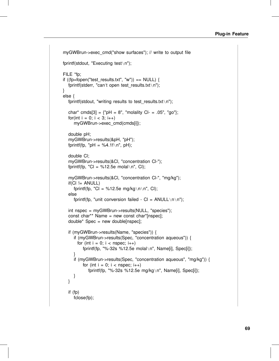```
myGWBrun->exec_cmd("show surfaces"); // write to output file
fprintf(stdout, "Executing test\n");
FILE *fp;
if ((fp=fopen("test_results.txt", "w")) == NULL) {
  fprintf(stderr, "can't open test_results.txt\n");
}
else {
  fprintf(stdout, "writing results to test results.txt\n\cdot n");
  char* cmds[3] = {"pH = 8", "molality Cl- = .05", "go"};
  for(int i = 0; i < 3; i++)
     myGWBrun->exec_cmd(cmds[i]);
  double pH;
  myGWBrun->results(&pH, "pH");
  fprintf(fp, "pH = %4.1f\n", pH);
  double Cl;
  myGWBrun->results(&Cl, "concentration Cl-");
  fprintf(fp, "Cl = %12.5e molal\n", Cl);
  myGWBrun->results(&Cl, "concentration Cl-", "mg/kg");
  if(CI \leq ANDUL)fprintf(fp, "Cl = %12.5e mg/kg\n\n", Cl);
  else
     fprintf(fp, "unit conversion failed - CI = ANULL \n\land n");
  int nspec = myGWBrun->results(NULL, "species");
  const char** Name = new const char*[nspec];
  double* Spec = new double[nspec];
  if (myGWBrun->results(Name, "species")) {
     if (myGWBrun->results(Spec, "concentration aqueous")) {
       for (int i = 0; i < nspec; i++)
          fprintf(fp, "%-32s %12.5e molal\n\overline{\n}", Name[i], Spec[i]);
     }
     if (myGWBrun->results(Spec, "concentration aqueous", "mg/kg")) {
          for (int i = 0; i < nspec; i++)
             fprintf(fp, "%-32s %12.5e mg/kg\n", Name[i], Spec[i]);
     }
  }
  if (fp)
     fclose(fp);
```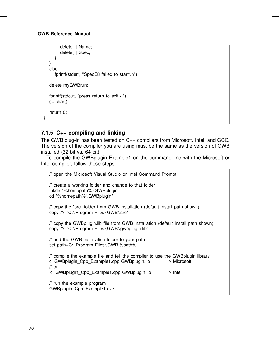```
delete[ ] Name;
        delete[ ] Spec;
     }
  }
  else
     fprintf(stderr, "SpecE8 failed to start\n");
  delete myGWBrun;
  fprintf(stdout, "press return to exit> ");
  getchar();
  return 0;
}
```
# **7.1.5 C++ compiling and linking**

The GWB plug-in has been tested on C++ compilers from Microsoft, Intel, and GCC. The version of the compiler you are using must be the same as the version of GWB installed (32-bit vs. 64-bit).

To compile the GWBplugin Example1 on the command line with the Microsoft or Intel compiler, follow these steps:

```
// open the Microsoft Visual Studio or Intel Command Prompt
// create a working folder and change to that folder
mkdir "%homepath%\GWBplugin"
cd "%homepath%\GWBplugin"
// copy the "src" folder from GWB installation (default install path shown)
copy /Y "C:\Program Files\GWB\src"
// copy the GWBplugin.lib file from GWB installation (default install path shown)
copy /Y "C:\Program Files\GWB\gwbplugin.lib"
// add the GWB installation folder to your path
set path=C:\Program Files\GWB;%path%
// compile the example file and tell the compiler to use the GWBplugin library
cl GWBplugin_Cpp_Example1.cpp GWBplugin.lib // Microsoft
\frac{1}{2} or
icl GWBplugin_Cpp_Example1.cpp GWBplugin.lib // Intel
// run the example program
GWBplugin_Cpp_Example1.exe
```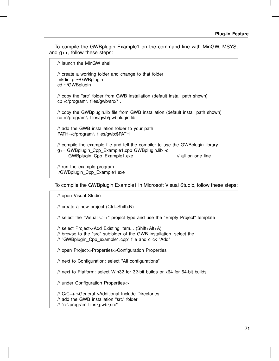To compile the GWBplugin Example1 on the command line with MinGW, MSYS, and g++, follow these steps:

// launch the MinGW shell // create a working folder and change to that folder mkdir -p ~/GWBplugin cd ~/GWBplugin // copy the "src" folder from GWB installation (default install path shown) cp /c/program\ files/gwb/src/\* . // copy the GWBplugin.lib file from GWB installation (default install path shown) cp /c/program\ files/gwb/gwbplugin.lib . // add the GWB installation folder to your path PATH=/c/program\ files/gwb:\$PATH // compile the example file and tell the compiler to use the GWBplugin library g++ GWBplugin\_Cpp\_Example1.cpp GWBplugin.lib -o GWBplugin\_Cpp\_Example1.exe // all on one line // run the example program ./GWBplugin\_Cpp\_Example1.exe

To compile the GWBplugin Example1 in Microsoft Visual Studio, follow these steps:

// open Visual Studio // create a new project (Ctrl+Shift+N) // select the "Visual C++" project type and use the "Empty Project" template // select Project->Add Existing Item... (Shift+Alt+A) // browse to the "src" subfolder of the GWB installation, select the // "GWBplugin\_Cpp\_example1.cpp" file and click "Add" // open Project->Properties->Configuration Properties // next to Configuration: select "All configurations" // next to Platform: select Win32 for 32-bit builds or x64 for 64-bit builds // under Configuration Properties-> // C/C++->General->Additional Include Directories - // add the GWB installation "src" folder // "c:\program files\gwb\src"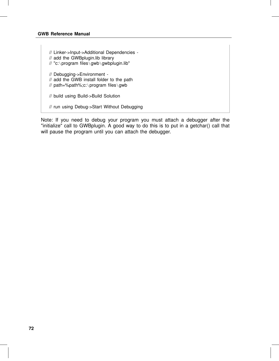#### **GWB Reference Manual**

// Linker->Input->Additional Dependencies - // add the GWBplugin.lib library // "c:\program files\gwb\gwbplugin.lib" // Debugging->Environment - // add the GWB install folder to the path // path=%path%;c:\program files\gwb // build using Build->Build Solution

// run using Debug->Start Without Debugging

Note: If you need to debug your program you must attach a debugger after the "initialize" call to GWBplugin. A good way to do this is to put in a getchar() call that will pause the program until you can attach the debugger.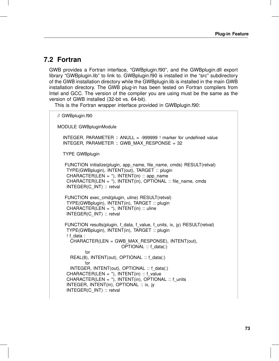# **7.2 Fortran**

GWB provides a Fortran interface, "GWBplugin.f90", and the GWBplugin.dll export library "GWBplugin.lib" to link to. GWBplugin.f90 is installed in the "src" subdirectory of the GWB installation directory while the GWBplugin.lib is installed in the main GWB installation directory. The GWB plug-in has been tested on Fortran compilers from Intel and GCC. The version of the compiler you are using must be the same as the version of GWB installed (32-bit vs. 64-bit).

This is the Fortran wrapper interface provided in GWBplugin.f90:

```
// GWBplugin.f90
MODULE GWBpluginModule
  INTEGER, PARAMETER :: ANULL = -999999 ! marker for undefined value
  INTEGER, PARAMETER :: GWB_MAX_RESPONSE = 32
  TYPE GWBplugin
   FUNCTION initialize(plugin, app_name, file_name, cmds) RESULT(retval)
    TYPE(GWBplugin), INTENT(out), TARGET :: plugin
    CHARACTER(LEN = *), INTENT(in) :: app_name
    CHARACTER(LEN = *), INTENT(in), OPTIONAL :: file name, cmds
    INTEGER(C_INT) :: retval
   FUNCTION exec_cmd(plugin, uline) RESULT(retval)
    TYPE(GWBplugin), INTENT(in), TARGET :: plugin
    CHARACTER(LEN = *), INTENT(in) :: uline
    INTEGER(C_INT) :: retval
   FUNCTION results(plugin, f_data, f_value, f_units, ix, jy) RESULT(retval)
    TYPE(GWBplugin), INTENT(in), TARGET :: plugin
    ! f data :
     CHARACTER(LEN = GWB_MAX_RESPONSE), INTENT(out),
                           OPTIONAL :: f_data(:)
            !or
     REAL(8), INTENT(out), OPTIONAL :: f_data(:)
            !or
     INTEGER, INTENT(out), OPTIONAL :: f_data(:)
    CHARACTER(LEN = *), INTENT(in) :: f_value
    CHARACTER(LEN = *), INTENT(in), OPTIONAL :: f_units
    INTEGER, INTENT(in), OPTIONAL :: ix, jy
    INTEGER(C_INT) :: retval
```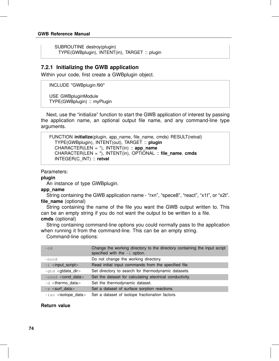SUBROUTINE destroy(plugin) TYPE(GWBplugin), INTENT(in), TARGET :: plugin

# **7.2.1 Initializing the GWB application**

Within your code, first create a GWBplugin object.

INCLUDE "GWBplugin.f90"

USE GWBpluginModule TYPE(GWBplugin) :: myPlugin

Next, use the "initialize" function to start the GWB application of interest by passing the application name, an optional output file name, and any command-line type arguments.

FUNCTION **initialize**(plugin, app\_name, file\_name, cmds) RESULT(retval) TYPE(GWBplugin), INTENT(out), TARGET :: **plugin** CHARACTER(LEN = \*), INTENT(in) :: **app\_name** CHARACTER(LEN = \*), INTENT(in), OPTIONAL :: **file\_name**, **cmds** INTEGER(C\_INT) :: **retval**

Parameters:

#### **plugin**

An instance of type GWBplugin.

#### **app\_name**

String containing the GWB application name - "rxn", "spece8", "react", "x1t", or "x2t". **file\_name** (optional)

String containing the name of the file you want the GWB output written to. This can be an empty string if you do not want the output to be written to a file. **cmds** (optional)

String containing command-line options you could normally pass to the application when running it from the command-line. This can be an empty string.

Command-line options:

| $-cd$                           | Change the working directory to the directory containing the input script<br>specified with the $-i$ option. |
|---------------------------------|--------------------------------------------------------------------------------------------------------------|
| -nocd                           | Do not change the working directory.                                                                         |
| $-i$ $\langle$ input script $>$ | Read initial input commands from the specified file.                                                         |
| $-$ qtd < qtdata dir >          | Set directory to search for thermodynamic datasets.                                                          |
| -cond <cond data=""></cond>     | Set the dataset for calculating electrical conductivity.                                                     |
| $-d$ <thermo data=""></thermo>  | Set the thermodynamic dataset.                                                                               |
| $-s$ <surf data=""></surf>      | Set a dataset of surface sorption reactions.                                                                 |
| $-$ iso $\lt$ isotope data>     | Set a dataset of isotope fractionation factors.                                                              |

#### **Return value**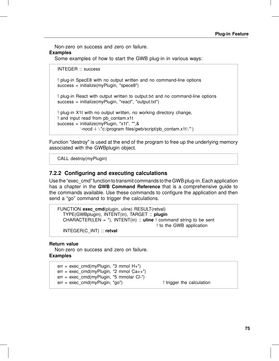Non-zero on success and zero on failure.

#### **Examples**

Some examples of how to start the GWB plug-in in various ways:

INTEGER :: success

! plug-in SpecE8 with no output written and no command-line options success = initialize(myPlugin, "spece8")

! plug-in React with output written to output.txt and no command-line options success = initialize(myPlugin, "react", "output.txt")

! plug-in X1t with no output written, no working directory change, ! and input read from pb\_contam.x1t success = initialize(myPlugin, "x1t", "",& '-nocd -i  $\Upsilon$ ./program files/gwb/script/pb\_contam.x1t $\Upsilon$ ")

Function "destroy" is used at the end of the program to free up the underlying memory associated with the GWBplugin object.

CALL destroy(myPlugin)

## **7.2.2 Configuring and executing calculations**

Use the "exec\_cmd" function to transmit commands to the GWB plug-in. Each application has a chapter in the **GWB Command Reference** that is a comprehensive guide to the commands available. Use these commands to configure the application and then send a "go" command to trigger the calculations.

FUNCTION **exec** cmd(plugin, uline) RESULT(retval) TYPE(GWBplugin), INTENT(in), TARGET :: **plugin** CHARACTER(LEN = \*), INTENT(in) :: **uline** ! command string to be sent ! to the GWB application

INTEGER(C\_INT) :: **retval**

#### **Return value**

Non-zero on success and zero on failure.

**Examples**

 $err = exec$  cmd(myPlugin, "3 mmol H+")  $err = exec$  cmd(myPlugin, "2 mmol Ca++") err = exec\_cmd(myPlugin, "5 mmolar Cl-") err = exec\_cmd(myPlugin, "go") ! trigger the calculation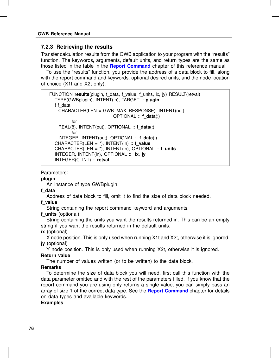# **7.2.3 Retrieving the results**

Transfer calculation results from the GWB application to your program with the "results" function. The keywords, arguments, default units, and return types are the same as those listed in the table in the **[Report Command](#page-44-0)** chapter of this reference manual.

To use the "results" function, you provide the address of a data block to fill, along with the report command and keywords, optional desired units, and the node location of choice (X1t and X2t only).

```
FUNCTION results(plugin, f_data, f_value, f_units, ix, jy) RESULT(retval)
  TYPE(GWBplugin), INTENT(in), TARGET :: plugin
  ! f data :
   CHARACTER(LEN = GWB_MAX_RESPONSE), INTENT(out),
                           OPTIONAL :: f_data(:)
         !or
    REAL(8), INTENT(out), OPTIONAL :: f_data(:)
         !or
    INTEGER, INTENT(out), OPTIONAL :: f_data(:)
  CHARACTER(LEN = *), INTENT(in) :: f_value
  CHARACTER(LEN = *), INTENT(in), OPTIONAL :: f_units
  INTEGER, INTENT(in), OPTIONAL :: ix, jy
  INTEGER(C_INT) :: retval
```
# Parameters:

**plugin**

An instance of type GWBplugin.

#### **f\_data**

Address of data block to fill, omit it to find the size of data block needed.

### **f\_value**

String containing the report command keyword and arguments.

**f\_units** (optional)

String containing the units you want the results returned in. This can be an empty string if you want the results returned in the default units.

# **ix** (optional)

X node position. This is only used when running X1t and X2t, otherwise it is ignored. **jy** (optional)

Y node position. This is only used when running X2t, otherwise it is ignored.

# **Return value**

The number of values written (or to be written) to the data block.

# **Remarks**

To determine the size of data block you will need, first call this function with the data parameter omitted and with the rest of the parameters filled. If you know that the report command you are using only returns a single value, you can simply pass an array of size 1 of the correct data type. See the **[Report Command](#page-44-0)** chapter for details on data types and available keywords.

# **Examples**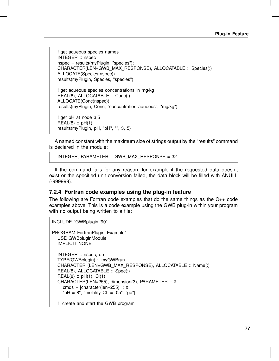```
! get aqueous species names
INTEGER :: nspec
nspec = results(myPlugin, "species");
CHARACTER(LEN=GWB_MAX_RESPONSE), ALLOCATABLE :: Species(:)
ALLOCATE(Species(nspec))
results(myPlugin, Species, "species")
! get aqueous species concentrations in mg/kg
REAL(8), ALLOCATABLE :: Conc(:)
ALLOCATE(Conc(nspec))
results(myPlugin, Conc, "concentration aqueous", "mg/kg")
! get pH at node 3,5
REAL(8) :: pH(1)results(myPlugin, pH, "pH", "", 3, 5)
```
A named constant with the maximum size of strings output by the "results" command is declared in the module:

```
INTEGER, PARAMETER :: GWB_MAX_RESPONSE = 32
```
If the command fails for any reason, for example if the requested data doesn't exist or the specified unit conversion failed, the data block will be filled with ANULL (-999999).

# **7.2.4 Fortran code examples using the plug-in feature**

The following are Fortran code examples that do the same things as the C++ code examples above. This is a code example using the GWB plug-in within your program with no output being written to a file:

INCLUDE "GWBplugin.f90"

```
PROGRAM FortranPlugin_Example1
  USE GWBpluginModule
  IMPLICIT NONE
  INTEGER :: nspec, err, i
  TYPE(GWBplugin) :: myGWBrun
  CHARACTER (LEN=GWB_MAX_RESPONSE), ALLOCATABLE :: Name(:)
  REAL(8), ALLOCATABLE :: Spec(:)
  REAL(8) :: pH(1), CI(1)CHARACTER(LEN=255), dimension(3), PARAMETER :: &
    cmds = [character(len=255) :: 8]"pH = 8", "molality Cl- = .05", "go"]
```
! create and start the GWB program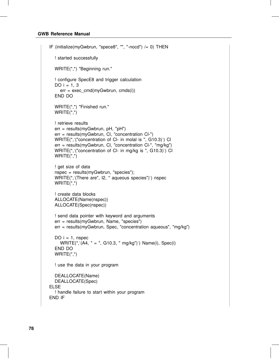#### **GWB Reference Manual**

```
IF (initialize(myGwbrun, "spece8", "", "-nocd") /= 0) THEN
  ! started successfully
  WRITE(*,*) "Beginning run."
  ! configure SpecE8 and trigger calculation
  DO i = 1, 3err = exec_cmd(myGwbrun, cmds(i))
  END DO
  WRITE(*,*) "Finished run."
  WRITE(*,*)
  ! retrieve results
  err = results(myGwbrun, pH, "pH")
  err = results(myGwbrun, Cl, "concentration Cl-")
  WRITE(*,'("concentration of Cl- in molal is ", G10.3)') Cl
  err = results(myGwbrun, Cl, "concentration Cl-", "mg/kg")
  WRITE(*,'("concentration of Cl- in mg/kg is ", G10.3)') Cl
  WRITE(*,*)
  ! get size of data
  nspec = results(myGwbrun, "species");
  WRITE(*,'(There are", I2, " aqueous species")') nspec
  WRITE(*,*)
  ! create data blocks
  ALLOCATE(Name(nspec))
  ALLOCATE(Spec(nspec))
  ! send data pointer with keyword and arguments
  err = results(myGwbrun, Name, "species")
  err = results(myGwbrun, Spec, "concentration aqueous", "mg/kg")
  DO i = 1, nspec
     WRITE(*,'(A4, " = ", G10.3, " mg/kg")') Name(i), Spec(i)
  END DO
  WRITE(*,*)
  ! use the data in your program
  DEALLOCATE(Name)
  DEALLOCATE(Spec)
ELSE
  ! handle failure to start within your program
END IF
```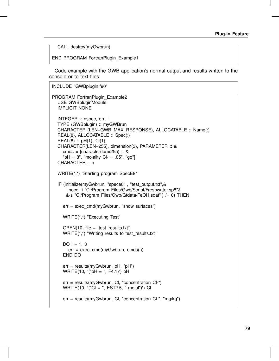CALL destroy(myGwbrun)

END PROGRAM FortranPlugin\_Example1

Code example with the GWB application's normal output and results written to the console or to text files:

```
INCLUDE "GWBplugin.f90"
PROGRAM FortranPlugin_Example2
  USE GWBpluginModule
  IMPLICIT NONE
  INTEGER :: nspec, err, i
  TYPE (GWBplugin) :: myGWBrun
  CHARACTER (LEN=GWB_MAX_RESPONSE), ALLOCATABLE :: Name(:)
  REAL(8), ALLOCATABLE :: Spec(:)
  REAL(8) :: pH(1), CI(1)CHARACTER(LEN=255), dimension(3), PARAMETER :: &
    cmds = [character(len=255) :: 8]"pH = 8", "molality Cl- = .05", "go"]
  CHARACTER :: a
  WRITE(*,*) "Starting program SpecE8"
  IF (initialize(myGwbrun, "spece8" , "test_output.txt",&
      '-nocd -i "C:/Program Files/Gwb/Script/Freshwater.sp8"&
      &-s "C:/Program Files/Gwb/Gtdata/FeOH.sdat"') /= 0) THEN
    err = exec_cmd(myGwbrun, "show surfaces")
    WRITE(*,*) "Executing Test"
    OPEN(10, file = 'test_results.txt')
    WRITE(*,*) "Writing results to test results.txt"
    DO i = 1, 3err = exec_cmd(myGwbrun, cmds(i))
    END DO
    err = results(myGwbrun, pH, "pH")
    WRITE(10, '("pH = ", F4.1)') pH
    err = results(myGwbrun, Cl, "concentration Cl-")
    WRITE(10, '("Cl = ", ES12.5, " molal")') Cl
    err = results(myGwbrun, Cl, "concentration Cl-", "mg/kg")
```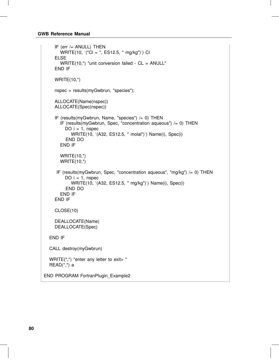```
IF (err /= ANULL) THEN
       WRITE(10, '("Cl = ", ES12.5, " mg/kg")') Cl
    ELSE
       WRITE(10,*) "unit conversion failed - CL = ANULL"
    END IF
    WRITE(10,*)nspec = results(myGwbrun, "species");
    ALLOCATE(Name(nspec))
    ALLOCATE(Spec(nspec))
    IF (results(myGwbrun, Name, "species") /= 0) THEN
       IF (results(myGwbrun, Spec, "concentration aqueous") /= 0) THEN
         DO i = 1, nspec
            WRITE(10, '(A32, ES12.5, " molal")') Name(i), Spec(i)
         END DO
       END IF
       WRITE(10,*)
       WRITE(10,*)IF (results(myGwbrun, Spec, "concentration aqueous", "mg/kg") /= 0) THEN
         DO i = 1, nspec
            WRITE(10, '(A32, ES12.5, " mg/kg")') Name(i), Spec(i)
         END DO
       END IF
    END IF
    CLOSE(10)
     DEALLOCATE(Name)
    DEALLOCATE(Spec)
  END IF
  CALL destroy(myGwbrun)
  WRITE(*,*) "enter any letter to exit> "
  READ(*,*) a
END PROGRAM FortranPlugin_Example2
```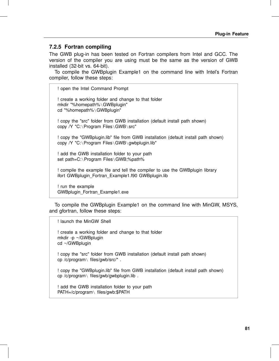# **7.2.5 Fortran compiling**

The GWB plug-in has been tested on Fortran compilers from Intel and GCC. The version of the compiler you are using must be the same as the version of GWB installed (32-bit vs. 64-bit).

To compile the GWBplugin Example1 on the command line with Intel's Fortran compiler, follow these steps:

! open the Intel Command Prompt ! create a working folder and change to that folder mkdir "%homepath%\GWBplugin" cd "%homepath%\GWBplugin" ! copy the "src" folder from GWB installation (default install path shown) copy /Y "C:\Program Files\GWB\src" ! copy the "GWBplugin.lib" file from GWB installation (default install path shown) copy /Y "C:\Program Files\GWB\gwbplugin.lib" ! add the GWB installation folder to your path set path=C:\Program Files\GWB;%path% ! compile the example file and tell the compiler to use the GWBplugin library ifort GWBplugin\_Fortran\_Example1.f90 GWBplugin.lib

! run the example GWBplugin\_Fortran\_Example1.exe

To compile the GWBplugin Example1 on the command line with MinGW, MSYS, and gfortran, follow these steps:

! launch the MinGW Shell

! create a working folder and change to that folder mkdir -p ~/GWBplugin cd ~/GWBplugin

! copy the "src" folder from GWB installation (default install path shown) cp /c/program\ files/gwb/src/\* .

! copy the "GWBplugin.lib" file from GWB installation (default install path shown) cp /c/program\ files/gwb/gwbplugin.lib .

! add the GWB installation folder to your path PATH=/c/program\ files/gwb:\$PATH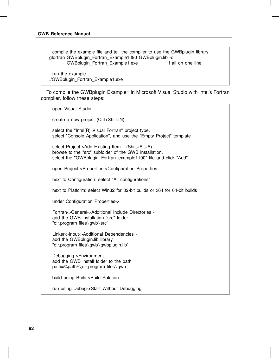! compile the example file and tell the compiler to use the GWBplugin library gfortran GWBplugin\_Fortran\_Example1.f90 GWBplugin.lib -o GWBplugin Fortran Example1.exe ! all on one line

! run the example ./GWBplugin\_Fortran\_Example1.exe

To compile the GWBplugin Example1 in Microsoft Visual Studio with Intel's Fortran compiler, follow these steps:

! open Visual Studio ! create a new project (Ctrl+Shift+N) ! select the "Intel(R) Visual Fortran" project type, ! select "Console Application", and use the "Empty Project" template ! select Project->Add Existing Item... (Shift+Alt+A) ! browse to the "src" subfolder of the GWB installation, ! select the "GWBplugin\_Fortran\_example1.f90" file and click "Add" ! open Project->Properties->Configuration Properties ! next to Configuration: select "All configurations" ! next to Platform: select Win32 for 32-bit builds or x64 for 64-bit builds ! under Configuration Properties-> ! Fortran->General->Additional Include Directories - ! add the GWB installation "src" folder ! "c:\program files\gwb\src" ! Linker->Input->Additional Dependencies - ! add the GWBplugin.lib library ! "c:\program files\gwb\gwbplugin.lib" ! Debugging->Environment - ! add the GWB install folder to the path ! path=%path%;c:\program files\gwb ! build using Build->Build Solution ! run using Debug->Start Without Debugging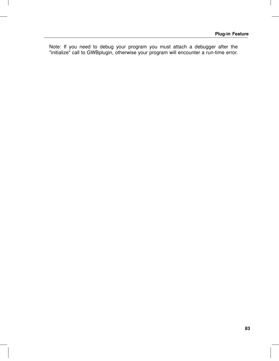Note: If you need to debug your program you must attach a debugger after the "initialize" call to GWBplugin, otherwise your program will encounter a run-time error.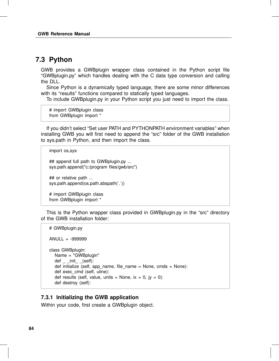# **7.3 Python**

GWB provides a GWBplugin wrapper class contained in the Python script file "GWBplugin.py" which handles dealing with the C data type conversion and calling the DLL.

Since Python is a dynamically typed language, there are some minor differences with its "results" functions compared to statically typed languages.

To include GWBplugin.py in your Python script you just need to import the class.

# import GWBplugin class from GWBplugin import \*

If you didn't select "Set user PATH and PYTHONPATH environment variables" when installing GWB you will first need to append the "src" folder of the GWB installation to sys.path in Python, and then import the class.

```
import os,sys
```

```
## append full path to GWBplugin.py ...
sys.path.append("c:/program files/gwb/src")
```

```
## or relative path ...
sys.path.append(os.path.abspath('.'))
```

```
# import GWBplugin class
from GWBplugin import *
```
This is the Python wrapper class provided in GWBplugin.py in the "src" directory of the GWB installation folder:

```
# GWBplugin.py
ANULL = -999999
class GWBplugin:
  Name = "GWBplugin"
  def \_\_init\_\_ (self):def initialize (self, app_name, file_name = None, cmds = None):
  def exec_cmd (self, uline):
  def results (self, value, units = None, ix = 0, iy = 0):
  def destroy (self):
```
# **7.3.1 Initializing the GWB application**

Within your code, first create a GWBplugin object.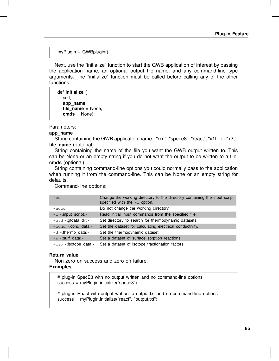myPlugin = GWBplugin()

Next, use the "initialize" function to start the GWB application of interest by passing the application name, an optional output file name, and any command-line type arguments. The "initialize" function must be called before calling any of the other functions.

def **initialize** ( self, **app\_name**, **file\_name** = None, **cmds** = None):

Parameters:

**app\_name**

String containing the GWB application name - "rxn", "spece8", "react", "x1t", or "x2t". **file\_name** (optional)

String containing the name of the file you want the GWB output written to. This can be None or an empty string if you do not want the output to be written to a file. **cmds** (optional)

String containing command-line options you could normally pass to the application when running it from the command-line. This can be None or an empty string for defaults.

Command-line options:

| $-cd$                                 | Change the working directory to the directory containing the input script<br>specified with the $-i$ option. |
|---------------------------------------|--------------------------------------------------------------------------------------------------------------|
| -nocd                                 | Do not change the working directory.                                                                         |
| $-i$ $\langle$ input script $\rangle$ | Read initial input commands from the specified file.                                                         |
| $-$ gtd $\leq$ gtdata dir $>$         | Set directory to search for thermodynamic datasets.                                                          |
| $-cond <$ cond data>                  | Set the dataset for calculating electrical conductivity.                                                     |
| $-d$ <thermo data=""></thermo>        | Set the thermodynamic dataset.                                                                               |
| $-s$ <surf data=""></surf>            | Set a dataset of surface sorption reactions.                                                                 |
| $-iso$ $\lt$ isotope data $>$         | Set a dataset of isotope fractionation factors.                                                              |

#### **Return value**

Non-zero on success and zero on failure.

# **Examples**

# plug-in SpecE8 with no output written and no command-line options success = myPlugin.initialize("spece8")

# plug-in React with output written to output.txt and no command-line options success = myPlugin.initialize("react", "output.txt")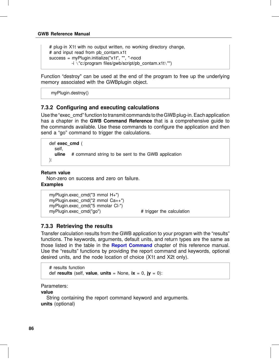```
# plug-in X1t with no output written, no working directory change,
# and input read from pb_contam.x1t
success = myPlugin.initialize("x1t", "", "-nocd
            -i \setminus "c:/program files/gwb/script/pb_contam.x1t\setminus "")
```
Function "destroy" can be used at the end of the program to free up the underlying memory associated with the GWBplugin object.

myPlugin.destroy()

# **7.3.2 Configuring and executing calculations**

Use the "exec cmd" function to transmit commands to the GWB plug-in. Each application has a chapter in the **GWB Command Reference** that is a comprehensive guide to the commands available. Use these commands to configure the application and then send a "go" command to trigger the calculations.

```
def exec_cmd (
  self,
  uline # command string to be sent to the GWB application
):
```
# **Return value**

Non-zero on success and zero on failure.

# **Examples**

myPlugin.exec\_cmd("3 mmol H+") myPlugin.exec\_cmd("2 mmol Ca++") myPlugin.exec\_cmd("5 mmolar Cl-") myPlugin.exec cmd("go")  $\qquad$  # trigger the calculation

# **7.3.3 Retrieving the results**

Transfer calculation results from the GWB application to your program with the "results" functions. The keywords, arguments, default units, and return types are the same as those listed in the table in the **[Report Command](#page-44-0)** chapter of this reference manual. Use the "results" functions by providing the report command and keywords, optional desired units, and the node location of choice (X1t and X2t only).

```
# results function
def results (self, value, units = None, \mathbf{i} \mathbf{x} = 0, \mathbf{j} \mathbf{y} = 0):
```
Parameters:

**value**

String containing the report command keyword and arguments. **units** (optional)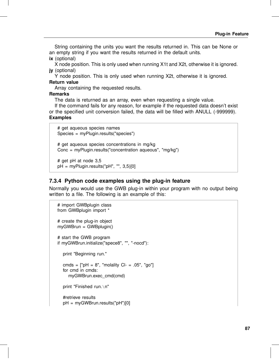String containing the units you want the results returned in. This can be None or an empty string if you want the results returned in the default units.

**ix** (optional)

X node position. This is only used when running X1t and X2t, otherwise it is ignored. **jy** (optional)

Y node position. This is only used when running X2t, otherwise it is ignored. **Return value**

Array containing the requested results.

#### **Remarks**

The data is returned as an array, even when requesting a single value.

If the command fails for any reason, for example if the requested data doesn't exist or the specified unit conversion failed, the data will be filled with ANULL (-999999). **Examples**

```
# get aqueous species names
Species = myPlugin.results("species")
# get aqueous species concentrations in mg/kg
Conc = myPlugin.results("concentration aqueous", "mg/kg")
# get pH at node 3,5
pH = myPlugin.results("pH", "", 3,5)[0]
```
# **7.3.4 Python code examples using the plug-in feature**

Normally you would use the GWB plug-in within your program with no output being written to a file. The following is an example of this:

```
# import GWBplugin class
from GWBplugin import *
# create the plug-in object
myGWBrun = GWBplugin()
# start the GWB program
if myGWBrun.initialize("spece8", "", "-nocd"):
  print "Beginning run."
  cmds = ['pH = 8", "molality CI- = .05", "go"]for cmd in cmds:
     myGWBrun.exec_cmd(cmd)
  print "Finished run.\n"
  #retrieve results
  pH = myGWBrun.results("pH")[0]
```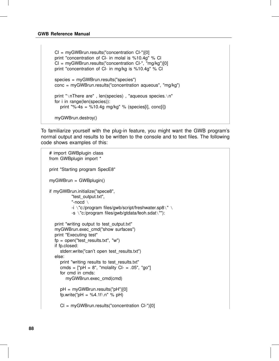```
Cl = myGWBrun.results("concentration Cl-")[0]
print "concentration of Cl- in molal is %10.4g" % Cl
Cl = myGWBrun. results("concentration Cl-", "mg/kg")[0]print "concentration of Cl- in mg/kg is %10.4g" % Cl
species = myGWBrun.results("species")
conc = myGWBrun.results("concentration aqueous", "mg/kg")
print "\nThere are" , len(species) , "aqueous species.\n"
for i in range(len(species)):
  print "%-4s = %10.4g mg/kg" % (species[i], conc[i])
myGWBrun.destroy()
```
To familiarize yourself with the plug-in feature, you might want the GWB program's normal output and results to be written to the console and to text files. The following code shows examples of this:

```
# import GWBplugin class
from GWBplugin import *
print "Starting program SpecE8"
myGWBrun = GWBplugin()
if myGWBrun.initialize("spece8",
           "test_output.txt",
           "-nocd \setminus-i \"c:/program files/gwb/script/freshwater.sp8\" \
           -s \"c:/program files/gwb/gtdata/feoh.sdat\""):
  print "writing output to test_output.txt"
  myGWBrun.exec_cmd("show surfaces")
  print "Executing test"
  fp = open("test_results.txt", "w")
  if fp.closed:
     stderr.write("can't open test_results.txt")
  else:
     print "writing results to test results.txt"
     cmds = ['pH = 8", "molality CI- = .05", "go"]for cmd in cmds:
       myGWBrun.exec_cmd(cmd)
     pH = myGWBrun.results("pH")[0]
     fp.write("pH = %4.1f\n\cdotn" % pH)
     Cl = myGWBrun.results("concentration Cl-")[0]
```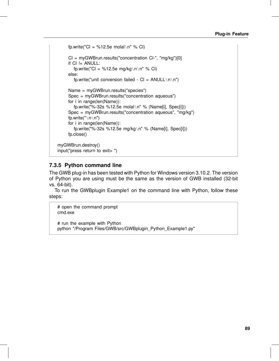```
fp.write("Cl = %12.5e molal\n" % Cl)
     Cl = myGWBrun.results("concentration Cl-", "mg/kg")[0]
     if CI != ANULL:
       fp.write("Cl = %12.5e mg/kg\n\n" % Cl)
     else:
       fp.write("unit conversion failed - CI = ANULL\n\times n")
     Name = myGWBrun.results("species")
     Spec = myGWBrun.results("concentration aqueous")
     for i in range(len(Name)):
       fp.write("%-32s %12.5e molal\n" % (Name[i], Spec[i]))
     Spec = myGWBrun.results("concentration aqueous", "mg/kg")
     fp.write("\n\n")
     for i in range(len(Name)):
       fp.write("%-32s %12.5e mg/kg\n" % (Name[i], Spec[i]))
     fp.close()
myGWBrun.destroy()
input("press return to exit> ")
```
# **7.3.5 Python command line**

The GWB plug-in has been tested with Python for Windows version 3.10.2. The version of Python you are using must be the same as the version of GWB installed (32-bit vs. 64-bit).

To run the GWBplugin Example1 on the command line with Python, follow these steps:

# open the command prompt cmd.exe

# run the example with Python python "/Program Files/GWB/src/GWBplugin\_Python\_Example1.py"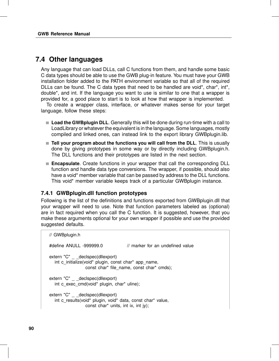# **7.4 Other languages**

Any language that can load DLLs, call C functions from them, and handle some basic C data types should be able to use the GWB plug-in feature. You must have your GWB installation folder added to the PATH environment variable so that all of the required DLLs can be found. The C data types that need to be handled are void\*, char\*, int\*, double\*, and int. If the language you want to use is similar to one that a wrapper is provided for, a good place to start is to look at how that wrapper is implemented.

To create a wrapper class, interface, or whatever makes sense for your target language, follow these steps:

- **Load the GWBplugin DLL**. Generally this will be done during run-time with a call to LoadLibrary or whatever the equivalent is in the language. Some languages, mostly compiled and linked ones, can instead link to the export library GWBplugin.lib.
- **Tell your program about the functions you will call from the DLL**. This is usually done by giving prototypes in some way or by directly including GWBplugin.h. The DLL functions and their prototypes are listed in the next section.
- **Encapsulate**. Create functions in your wrapper that call the corresponding DLL function and handle data type conversions. The wrapper, if possible, should also have a void\* member variable that can be passed by address to the DLL functions. This void\* member variable keeps track of a particular GWBplugin instance.

# **7.4.1 GWBplugin.dll function prototypes**

Following is the list of the definitions and functions exported from GWBplugin.dll that your wrapper will need to use. Note that function parameters labeled as (optional) are in fact required when you call the C function. It is suggested, however, that you make these arguments optional for your own wrapper if possible and use the provided suggested defaults.

```
// GWBplugin.h
#define ANULL -999999.0 // marker for an undefined value
extern "C" declspec(dllexport)
  int c initialize(void* plugin, const char* app_name,
                 const char* file_name, const char* cmds);
extern "C" _ _ declspec(dllexport)
  int c_exec_cmd(void* plugin, char* uline);
extern "C" declspec(dllexport)
  int c_results(void* plugin, void* data, const char* value,
                 const char* units, int ix, int jy);
```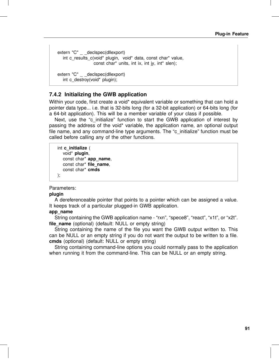extern "C" \_ \_ declspec(dllexport) int c\_results\_c(void\* plugin, void\* data, const char\* value, const char\* units, int ix, int jy, int\* slen); extern "C" \_ \_ declspec(dllexport) int c\_destroy(void\* plugin);

# **7.4.2 Initializing the GWB application**

Within your code, first create a void\* equivalent variable or something that can hold a pointer data type... i.e. that is 32-bits long (for a 32-bit application) or 64-bits long (for a 64-bit application). This will be a member variable of your class if possible.

Next, use the "c initialize" function to start the GWB application of interest by passing the address of the void\* variable, the application name, an optional output file name, and any command-line type arguments. The "c\_initialize" function must be called before calling any of the other functions.

```
int c_initialize (
  void* plugin,
  const char* app_name,
  const char* file_name,
  const char* cmds
);
```
Parameters:

#### **plugin**

A dereferenceable pointer that points to a pointer which can be assigned a value. It keeps track of a particular plugged-in GWB application.

#### **app\_name**

String containing the GWB application name - "rxn", "spece8", "react", "x1t", or "x2t". file name (optional) (default: NULL or empty string)

String containing the name of the file you want the GWB output written to. This can be NULL or an empty string if you do not want the output to be written to a file. **cmds** (optional) (default: NULL or empty string)

String containing command-line options you could normally pass to the application when running it from the command-line. This can be NULL or an empty string.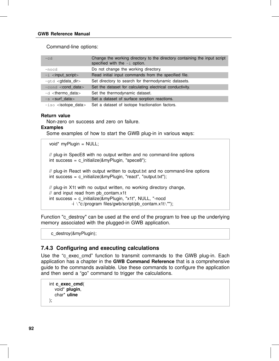Command-line options:

| $-cd$                          | Change the working directory to the directory containing the input script<br>specified with the $-i$ option. |
|--------------------------------|--------------------------------------------------------------------------------------------------------------|
| -nocd                          | Do not change the working directory.                                                                         |
| $-i$ <input script=""/>        | Read initial input commands from the specified file.                                                         |
| $-$ gtd $\leq$ gtdata dir $>$  | Set directory to search for thermodynamic datasets.                                                          |
| $-cond <$ cond data>           | Set the dataset for calculating electrical conductivity.                                                     |
| $-d$ <thermo data=""></thermo> | Set the thermodynamic dataset.                                                                               |
| $-s$ <surf data=""></surf>     | Set a dataset of surface sorption reactions.                                                                 |
| $-iso$ $\lt$ isotope data $>$  | Set a dataset of isotope fractionation factors.                                                              |

#### **Return value**

Non-zero on success and zero on failure.

#### **Examples**

Some examples of how to start the GWB plug-in in various ways:

void\* myPlugin = NULL;

```
// plug-in SpecE8 with no output written and no command-line options
int success = c initialize(&myPlugin, "species";
```

```
// plug-in React with output written to output.txt and no command-line options
int success = c initialize(&myPlugin, "react", "output.txt");
```
// plug-in X1t with no output written, no working directory change, // and input read from pb\_contam.x1t int success = c\_initialize(&myPlugin, "x1t", NULL, "-nocd -i \"c:/program files/gwb/script/pb\_contam.x1t\"");

Function "c destroy" can be used at the end of the program to free up the underlying memory associated with the plugged-in GWB application.

c\_destroy(&myPlugin);

# **7.4.3 Configuring and executing calculations**

Use the "c\_exec\_cmd" function to transmit commands to the GWB plug-in. Each application has a chapter in the **GWB Command Reference** that is a comprehensive guide to the commands available. Use these commands to configure the application and then send a "go" command to trigger the calculations.

```
int c_exec_cmd(
  void* plugin,
  char* uline
);
```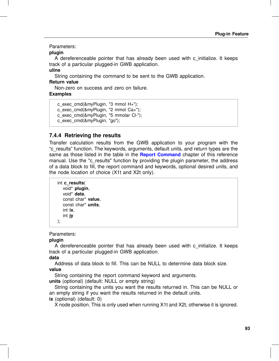Parameters:

# **plugin**

A dereferenceable pointer that has already been used with c\_initialize. It keeps track of a particular plugged-in GWB application.

**uline**

String containing the command to be sent to the GWB application.

# **Return value**

Non-zero on success and zero on failure.

# **Examples**

```
c_exec_cmd(&myPlugin, "3 mmol H_+");
c_exec_cmd(&myPlugin, "2 mmol Ca+");
c_exec_cmd(&myPlugin, "5 mmolar Cl-");
c_exec_cmd(&myPlugin, "go");
```
# **7.4.4 Retrieving the results**

Transfer calculation results from the GWB application to your program with the "c\_results" function. The keywords, arguments, default units, and return types are the same as those listed in the table in the **[Report Command](#page-44-0)** chapter of this reference manual. Use the "c results" function by providing the plugin parameter, the address of a data block to fill, the report command and keywords, optional desired units, and the node location of choice (X1t and X2t only).

```
int c_results(
  void* plugin,
  void* data,
  const char* value,
  const char* units,
  int ix,
  int jy
);
```
#### Parameters:

#### **plugin**

A dereferenceable pointer that has already been used with c\_initialize. It keeps track of a particular plugged-in GWB application.

# **data**

Address of data block to fill. This can be NULL to determine data block size. **value**

String containing the report command keyword and arguments.

**units** (optional) (default: NULL or empty string)

String containing the units you want the results returned in. This can be NULL or an empty string if you want the results returned in the default units.

**ix** (optional) (default: 0)

X node position. This is only used when running X1t and X2t, otherwise it is ignored.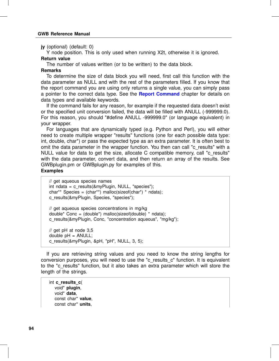#### **GWB Reference Manual**

#### **jy** (optional) (default: 0)

Y node position. This is only used when running X2t, otherwise it is ignored. **Return value**

The number of values written (or to be written) to the data block.

## **Remarks**

To determine the size of data block you will need, first call this function with the data parameter as NULL and with the rest of the parameters filled. If you know that the report command you are using only returns a single value, you can simply pass a pointer to the correct data type. See the **[Report Command](#page-44-0)** chapter for details on data types and available keywords.

If the command fails for any reason, for example if the requested data doesn't exist or the specified unit conversion failed, the data will be filled with ANULL (-999999.0). For this reason, you should "#define ANULL -999999.0" (or language equivalent) in your wrapper.

For languages that are dynamically typed (e.g. Python and Perl), you will either need to create multiple wrapper "results" functions (one for each possible data type: int, double, char\*) or pass the expected type as an extra parameter. It is often best to omit the data parameter in the wrapper function. You then can call "c\_results" with a NULL value for data to get the size, allocate C compatible memory, call "c\_results" with the data parameter, convert data, and then return an array of the results. See GWBplugin.pm or GWBplugin.py for examples of this.

#### **Examples**

```
// get aqueous species names
int ndata = c results(&myPlugin, NULL, "species");
char** Species = (char**) malloc(sizeof(char*) * ndata);
c_results(&myPlugin, Species, "species");
// get aqueous species concentrations in mg/kg
```
double\* Conc =  $(double*)$  malloc(sizeof(double) \* ndata); c\_results(&myPlugin, Conc, "concentration aqueous", "mg/kg");

// get pH at node 3,5 double  $pH = ANULL$ ; c\_results(&myPlugin, &pH, "pH", NULL, 3, 5);

If you are retrieving string values and you need to know the string lengths for conversion purposes, you will need to use the "c\_results\_c" function. It is equivalent to the "c\_results" function, but it also takes an extra parameter which will store the length of the strings.

int **c\_results\_c**( void\* **plugin**, void\* **data**, const char\* **value**, const char\* **units**,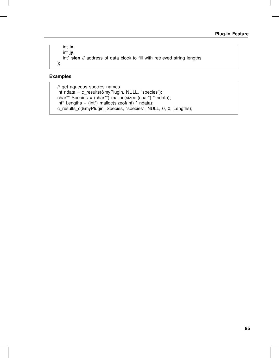```
int ix,
  int jy,
  int* slen // address of data block to fill with retrieved string lengths
);
```
# **Examples**

```
// get aqueous species names
int ndata = c_results(&myPlugin, NULL, "species");
char** Species = (char<sup>*</sup>) malloc(sizeof(char*) * ndata);
int^* Lengths = (int<sup>*</sup>) malloc(sizeof(int) * ndata);
c_results_c(&myPlugin, Species, "species", NULL, 0, 0, Lengths);
```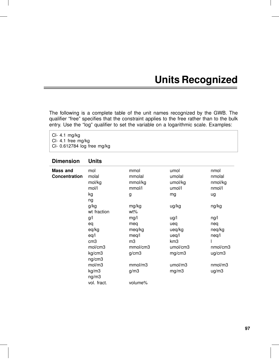# **Units Recognized**

The following is a complete table of the unit names recognized by the GWB. The qualifier "free" specifies that the constraint applies to the free rather than to the bulk entry. Use the "log" qualifier to set the variable on a logarithmic scale. Examples:

Cl- 4.1 mg/kg Cl- 4.1 free mg/kg Cl- 0.612784 log free mg/kg

# **Dimension Units**

| Mass and<br>Concentration | mol<br>molal<br>mol/kg<br>mol/l<br>kg<br>ng | mmol<br>mmolal<br>mmol/kg<br>mmol/l<br>g | umol<br>umolal<br>umol/kg<br>umol/l<br>mg | nmol<br>nmolal<br>nmol/kg<br>nmol/l<br>ug |
|---------------------------|---------------------------------------------|------------------------------------------|-------------------------------------------|-------------------------------------------|
|                           | g/kg<br>wt fraction                         | mg/kg<br>wt%                             | ug/kg                                     | ng/kg                                     |
|                           | g/l                                         | mg/l                                     | ug/l                                      | ng/l                                      |
|                           | eq                                          | meq                                      | ueq                                       | neq                                       |
|                           | eq/kg                                       | meq/kg                                   | ueq/kg                                    | neq/kg                                    |
|                           | eq/l                                        | meq/l                                    | ueq/l                                     | neq/l                                     |
|                           | cm <sub>3</sub>                             | m <sub>3</sub>                           | km3                                       |                                           |
|                           | mol/cm3                                     | mmol/cm3                                 | umol/cm3                                  | nmol/cm3                                  |
|                           | kg/cm3<br>ng/cm3                            | g/cm3                                    | mg/cm3                                    | ug/cm3                                    |
|                           | mol/m3                                      | mmol/m3                                  | umol/m3                                   | nmol/m3                                   |
|                           | kg/m3<br>ng/m3                              | g/m3                                     | mg/m3                                     | ug/m3                                     |
|                           | vol. fract.                                 | volume%                                  |                                           |                                           |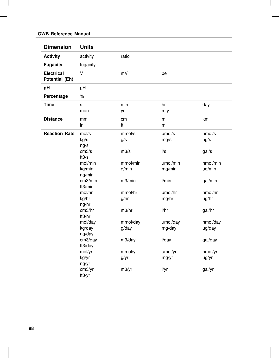## **GWB Reference Manual**

 $\overline{\phantom{a}}$ 

| <b>Dimension</b>                    | <b>Units</b>                |                   |                    |                    |
|-------------------------------------|-----------------------------|-------------------|--------------------|--------------------|
| <b>Activity</b>                     | activity                    | ratio             |                    |                    |
| <b>Fugacity</b>                     | fugacity                    |                   |                    |                    |
| <b>Electrical</b><br>Potential (Eh) | $\vee$                      | mV                | pe                 |                    |
| pH                                  | pH                          |                   |                    |                    |
| Percentage                          | $\%$                        |                   |                    |                    |
| <b>Time</b>                         | S<br>mon                    | min<br>yr         | hr<br>m.y.         | day                |
| <b>Distance</b>                     | mm<br>in                    | cm<br>ft          | m<br>mi            | km                 |
| <b>Reaction Rate</b>                | mol/s<br>kg/s<br>ng/s       | mmol/s<br>g/s     | umol/s<br>mg/s     | nmol/s<br>ug/s     |
|                                     | cm3/s<br>ft3/s              | m3/s              | $\sqrt{s}$         | gal/s              |
|                                     | mol/min<br>kg/min<br>ng/min | mmol/min<br>g/min | umol/min<br>mg/min | nmol/min<br>ug/min |
|                                     | cm3/min<br>ft3/min          | m3/min            | l/min              | gal/min            |
|                                     | mol/hr<br>kg/hr<br>ng/hr    | mmol/hr<br>g/hr   | umol/hr<br>mg/hr   | nmol/hr<br>ug/hr   |
|                                     | cm3/hr<br>ft3/hr            | m3/hr             | 1/hr               | gal/hr             |
|                                     | mol/day<br>kg/day<br>ng/day | mmol/day<br>g/day | umol/day<br>mg/day | nmol/day<br>ug/day |
|                                     | cm3/day<br>ft3/day          | m3/day            | I/day              | gal/day            |
|                                     | mol/yr<br>kg/yr<br>ng/yr    | mmol/yr<br>g/yr   | umol/yr<br>mg/yr   | nmol/yr<br>ug/yr   |
|                                     | cm3/yr<br>ft3/yr            | m3/yr             | l/yr               | gal/yr             |

 $\overline{\phantom{a}}$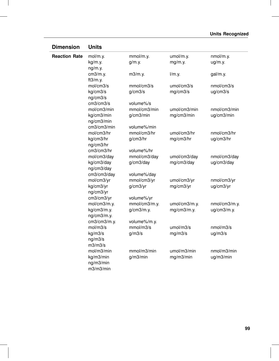$\overline{\phantom{a}}$ 

| <b>Dimension</b>     | <b>Units</b>              |               |               |               |
|----------------------|---------------------------|---------------|---------------|---------------|
| <b>Reaction Rate</b> | mol/m.y.                  | mmol/m.y.     | umol/m.y.     | nmol/m.y.     |
|                      | kg/m.y.                   | g/m.y.        | mg/m.y.       | ug/m.y.       |
|                      | ng/m.y.                   |               |               |               |
|                      | cm3/m.y.                  | m3/m.y.       | l/m.y.        | gal/m.y.      |
|                      | ft3/m.y.                  |               |               |               |
|                      | mol/cm3/s                 | mmol/cm3/s    | umol/cm3/s    | nmol/cm3/s    |
|                      | kg/cm3/s                  | g/cm3/s       | mg/cm3/s      | ug/cm3/s      |
|                      | ng/cm3/s                  |               |               |               |
|                      | cm3/cm3/s                 | volume%/s     |               |               |
|                      | mol/cm3/min               | mmol/cm3/min  | umol/cm3/min  | nmol/cm3/min  |
|                      | kg/cm3/min                | g/cm3/min     | mg/cm3/min    | ug/cm3/min    |
|                      | ng/cm3/min                |               |               |               |
|                      | cm3/cm3/min               | volume%/min   |               |               |
|                      | mol/cm3/hr                | mmol/cm3/hr   | umol/cm3/hr   | nmol/cm3/hr   |
|                      | kg/cm3/hr                 | g/cm3/hr      | mg/cm3/hr     | ug/cm3/hr     |
|                      | ng/cm3/hr                 |               |               |               |
|                      | cm3/cm3/hr                | volume%/hr    |               |               |
|                      | mol/cm3/day               | mmol/cm3/day  | umol/cm3/day  | nmol/cm3/day  |
|                      | kg/cm3/day                | g/cm3/day     | mg/cm3/day    | ug/cm3/day    |
|                      | ng/cm3/day<br>cm3/cm3/day | volume%/day   |               |               |
|                      | mol/cm3/yr                | mmol/cm3/yr   | umol/cm3/yr   | nmol/cm3/yr   |
|                      | kg/cm3/yr                 | g/cm3/yr      | mg/cm3/yr     | ug/cm3/yr     |
|                      | ng/cm3/yr                 |               |               |               |
|                      | cm3/cm3/yr                | volume%/yr    |               |               |
|                      | mol/cm3/m.y.              | mmol/cm3/m.y. | umol/cm3/m.y. | nmol/cm3/m.y. |
|                      | kg/cm3/m.y.               | g/cm3/m.y.    | mg/cm3/m.y.   | ug/cm3/m.y.   |
|                      | ng/cm3/m.y.               |               |               |               |
|                      | cm3/cm3/m.y.              | volume%/m.y.  |               |               |
|                      | mol/m3/s                  | mmol/m3/s     | umol/m3/s     | nmol/m3/s     |
|                      | kg/m3/s                   | g/m3/s        | mg/m3/s       | ug/m3/s       |
|                      | ng/m3/s                   |               |               |               |
|                      | m3/m3/s                   |               |               |               |
|                      | mol/m3/min                | mmol/m3/min   | umol/m3/min   | nmol/m3/min   |
|                      | kg/m3/min                 | g/m3/min      | mg/m3/min     | ug/m3/min     |
|                      | ng/m3/min                 |               |               |               |
|                      | m3/m3/min                 |               |               |               |

 $\overline{\phantom{a}}$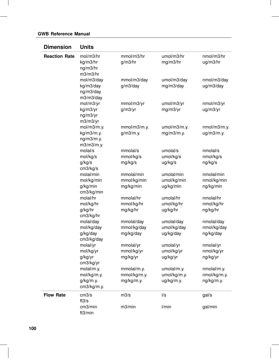$\mathcal{L}$ 

| <b>Dimension</b>     | <b>Units</b>                                          |                              |                            |                            |
|----------------------|-------------------------------------------------------|------------------------------|----------------------------|----------------------------|
| <b>Reaction Rate</b> | mol/m3/hr<br>kg/m3/hr<br>ng/m3/hr<br>m3/m3/hr         | mmol/m3/hr<br>g/m3/hr        | umol/m3/hr<br>mg/m3/hr     | nmol/m3/hr<br>ug/m3/hr     |
|                      | mol/m3/day<br>kg/m3/day<br>ng/m3/day<br>m3/m3/day     | mmol/m3/day<br>g/m3/day      | umol/m3/day<br>mg/m3/day   | nmol/m3/day<br>ug/m3/day   |
|                      | mol/m3/yr<br>kg/m3/yr<br>ng/m3/yr<br>m3/m3/yr         | mmol/m3/yr<br>g/m3/yr        | umol/m3/yr<br>mg/m3/yr     | nmol/m3/yr<br>ug/m3/yr     |
|                      | mol/m3/m.y.<br>kg/m3/m.y.<br>ng/m3/m.y.<br>m3/m3/m.y. | mmol/m3/m.y.<br>$g/m3/m.y$ . | umol/m3/m.y.<br>mg/m3/m.y. | nmol/m3/m.y.<br>ug/m3/m.y. |
|                      | molal/s                                               | mmolal/s                     | umolal/s                   | nmolal/s                   |
|                      | mol/kg/s                                              | mmol/kg/s                    | umol/kg/s                  | nmol/kg/s                  |
|                      | g/kg/s<br>cm3/kg/s                                    | mg/kg/s                      | ug/kg/s                    | ng/kg/s                    |
|                      | molal/min                                             | mmolal/min                   | umolal/min                 | nmolal/min                 |
|                      | mol/kg/min                                            | mmol/kg/min                  | umol/kg/min                | nmol/kg/min                |
|                      | g/kg/min<br>cm3/kg/min                                | mg/kg/min                    | ug/kg/min                  | ng/kg/min                  |
|                      | molal/hr                                              | mmolal/hr                    | umolal/hr                  | nmolal/hr                  |
|                      | mol/kg/hr                                             | mmol/kg/hr                   | umol/kg/hr                 | nmol/kg/hr                 |
|                      | g/kg/hr<br>cm3/kg/hr                                  | mg/kg/hr                     | ug/kg/hr                   | ng/kg/hr                   |
|                      | molal/day                                             | mmolal/day                   | umolal/day                 | nmolal/day                 |
|                      | mol/kg/day                                            | mmol/kg/day                  | umol/kg/day                | nmol/kg/day                |
|                      | g/kg/day<br>cm3/kg/day                                | mg/kg/day                    | ug/kg/day                  | ng/kg/day                  |
|                      | molal/yr                                              | mmolal/yr                    | umolal/yr                  | nmolal/yr                  |
|                      | mol/kg/yr                                             | mmol/kg/yr                   | umol/kg/yr                 | nmol/kg/yr                 |
|                      | g/kg/yr<br>cm3/kg/yr                                  | mg/kg/yr                     | ug/kg/yr                   | ng/kg/yr                   |
|                      | molal/m.y.                                            | mmolal/m.y.                  | umolal/m.y.                | nmolal/m.y.                |
|                      | mol/kg/m.y.                                           | mmol/kg/m.y.                 | umol/kg/m.y.               | nmol/kg/m.y.               |
|                      | g/kg/m.y.<br>cm3/kg/m.y.                              | mg/kg/m.y.                   | ug/kg/m.y.                 | ng/kg/m.y.                 |
| <b>Flow Rate</b>     | cm3/s<br>ft3/s                                        | m3/s                         | $\sqrt{s}$                 | gal/s                      |
|                      | cm3/min<br>ft3/min                                    | m3/min                       | l/min                      | gal/min                    |

 $\overline{1}$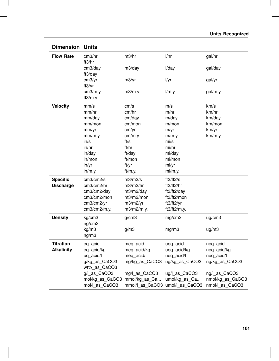$\overline{\phantom{a}}$ 

| <b>Dimension Units</b> |                               |                                 |                  |                  |
|------------------------|-------------------------------|---------------------------------|------------------|------------------|
| <b>Flow Rate</b>       | cm3/hr<br>ft3/hr              | m3/hr                           | 1/hr             | gal/hr           |
|                        | cm3/day<br>ft3/day            | m3/day                          | I/day            | gal/day          |
|                        | cm3/yr<br>ft3/yr              | m3/yr                           | l/yr             | gal/yr           |
|                        | cm3/m.y.<br>ft3/m.y.          | m3/m.y.                         | l/m.y.           | gal/m.y.         |
| <b>Velocity</b>        | mm/s                          | cm/s                            | m/s              | km/s             |
|                        | mm/hr                         | cm/hr                           | m/hr             | km/hr            |
|                        | mm/day                        | cm/day                          | m/day            | km/day           |
|                        | mm/mon                        | cm/mon                          | $m/m$ on         | km/mon           |
|                        | mm/yr                         | cm/yr                           | m/yr             | km/yr            |
|                        | mm/m.y.                       | cm/m.y.                         | m/m.y.           | km/m.y.          |
|                        | in/s                          | ft/s                            | mi/s             |                  |
|                        | in/hr                         | ft/hr                           | mi/hr            |                  |
|                        | in/day                        | ft/day                          | mi/day           |                  |
|                        | in/mon                        | ft/mon                          | mi/mon           |                  |
|                        | in/yr                         | ft/yr                           | mi/yr            |                  |
|                        | in/m.y.                       | ft/m.y.                         | mi/m.y.          |                  |
| <b>Specific</b>        | cm3/cm2/s                     | m3/m2/s                         | ft3/ft2/s        |                  |
| <b>Discharge</b>       | cm3/cm2/hr                    | m3/m2/hr                        | ft3/ft2/hr       |                  |
|                        | cm3/cm2/day                   | m3/m2/day                       | ft3/ft2/day      |                  |
|                        | cm3/cm2/mon                   | m3/m2/mon                       | ft3/ft2/mon      |                  |
|                        | cm3/cm2/yr                    | m3/m2/yr                        | ft3/ft2/yr       |                  |
|                        | cm3/cm2/m.y.                  | m3/m2/m.y.                      | ft $3/tt2/m.y$ . |                  |
| <b>Density</b>         | kg/cm3<br>ng/cm3              | g/cm3                           | mg/cm3           | ug/cm3           |
|                        | kg/m3<br>ng/m3                | g/m3                            | mg/m3            | ug/m3            |
| <b>Titration</b>       | eq_acid                       | meq_acid                        | ueq_acid         | neq_acid         |
| <b>Alkalinity</b>      | eq_acid/kg                    | meq_acid/kg                     | ueq_acid/kg      | neq_acid/kg      |
|                        | eq_acid/l                     | meq_acid/l                      | ueq_acid/l       | neq_acid/l       |
|                        | g/kg_as_CaCO3<br>wt%_as_CaCO3 | mg/kg_as_CaCO3                  | ug/kg_as_CaCO3   | ng/kg_as_CaCO3   |
|                        | g/l_as_CaCO3                  | mg/l_as_CaCO3                   | ug/l_as_CaCO3    | ng/l_as_CaCO3    |
|                        | mol/kg_as_CaCO3               | mmol/kg as Ca                   | umol/kg_as_Ca    | nmol/kg_as_CaCO3 |
|                        | mol/l_as_CaCO3                | mmol/l_as_CaCO3_umol/l_as_CaCO3 |                  | nmol/l_as_CaCO3  |

<span id="page-108-0"></span> $\overline{\phantom{a}}$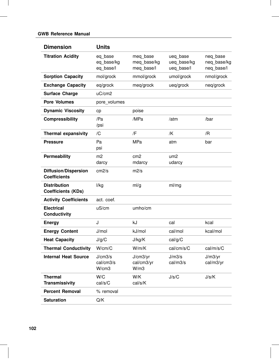<span id="page-109-0"></span> $\overline{\phantom{a}}$ 

| <b>Dimension</b>                                   | <b>Units</b>                       |                                       |                                       |                                       |
|----------------------------------------------------|------------------------------------|---------------------------------------|---------------------------------------|---------------------------------------|
| <b>Titration Acidity</b>                           | eg base<br>eq_base/kg<br>eq_base/l | meg base<br>meq_base/kg<br>meq_base/l | ueg base<br>ueq_base/kg<br>ueg base/l | neg base<br>neq_base/kg<br>neq_base/l |
| <b>Sorption Capacity</b>                           | mol/grock                          | mmol/grock                            | umol/grock                            | nmol/grock                            |
| <b>Exchange Capacity</b>                           | eq/grock                           | meq/grock                             | ueq/grock                             | neq/grock                             |
| <b>Surface Charge</b>                              | uC/cm2                             |                                       |                                       |                                       |
| <b>Pore Volumes</b>                                | pore_volumes                       |                                       |                                       |                                       |
| <b>Dynamic Viscosity</b>                           | cp                                 | poise                                 |                                       |                                       |
| Compressibility                                    | /Pa<br>/psi                        | /MPa                                  | /atm                                  | /bar                                  |
| <b>Thermal expansivity</b>                         | /C                                 | /F                                    | /K                                    | /R                                    |
| <b>Pressure</b>                                    | Pa<br>psi                          | MPa                                   | atm                                   | bar                                   |
| <b>Permeability</b>                                | m <sub>2</sub><br>darcy            | cm2<br>mdarcy                         | um2<br>udarcy                         |                                       |
| <b>Diffusion/Dispersion</b><br><b>Coefficients</b> | cm2/s                              | m2/s                                  |                                       |                                       |
| <b>Distribution</b><br><b>Coefficients (KDs)</b>   | l/kg                               | ml/g                                  | ml/mg                                 |                                       |
| <b>Activity Coefficients</b>                       | act. coef.                         |                                       |                                       |                                       |
| <b>Electrical</b><br><b>Conductivity</b>           | uS/cm                              | umho/cm                               |                                       |                                       |
| <b>Energy</b>                                      | J                                  | kJ                                    | cal                                   | kcal                                  |
| <b>Energy Content</b>                              | J/mol                              | kJ/mol                                | cal/mol                               | kcal/mol                              |
| <b>Heat Capacity</b>                               | J/g/C                              | J/kg/K                                | cal/g/C                               |                                       |
| <b>Thermal Conductivity</b>                        | W/cm/C                             | W/m/K                                 | cal/cm/s/C                            | cal/m/s/C                             |
| <b>Internal Heat Source</b>                        | J/cm3/s<br>cal/cm3/s<br>W/cm3      | J/cm3/yr<br>cal/cm3/yr<br>W/m3        | J/m3/s<br>cal/m3/s                    | J/m3/yr<br>cal/m3/yr                  |
| <b>Thermal</b><br><b>Transmissivity</b>            | W/C<br>cal/s/C                     | W/K<br>cal/s/K                        | J/S/C                                 | J/s/K                                 |
| <b>Percent Removal</b>                             | % removal                          |                                       |                                       |                                       |
| <b>Saturation</b>                                  | Q/K                                |                                       |                                       |                                       |

 $\overline{1}$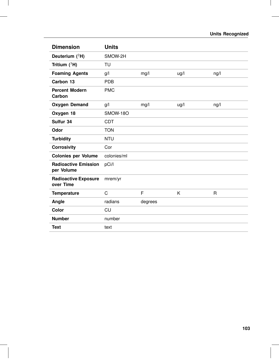### **Units Recognized**

 $\overline{\phantom{a}}$ 

| <b>Dimension</b>                          | <b>Units</b> |         |      |                |
|-------------------------------------------|--------------|---------|------|----------------|
| Deuterium $(^{2}H)$                       | SMOW-2H      |         |      |                |
| Tritium $(^3H)$                           | TU           |         |      |                |
| <b>Foaming Agents</b>                     | g/l          | mg/l    | ug/l | ng/l           |
| Carbon 13                                 | <b>PDB</b>   |         |      |                |
| <b>Percent Modern</b><br>Carbon           | <b>PMC</b>   |         |      |                |
| <b>Oxygen Demand</b>                      | g/           | mg/l    | ug/l | ng/l           |
| Oxygen 18                                 | SMOW-18O     |         |      |                |
| Sulfur 34                                 | <b>CDT</b>   |         |      |                |
| Odor                                      | <b>TON</b>   |         |      |                |
| <b>Turbidity</b>                          | <b>NTU</b>   |         |      |                |
| <b>Corrosivity</b>                        | Cor          |         |      |                |
| <b>Colonies per Volume</b>                | colonies/ml  |         |      |                |
| <b>Radioactive Emission</b><br>per Volume | pCi/l        |         |      |                |
| <b>Radioactive Exposure</b><br>over Time  | mrem/yr      |         |      |                |
| <b>Temperature</b>                        | $\mathsf C$  | F       | K    | $\overline{R}$ |
| Angle                                     | radians      | degrees |      |                |
| Color                                     | <b>CU</b>    |         |      |                |
| <b>Number</b>                             | number       |         |      |                |
| <b>Text</b>                               | text         |         |      |                |

<span id="page-110-0"></span> $\overline{\phantom{a}}$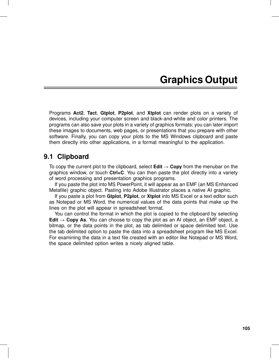# **Graphics Output**

<span id="page-112-0"></span>Programs **Act2**, **Tact**, **Gtplot**, **P2plot**, and **Xtplot** can render plots on a variety of devices, including your computer screen and black-and-white and color printers. The programs can also save your plots in a variety of graphics formats; you can later import these images to documents, web pages, or presentations that you prepare with other software. Finally, you can copy your plots to the MS Windows clipboard and paste them directly into other applications, in a format meaningful to the application.

### **9.1 Clipboard**

To copy the current plot to the clipboard, select **Edit**  $\rightarrow$  Copy from the menubar on the graphics window, or touch **Ctrl+C**. You can then paste the plot directly into a variety of word processing and presentation graphics programs.

If you paste the plot into MS PowerPoint, it will appear as an EMF (an MS Enhanced Metafile) graphic object. Pasting into Adobe Illustrator places a native AI graphic.

If you paste a plot from **Gtplot**, **P2plot**, or **Xtplot** into MS Excel or a text editor such as Notepad or MS Word, the numerical values of the data points that make up the lines on the plot will appear in spreadsheet format.

You can control the format in which the plot is copied to the clipboard by selecting **Edit**  $\rightarrow$  Copy As. You can choose to copy the plot as an AI object, an EMF object, a bitmap, or the data points in the plot, as tab delimited or space delimited text. Use the tab delimited option to paste the data into a spreadsheet program like MS Excel. For examining the data in a text file created with an editor like Notepad or MS Word, the space delimited option writes a nicely aligned table.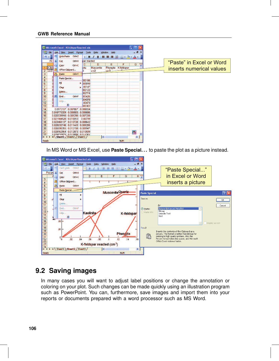<span id="page-113-0"></span>

| 欄<br>File                         | Edit   | Microsoft Excel - KfeldsparReacted.xls<br>Insert Format<br>View    |            | Tools                | Window<br>Data                               | Help            |            | - 8<br>$\boldsymbol{\mathsf{x}}$ |                          |
|-----------------------------------|--------|--------------------------------------------------------------------|------------|----------------------|----------------------------------------------|-----------------|------------|----------------------------------|--------------------------|
|                                   |        | <b>Undo Paste</b><br>$CtrI+Z$                                      |            |                      | $\cdot$ B $I$ U F F E N H . $\Delta$ . $A$ . |                 |            |                                  |                          |
| A1                                |        | $Ctr$ $+x$<br>Cut                                                  |            | bar reacted          |                                              |                 |            |                                  | "Paste" in Excel or Word |
|                                   |        | $CtrH+C$<br>Copy                                                   |            | $\mathbf C$          | D                                            | E               | F          | G<br>$\overline{\phantom{a}}$    |                          |
| K-feld                            |        | Office Clipboard                                                   |            | artz                 | Muscovite                                    | Phengite        | K-feldspar |                                  | inserts numerical values |
| cm <sub>3</sub><br>$\overline{2}$ |        |                                                                    |            |                      | cm <sub>3</sub>                              | cm <sub>3</sub> |            |                                  |                          |
| $\overline{3}$                    |        | Paste                                                              | $Ctrl + V$ |                      |                                              |                 |            |                                  |                          |
| $\overline{4}$                    |        | Paste Special                                                      |            |                      |                                              |                 |            |                                  |                          |
| 5<br>$6\overline{6}$              | a<br>O | Fill                                                               |            | 000166<br>$b$ 000818 |                                              |                 |            |                                  |                          |
| $\overline{7}$                    | n      |                                                                    | ٠          | .00147               |                                              |                 |            |                                  |                          |
| 8                                 | n      | Clear                                                              |            | 002122               |                                              |                 |            |                                  |                          |
| 9                                 |        | Delete                                                             |            | 002774               |                                              |                 |            |                                  |                          |
| 10                                | $0+A$  | Ctrl+F<br>Find                                                     |            | 003426               |                                              |                 |            |                                  |                          |
| 11                                | n      | Links                                                              |            | 004078               |                                              |                 |            |                                  |                          |
| 12                                | n      |                                                                    |            | 00473                |                                              |                 |            |                                  |                          |
| 13                                |        |                                                                    |            | <b>bo5382</b>        |                                              |                 |            |                                  |                          |
| 14                                |        | 0.0172107 0.007867                                                 |            | 0.006034             |                                              |                 |            |                                  |                          |
| 15                                |        | 0.018775309 0.008583 0.006686                                      |            |                      |                                              |                 |            |                                  |                          |
| 16                                |        | 0.020339918 0.009298                                               |            | 0.007338             |                                              |                 |            |                                  |                          |
| 17                                |        | 0.021904528 0.010013<br>0.023469137 0.010728 0.008642              |            | 0.00799              |                                              |                 |            |                                  |                          |
| 18<br>19                          |        | 0.025033746 0.011443 0.009295                                      |            |                      |                                              |                 |            |                                  |                          |
| 20                                |        | 0.026598355 0.012158 0.009947                                      |            |                      |                                              |                 |            |                                  |                          |
| 21                                |        | 0.028162964 0.012873 0.010599                                      |            |                      |                                              |                 |            | □                                |                          |
| 22                                |        | 0.029727573 0.013588 0.011251                                      |            |                      |                                              |                 |            |                                  |                          |
| <b>K</b> 4                        |        | $\blacktriangleright$ Sheet1 $\land$ Sheet2 $\land$ Sheet3 $\land$ |            |                      | k                                            |                 |            | $\geq$                           |                          |
| Ready                             |        |                                                                    |            |                      |                                              |                 | NUM        |                                  |                          |

In MS Word or MS Excel, use **Paste Special. . .** to paste the plot as a picture instead.



## **9.2 Saving images**

In many cases you will want to adjust label positions or change the annotation or coloring on your plot. Such changes can be made quickly using an illustration program such as PowerPoint. You can, furthermore, save images and import them into your reports or documents prepared with a word processor such as MS Word.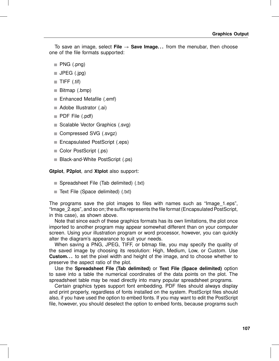To save an image, select **File** ! **Save Image. . .** from the menubar, then choose one of the file formats supported:

- $\blacksquare$  PNG (.png)
- $\blacksquare$  JPEG (.jpg)
- $\blacksquare$  TIFF (.tif)
- $\blacksquare$  Bitmap (.bmp)
- **Enhanced Metafile (.emf)**
- Adobe Illustrator (.ai)
- PDF File (.pdf)
- Scalable Vector Graphics (.svg)
- Compressed SVG (.svgz)
- Encapsulated PostScript (.eps)
- Color PostScript (.ps)
- **Black-and-White PostScript (.ps)**

**Gtplot**, **P2plot**, and **Xtplot** also support:

- Spreadsheet File (Tab delimited) (.txt)
- Text File (Space delimited) (.txt)

The programs save the plot images to files with names such as "Image\_1.eps", "Image\_2.eps", and so on; the suffix represents the file format (Encapsulated PostScript, in this case), as shown above.

Note that since each of these graphics formats has its own limitations, the plot once imported to another program may appear somewhat different than on your computer screen. Using your illustration program or word processor, however, you can quickly alter the diagram's appearance to suit your needs.

When saving a PNG, JPEG, TIFF, or bitmap file, you may specify the quality of the saved image by choosing its resolution: High, Medium, Low, or Custom. Use **Custom. . .** to set the pixel width and height of the image, and to choose whether to preserve the aspect ratio of the plot.

Use the **Spreadsheet File (Tab delimited)** or **Text File (Space delimited)** option to save into a table the numerical coordinates of the data points on the plot. The spreadsheet table may be read directly into many popular spreadsheet programs.

Certain graphics types support font embedding. PDF files should always display and print properly, regardless of fonts installed on the system. PostScript files should also, if you have used the option to embed fonts. If you may want to edit the PostScript file, however, you should deselect the option to embed fonts, because programs such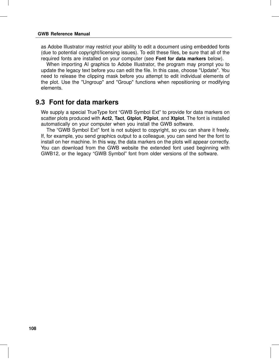<span id="page-115-0"></span>as Adobe Illustrator may restrict your ability to edit a document using embedded fonts (due to potential copyright/licensing issues). To edit these files, be sure that all of the required fonts are installed on your computer (see **Font for data markers** below).

When importing AI graphics to Adobe Illustrator, the program may prompt you to update the legacy text before you can edit the file. In this case, choose "Update". You need to release the clipping mask before you attempt to edit individual elements of the plot. Use the "Ungroup" and "Group" functions when repositioning or modifying elements.

### **9.3 Font for data markers**

We supply a special TrueType font "GWB Symbol Ext" to provide for data markers on scatter plots produced with **Act2**, **Tact**, **Gtplot**, **P2plot**, and **Xtplot**. The font is installed automatically on your computer when you install the GWB software.

The "GWB Symbol Ext" font is not subject to copyright, so you can share it freely. If, for example, you send graphics output to a colleague, you can send her the font to install on her machine. In this way, the data markers on the plots will appear correctly. You can download from the GWB website the extended font used beginning with GWB12, or the legacy "GWB Symbol" font from older versions of the software.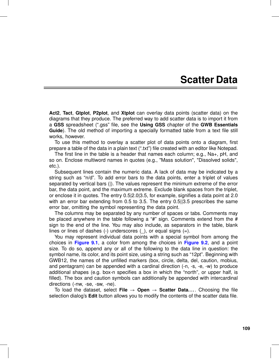## **Scatter Data**

<span id="page-116-0"></span>**Act2**, **Tact**, **Gtplot**, **P2plot**, and **Xtplot** can overlay data points (scatter data) on the diagrams that they produce. The preferred way to add scatter data is to import it from a **GSS** spreadsheet (".gss" file, see the **Using GSS** chapter of the **GWB Essentials Guide**). The old method of importing a specially formatted table from a text file still works, however.

To use this method to overlay a scatter plot of data points onto a diagram, first prepare a table of the data in a plain text (".txt") file created with an editor like Notepad.

The first line in the table is a header that names each column; e.g., Na+, pH, and so on. Enclose multiword names in quotes (e.g., "Mass solution", "Dissolved solids", etc.).

Subsequent lines contain the numeric data. A lack of data may be indicated by a string such as "n/d". To add error bars to the data points, enter a triplet of values separated by vertical bars (|). The values represent the minimum extreme of the error bar, the data point, and the maximum extreme. Exclude blank spaces from the triplet, or enclose it in quotes. The entry 0.5|2.0|3.5, for example, signifies a data point at 2.0 with an error bar extending from 0.5 to 3.5. The entry 0.5||3.5 prescribes the same error bar, omitting the symbol representing the data point.

The columns may be separated by any number of spaces or tabs. Comments may be placed anywhere in the table following a "#" sign. Comments extend from the # sign to the end of the line. You may also include, as separators in the table, blank lines or lines of dashes  $(-)$  underscores  $($ ), or equal signs  $(=)$ .

You may represent individual data points with a special symbol from among the choices in **[Figure 9.1](#page-117-0)**, a color from among the choices in **[Figure 9.2](#page-118-0)**, and a point size. To do so, append any or all of the following to the data line in question: the symbol name, its color, and its point size, using a string such as "12pt". Beginning with GWB12, the names of the unfilled markers (box, circle, delta, del, caution, mobius, and pentagram) can be appended with a cardinal direction (-n, -s, -e, -w) to produce additional shapes (e.g. box-n specifies a box in which the "north", or upper half, is filled). The box and caution symbols can additionally be appended with intercardinal directions (-nw, -se, -sw, -ne).

To load the dataset, select **File**  $\rightarrow$  **Open**  $\rightarrow$  **Scatter Data...** Choosing the file selection dialog's **Edit** button allows you to modify the contents of the scatter data file.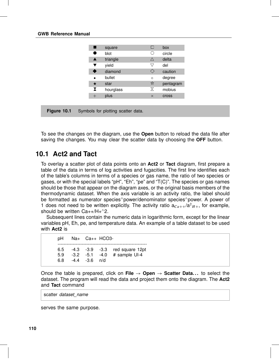|   | square    | $\Box$   | box          |
|---|-----------|----------|--------------|
|   | blot      |          | circle       |
|   | triangle  |          | delta        |
|   | yield     |          | del          |
|   | diamond   |          | caution      |
|   | bullet    | Ω        | degree       |
| ★ | star      | ☆        | pentagram    |
| X | hourglass | X        | mobius       |
|   | plus      | $\times$ | <b>Cross</b> |

<span id="page-117-0"></span>

To see the changes on the diagram, use the **Open** button to reload the data file after saving the changes. You may clear the scatter data by choosing the **OFF** button.

### **10.1 Act2 and Tact**

To overlay a scatter plot of data points onto an **Act2** or **Tact** diagram, first prepare a table of the data in terms of log activities and fugacities. The first line identifies each of the table's columns in terms of a species or gas name, the ratio of two species or gases, or with the special labels "pH", "Eh", "pe" and "T(C)". The species or gas names should be those that appear on the diagram axes, or the original basis members of the thermodynamic dataset. When the axis variable is an activity ratio, the label should be formatted as numerator species^power/denominator species^power. A power of 1 does not need to be written explicitly. The activity ratio  $a_{Ca++}/a^2_{H+}$ , for example, should be written  $Ca_{++}/H_{+}^2$ .

Subsequent lines contain the numeric data in logarithmic form, except for the linear variables pH, Eh, pe, and temperature data. An example of a table dataset to be used with **Act2** is

| pH .       | Na+ Ca++ HCO3- |                  |                                                                          |
|------------|----------------|------------------|--------------------------------------------------------------------------|
| 5.9<br>6.8 |                | $-4.4 - 3.6$ n/d | 6.5 -4.3 -3.9 -3.3 red square 12pt<br>$-3.2$ $-5.1$ $-4.0$ # sample UI-4 |

Once the table is prepared, click on **File**  $\rightarrow$  **Open**  $\rightarrow$  **Scatter Data...** to select the dataset. The program will read the data and project them onto the diagram. The **Act2** and **Tact** command

scatter *dataset\_name*

serves the same purpose.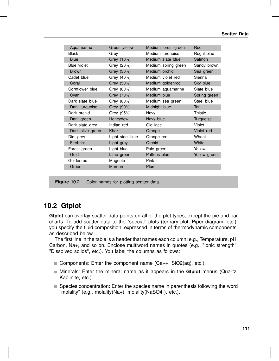| Aquamarine       | Green yellow     | Medium forest green | Red          |
|------------------|------------------|---------------------|--------------|
| Black            | Grey             | Medium turquoise    | Regal blue   |
| <b>Blue</b>      | Grey (10%)       | Medium slate blue   | Salmon       |
| Blue violet      | Grey (20%)       | Medium spring green | Sandy brown  |
| <b>Brown</b>     | Grey (30%)       | Medium orchid       | Sea green    |
| Cadet blue       | Grey (40%)       | Medium violet red   | Sienna       |
| Coral            | Grey (50%)       | Medium goldenrod    | Sky blue     |
| Cornflower blue  | Grey (60%)       | Medium aquamarine   | Slate blue   |
| Cyan             | Grey (70%)       | Medium blue         | Spring green |
| Dark slate blue  | Grey (80%)       | Medium sea green    | Steel blue   |
| Dark turquoise   | Grey (90%)       | Midnight blue       | Tan          |
| Dark orchid      | Grey (95%)       | Navy                | Thistle      |
| Dark green       | Honeydew         | Navy blue           | Turquoise    |
| Dark slate grey  | Indian red       | Old lace            | Violet       |
| Dark olive green | Khaki            | Orange              | Violet red   |
| Dim grey         | Light steel blue | Orange red          | Wheat        |
| Firebrick        | Light grey       | Orchid              | White        |
| Forest green     | Light blue       | Pale green          | Yellow       |
| Gold             | Lime green       | Pattens blue        | Yellow green |
| Goldenrod        | Magenta          | Pink                |              |
| Green            | Maroon           | Plum                |              |

<span id="page-118-0"></span>Figure 10.2 Color names for plotting scatter data.

## **10.2 Gtplot**

**Gtplot** can overlay scatter data points on all of the plot types, except the pie and bar charts. To add scatter data to the "special" plots (ternary plot, Piper diagram, etc.), you specify the fluid composition, expressed in terms of thermodynamic components, as described below.

The first line in the table is a header that names each column; e.g., Temperature, pH, Carbon, Na+, and so on. Enclose multiword names in quotes (e.g., "Ionic strength", "Dissolved solids", etc.). You label the columns as follows:

- Components: Enter the component name  $(Ca++, SiO2(aq), etc.).$
- **Minerals: Enter the mineral name as it appears in the Gtplot menus (Quartz,** Kaolinite, etc.).
- Species concentration: Enter the species name in parenthesis following the word "molality" (e.g., molality(Na+), molality(NaSO4-), etc.).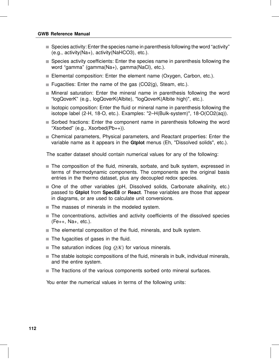- $\blacksquare$  Species activity: Enter the species name in parenthesis following the word "activity" (e.g., activity(Na+), activity(NaHCO3), etc.).
- Species activity coefficients: Enter the species name in parenthesis following the word "gamma" (gamma(Na+), gamma(NaCl), etc.).
- Elemental composition: Enter the element name (Oxygen, Carbon, etc.).
- **Fugacities:** Enter the name of the gas  $(CO2(g))$ , Steam, etc.).
- $\blacksquare$  Mineral saturation: Enter the mineral name in parenthesis following the word "logQoverK" (e.g., logQoverK(Albite), "logQoverK(Albite high)", etc.).
- Isotopic composition: Enter the fluid or mineral name in parenthesis following the isotope label (2-H, 18-O, etc.). Examples: "2–H(Bulk-system)", 18-O(CO2(aq)).
- Sorbed fractions: Enter the component name in parenthesis following the word "Xsorbed" (e.g., Xsorbed(Pb++)).
- Chemical parameters, Physical parameters, and Reactant properties: Enter the variable name as it appears in the **Gtplot** menus (Eh, "Dissolved solids", etc.).

The scatter dataset should contain numerical values for any of the following:

- The composition of the fluid, minerals, sorbate, and bulk system, expressed in terms of thermodynamic components. The components are the original basis entries in the thermo dataset, plus any decoupled redox species.
- One of the other variables (pH, Dissolved solids, Carbonate alkalinity, etc.) passed to **Gtplot** from **SpecE8** or **React**. These variables are those that appear in diagrams, or are used to calculate unit conversions.
- The masses of minerals in the modeled system.
- The concentrations, activities and activity coefficients of the dissolved species (Fe++, Na+, etc.).
- The elemental composition of the fluid, minerals, and bulk system.
- $\blacksquare$  The fugacities of gases in the fluid.
- The saturation indices (log  $Q/K$ ) for various minerals.
- $\blacksquare$  The stable isotopic compositions of the fluid, minerals in bulk, individual minerals, and the entire system.
- The fractions of the various components sorbed onto mineral surfaces.

You enter the numerical values in terms of the following units: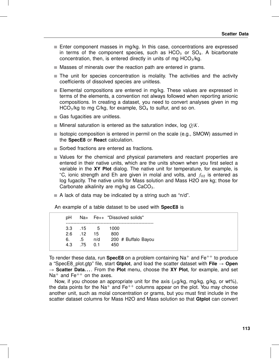- Enter component masses in mg/kg. In this case, concentrations are expressed in terms of the component species, such as  $HCO<sub>3</sub>$  or  $SO<sub>4</sub>$ . A bicarbonate concentration, then, is entered directly in units of mg  $HCO<sub>3</sub>/kg$ .
- **Masses of minerals over the reaction path are entered in grams.**
- The unit for species concentration is molality. The activities and the activity coefficients of dissolved species are unitless.
- **Elemental compositions are entered in mg/kg. These values are expressed in** terms of the elements, a convention not always followed when reporting anionic compositions. In creating a dataset, you need to convert analyses given in mg  $HCO<sub>3</sub>/kg$  to mg C/kg, for example,  $SO<sub>4</sub>$  to sulfur, and so on.
- Gas fugacities are unitless.
- Mineral saturation is entered as the saturation index, log  $Q/K$ .
- Isotopic composition is entered in permil on the scale (e.g., SMOW) assumed in the **SpecE8** or **React** calculation.
- Sorbed fractions are entered as fractions.
- Values for the chemical and physical parameters and reactant properties are entered in their native units, which are the units shown when you first select a °variable in the **XY Plot** dialog. The native unit for temperature, for example, is °C, ionic strength and Eh are given in molal and volts, and  $f_{O2}$  is entered as log fugacity. The native units for Mass solution and Mass H2O are kg; those for Carbonate alkalinity are mg/kg as  $CaCO<sub>3</sub>$ .
- $\blacksquare$  A lack of data may be indicated by a string such as "n/d".

An example of a table dataset to be used with **SpecE8** is

| pH. |     |     | $Na+$ Fe++ "Dissolved solids" |
|-----|-----|-----|-------------------------------|
| 3.3 | .15 | - 5 | 1000                          |
| 26. | .12 | 15  | 800                           |
| 6.  | .5  | n/d | 200 # Buffalo Bayou           |
| 43  | .75 | 0 1 | 450                           |

To render these data, run **SpecE8** on a problem containing  $Na^+$  and  $Fe^{++}$  to produce a "SpecE8\_plot.gtp" file, start **Gtplot**, and load the scatter dataset with **File** ! **Open**  $\rightarrow$  **Scatter Data....** From the Plot menu, choose the XY Plot, for example, and set  $Na<sup>+</sup>$  and Fe<sup>++</sup> on the axes.

Now, if you choose an appropriate unit for the axis ( $\mu$ g/kg, mg/kg, g/kg, or wt%), the data points for the Na<sup>+</sup> and Fe<sup>++</sup> columns appear on the plot. You may choose another unit, such as molal concentration or grams, but you must first include in the scatter dataset columns for Mass H2O and Mass solution so that **Gtplot** can convert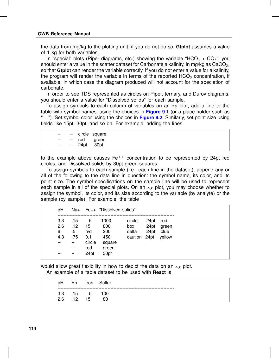the data from mg/kg to the plotting unit; if you do not do so, **Gtplot** assumes a value of 1 kg for both variables.

In "special" plots (Piper diagrams, etc.) showing the variable "HCO<sub>3</sub> + CO<sub>3</sub>", you should enter a value in the scatter dataset for Carbonate alkalinity, in mg/kg as  $CaCO<sub>3</sub>$ , so that **Gtplot** can render the variable correctly. If you do not enter a value for alkalinity, the program will render the variable in terms of the reported  $HCO<sub>3</sub>$  concentration, if available, in which case the diagram produced will not account for the speciation of carbonate.

In order to see TDS represented as circles on Piper, ternary, and Durov diagrams, you should enter a value for "Dissolved solids" for each sample.

To assign symbols to each column of variables on an  $xy$  plot, add a line to the table with symbol names, using the choices in **[Figure 9.1](#page-117-0)** (or a place holder such as "--"). Set symbol color using the choices in **[Figure 9.2](#page-118-0)**. Similarly, set point size using fields like 15pt, 30pt, and so on. For example, adding the lines

| -- | $- -$ |      | circle square |
|----|-------|------|---------------|
| -- | $- -$ | red  | green         |
| -- | $- -$ | 24pt | 30pt          |

to the example above causes  $Fe^{++}$  concentration to be represented by 24pt red circles, and Dissolved solids by 30pt green squares.

To assign symbols to each sample (i.e., each line in the dataset), append any or all of the following to the data line in question: the symbol name, its color, and its point size. The symbol specifications on the sample line will be used to represent each sample in all of the special plots. On an  $xy$  plot, you may choose whether to assign the symbol, its color, and its size according to the variable (by analyte) or the sample (by sample). For example, the table

| рH<br>Na+                                                                 |                                                | $Fe++$ "Dissolved solids"                            |                                        |                      |                                |
|---------------------------------------------------------------------------|------------------------------------------------|------------------------------------------------------|----------------------------------------|----------------------|--------------------------------|
| 3.3<br>.15<br>.12<br>2.6<br>6.<br>.5<br>.75<br>4.3<br>$-1$<br>--<br>$- -$ | 5<br>15<br>n/d<br>0.1<br>circle<br>red<br>24pt | 1000<br>800<br>200<br>450<br>square<br>green<br>30pt | circle<br>box<br>delta<br>caution 24pt | 24pt<br>24pt<br>24pt | red<br>green<br>blue<br>yellow |

would allow great flexibility in how to depict the data on an  $xy$  plot. An example of a table dataset to be used with **React** is

|  |                                | pH Eh Iron Sulfur |  |
|--|--------------------------------|-------------------|--|
|  | 3.3 .15 5 100<br>2.6 .12 15 80 |                   |  |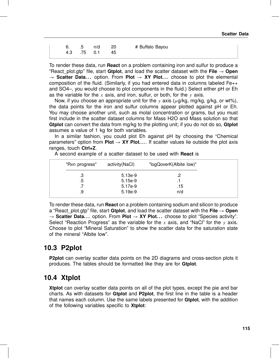| # Buffalo Bayou<br>6. .5 n/d 20<br>4.3 .75 0.1 45 |  |
|---------------------------------------------------|--|
|---------------------------------------------------|--|

To render these data, run **React** on a problem containing iron and sulfur to produce a "React plot.gtp" file, start **Gtplot**, and load the scatter dataset with the **File**  $\rightarrow$  **Open**  $\rightarrow$  **Scatter Data...** option. From **Plot**  $\rightarrow$  XY **Plot...** choose to plot the elemental composition of the fluid. (Similarly, if you had entered data in columns labeled Fe++ and SO4–, you would choose to plot components in the fluid.) Select either pH or Eh as the variable for the x axis, and iron, sulfur, or both, for the  $y$  axis.

Now, if you choose an appropriate unit for the y axis ( $\mu$ g/kg, mg/kg, g/kg, or wt%), the data points for the iron and sulfur columns appear plotted against pH or Eh. You may choose another unit, such as molal concentration or grams, but you must first include in the scatter dataset columns for Mass H2O and Mass solution so that **Gtplot** can convert the data from mg/kg to the plotting unit; if you do not do so, **Gtplot** assumes a value of 1 kg for both variables.

In a similar fashion, you could plot Eh against pH by choosing the "Chemical parameters" option from **Plot**  $\rightarrow$  XY **Plot...** If scatter values lie outside the plot axis ranges, touch **Ctrl+Z**.

| "Rxn progress" | activity (NaCl) | "logQoverK(Albite low)" |
|----------------|-----------------|-------------------------|
| .3             | $5.13e-9$       | .2                      |
| .5             | $5.15e-9$       |                         |
| .7             | 5.17e-9         | .15                     |
| .9             | $5.19e-9$       | n/d                     |
|                |                 |                         |

A second example of a scatter dataset to be used with **React** is

To render these data, run **React** on a problem containing sodium and silicon to produce a "React\_plot.gtp" file, start **Gtplot**, and load the scatter dataset with the **File** ! **Open** → **Scatter Data...** option. From **Plot** → XY Plot... choose to plot "Species activity". Select "Reaction Progress" as the variable for the x axis, and "NaCl" for the y axis. Choose to plot "Mineral Saturation" to show the scatter data for the saturation state of the mineral "Albite low".

## **10.3 P2plot**

**P2plot** can overlay scatter data points on the 2D diagrams and cross-section plots it produces. The tables should be formatted like they are for **Gtplot**.

## **10.4 Xtplot**

**Xtplot** can overlay scatter data points on all of the plot types, except the pie and bar charts. As with datasets for **Gtplot** and **P2plot**, the first line in the table is a header that names each column. Use the same labels presented for **Gtplot**, with the addition of the following variables specific to **Xtplot**: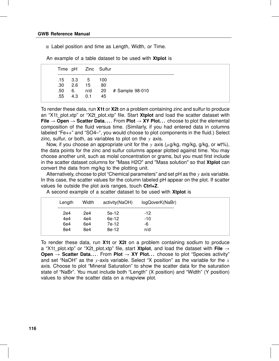■ Label position and time as Length, Width, or Time.

An example of a table dataset to be used with **Xtplot** is

|                                                  | Time pH  Zinc  Sulfur |                               |
|--------------------------------------------------|-----------------------|-------------------------------|
| .15 3.3 5 100<br>.30  2.6  15  80<br>.55 4.3 0.1 | 45                    | .50 6. n/d 20 # Sample 98-010 |

To render these data, run **X1t** or **X2t** on a problem containing zinc and sulfur to produce an "X1t\_plot.xtp" or "X2t\_plot.xtp" file. Start **Xtplot** and load the scatter dataset with **File**  $\rightarrow$  Open  $\rightarrow$  Scatter Data.... From Plot  $\rightarrow$  XY Plot... choose to plot the elemental composition of the fluid versus time. (Similarly, if you had entered data in columns labeled "Fe++" and "SO4–", you would choose to plot components in the fluid.) Select zinc, sulfur, or both, as variables to plot on the  $y$  axis.

Now, if you choose an appropriate unit for the y axis ( $\mu$ g/kg, mg/kg, g/kg, or wt%), the data points for the zinc and sulfur columns appear plotted against time. You may choose another unit, such as molal concentration or grams, but you must first include in the scatter dataset columns for "Mass H2O" and "Mass solution" so that **Xtplot** can convert the data from mg/kg to the plotting unit.

Alternatively, choose to plot "Chemical parameters" and set pH as the  $y$  axis variable. In this case, the scatter values for the column labeled pH appear on the plot. If scatter values lie outside the plot axis ranges, touch **Ctrl+Z**.

| Length | Width | activity (NaOH) | logQoverK(NaBr) |
|--------|-------|-----------------|-----------------|
| 2e4    | 2e4   | $5e-12$         | $-12$           |
| 4e4    | 4e4   | 6e-12           | $-10$           |
| 6e4    | 6e4   | 7e-12           | -6              |
| 8e4    | 8e4   | 8e-12           | n/d             |
|        |       |                 |                 |

A second example of a scatter dataset to be used with **Xtplot** is

To render these data, run **X1t** or **X2t** on a problem containing sodium to produce a "X1t plot.xtp" or "X2t plot.xtp" file, start **Xtplot**, and load the dataset with **File**  $\rightarrow$ **Open**  $\rightarrow$  **Scatter Data....** From **Plot**  $\rightarrow$  XY Plot... choose to plot "Species activity" and set "NaOH" as the y-axis variable. Select "X position" as the variable for the  $x$ axis. Choose to plot "Mineral Saturation" to show the scatter data for the saturation state of "NaBr". You must include both "Length" (X position) and "Width" (Y position) values to show the scatter data on a mapview plot.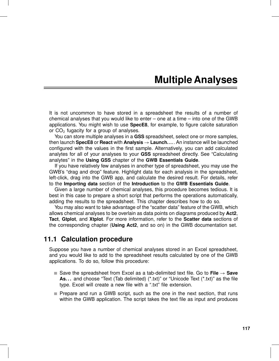# **Multiple Analyses**

<span id="page-124-0"></span>It is not uncommon to have stored in a spreadsheet the results of a number of chemical analyses that you would like to enter – one at a time – into one of the GWB applications. You might wish to use **SpecE8**, for example, to figure calcite saturation or  $CO<sub>2</sub>$  fugacity for a group of analyses.

You can store multiple analyses in a **GSS** spreadsheet, select one or more samples, then launch **SpecE8** or **React** with **Analysis** ! **Launch. . .** . An instance will be launched configured with the values in the first sample. Alternatively, you can add calculated analytes for all of your analyses to your **GSS** spreadsheet directly. See "Calculating analytes" in the **Using GSS** chapter of the **GWB Essentials Guide**.

If you have relatively few analyses in another type of spreadsheet, you may use the GWB's "drag and drop" feature. Highlight data for each analysis in the spreadsheet, left-click, drag into the GWB app, and calculate the desired result. For details, refer to the **Importing data** section of the **Introduction** to the **GWB Essentials Guide**.

Given a large number of chemical analyses, this procedure becomes tedious. It is best in this case to prepare a short script that performs the operations automatically, adding the results to the spreadsheet. This chapter describes how to do so.

You may also want to take advantage of the "scatter data" feature of the GWB, which allows chemical analyses to be overlain as data points on diagrams produced by **Act2**, **Tact**, **Gtplot**, and **Xtplot**. For more information, refer to the **Scatter data** sections of the corresponding chapter (**Using Act2**, and so on) in the GWB documentation set.

### **11.1 Calculation procedure**

Suppose you have a number of chemical analyses stored in an Excel spreadsheet, and you would like to add to the spreadsheet results calculated by one of the GWB applications. To do so, follow this procedure:

- Save the spreadsheet from Excel as a tab-delimited text file. Go to File  $\rightarrow$  Save **As. . .** and choose "Text (Tab delimited) (\*.txt)" or "Unicode Text (\*.txt)" as the file type. Excel will create a new file with a ".txt" file extension.
- **Prepare and run a GWB script, such as the one in the next section, that runs** within the GWB application. The script takes the text file as input and produces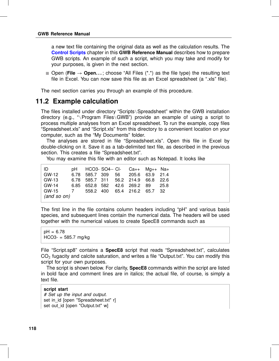<span id="page-125-0"></span>a new text file containing the original data as well as the calculation results. The **[Control Scripts](#page-66-0)** chapter in this **GWB Reference Manual** describes how to prepare GWB scripts. An example of such a script, which you may take and modify for your purposes, is given in the next section.

**Open (File**  $\rightarrow$  **Open...**; choose "All Files (\*.\*) as the file type) the resulting text file in Excel. You can now save this file as an Excel spreadsheet (a ".xls" file).

The next section carries you through an example of this procedure.

### **11.2 Example calculation**

The files installed under directory "Scripts\Spreadsheet" within the GWB installation directory (e.g., "\Program Files\GWB") provide an example of using a script to process multiple analyses from an Excel spreadsheet. To run the example, copy files "Spreadsheet.xls" and "Script.xls" from this directory to a convenient location on your computer, such as the "My Documents" folder.

The analyses are stored in file "Spreadsheet.xls". Open this file in Excel by double-clicking on it. Save it as a tab-delimited text file, as described in the previous section. This creates a file "Spreadsheet.txt".

You may examine this file with an editor such as Notepad. It looks like

| ID                                                  |  |  | $pH$ HCO3-SO4-- CI- Ca++ Mg++ Na+   |      |
|-----------------------------------------------------|--|--|-------------------------------------|------|
| GW-12                                               |  |  | 6.78 585.7 309 56 205.6 63.9 21.4   |      |
| GW-13                                               |  |  | 6.78 585.7 311 56.2 214.9 66.8 22.6 |      |
| GW-14                                               |  |  | 6.85 652.8 582 42.6 269.2 89        | 25.8 |
| GW-15 7 558.2 400 65.4 216.2 65.7 32<br>(and so on) |  |  |                                     |      |

The first line in the file contains column headers including "pH" and various basis species, and subsequent lines contain the numerical data. The headers will be used together with the numerical values to create SpecE8 commands such as

```
pH = 6.78HCO3- = 585.7 mg/kg
```
File "Script.sp8" contains a **SpecE8** script that reads "Spreadsheet.txt", calculates  $CO<sub>2</sub>$  fugacity and calcite saturation, and writes a file "Output.txt". You can modify this script for your own purposes.

The script is shown below. For clarity, **SpecE8** commands within the script are listed in bold face and comment lines are in italics; the actual file, of course, is simply a text file.

### **script start**

*# Set up the input and output.* set in\_id [open "Spreadsheet.txt" r] set out\_id [open "Output.txt" w]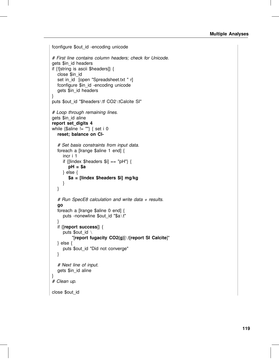```
fconfigure $out_id -encoding unicode
# First line contains column headers; check for Unicode.
gets $in_id headers
if {![string is ascii $headers]} {
  close $in_id
  set in_id [open "Spreadsheet.txt " r]
  fconfigure $in_id -encoding unicode
  gets $in_id headers
}
puts $out_id "$headers\tf CO2\tCalcite SI"
# Loop through remaining lines.
gets $in_id aline
report set_digits 4
while \{\text{Saline } != \text{'''}\}\ set i 0
  reset; balance on Cl-
   # Set basis constraints from input data.
  foreach a [lrange $aline 1 end] {
     incr i 1
     if \{[lindex $headers $i] == "pH"\} \{pH = $a
     } else {
        $a = [lindex $headers $i] mg/kg
     }
  }
   # Run SpecE8 calculation and write data + results.
  go
  foreach a [lrange $aline 0 end] {
     puts -nonewline $out_id "$a\t"
  }
  if {[report success]} {
     puts $out_id \
          "[report fugacity CO2(g)]\t[report SI Calcite]"
  } else {
     puts $out_id "Did not converge"
  }
   # Next line of input.
  gets $in_id aline
}
# Clean up.
close $out_id
```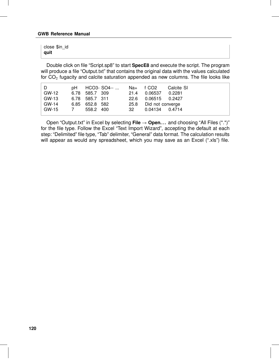close \$in\_id **quit**

Double click on file "Script.sp8" to start **SpecE8** and execute the script. The program will produce a file "Output.txt" that contains the original data with the values calculated for  $CO<sub>2</sub>$  fugacity and calcite saturation appended as new columns. The file looks like

| D     |                |                | pH HCO3- SO4-- |     | Na+ fCO2              | Calcite SI |
|-------|----------------|----------------|----------------|-----|-----------------------|------------|
| GW-12 |                | 6.78 585.7 309 |                |     | 21.4 0.06537 0.2281   |            |
| GW-13 |                | 6.78 585.7 311 |                |     | 22.6 0.06515 0.2427   |            |
| GW-14 |                | 6.85 652.8 582 |                |     | 25.8 Did not converge |            |
| GW-15 | $\overline{7}$ | 558.2 400      |                | -32 | 0.04134 0.4714        |            |
|       |                |                |                |     |                       |            |

Open "Output.txt" in Excel by selecting **File** → Open. . . and choosing "All Files (\*.\*)" for the file type. Follow the Excel "Text Import Wizard", accepting the default at each step: "Delimited" file type, "Tab" delimiter, "General" data format. The calculation results will appear as would any spreadsheet, which you may save as an Excel (".xls") file.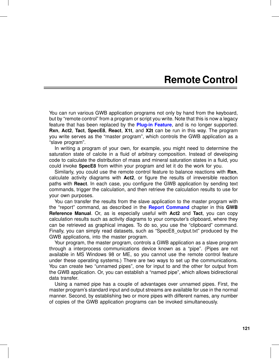# **Remote Control**

<span id="page-128-0"></span>You can run various GWB application programs not only by hand from the keyboard, but by "remote control" from a program or script you write. Note that this is now a legacy feature that has been replaced by the **[Plug-in Feature](#page-70-0)**, and is no longer supported. **Rxn**, **Act2**, **Tact**, **SpecE8**, **React**, **X1t**, and **X2t** can be run in this way. The program you write serves as the "master program", which controls the GWB application as a "slave program".

In writing a program of your own, for example, you might need to determine the saturation state of calcite in a fluid of arbitrary composition. Instead of developing code to calculate the distribution of mass and mineral saturation states in a fluid, you could invoke **SpecE8** from within your program and let it do the work for you.

Similarly, you could use the remote control feature to balance reactions with **Rxn**, calculate activity diagrams with **Act2**, or figure the results of irreversible reaction paths with **React**. In each case, you configure the GWB application by sending text commands, trigger the calculation, and then retrieve the calculation results to use for your own purposes.

You can transfer the results from the slave application to the master program with the "report" command, as described in the **[Report Command](#page-44-0)** chapter in this **GWB Reference Manual**. Or, as is especially useful with **Act2** and **Tact**, you can copy calculation results such as activity diagrams to your computer's clipboard, where they can be retrieved as graphical images. To do so, you use the "clipboard" command. Finally, you can simply read datasets, such as "SpecE8\_output.txt" produced by the GWB applications, into the master program.

Your program, the master program, controls a GWB application as a slave program through a interprocess communications device known as a "pipe". (Pipes are not available in MS Windows 98 or ME, so you cannot use the remote control feature under these operating systems.) There are two ways to set up the communications. You can create two "unnamed pipes", one for input to and the other for output from the GWB application. Or, you can establish a "named pipe", which allows bidirectional data transfer.

Using a named pipe has a couple of advantages over unnamed pipes. First, the master program's standard input and output streams are available for use in the normal manner. Second, by establishing two or more pipes with different names, any number of copies of the GWB application programs can be invoked simultaneously.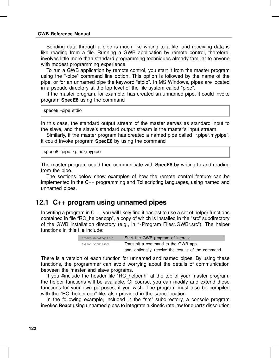<span id="page-129-0"></span>Sending data through a pipe is much like writing to a file, and receiving data is like reading from a file. Running a GWB application by remote control, therefore, involves little more than standard programming techniques already familiar to anyone with modest programming experience.

To run a GWB application by remote control, you start it from the master program using the "-pipe" command line option. This option is followed by the name of the pipe, or for an unnamed pipe the keyword "stdio". In MS Windows, pipes are located in a pseudo-directory at the top level of the file system called "pipe".

If the master program, for example, has created an unnamed pipe, it could invoke program **SpecE8** using the command

spece8 -pipe stdio

In this case, the standard output stream of the master serves as standard input to the slave, and the slave's standard output stream is the master's input stream.

Similarly, if the master program has created a named pipe called "\pipe\mypipe", it could invoke program **SpecE8** by using the command

spece8 -pipe \pipe\mypipe

The master program could then communicate with **SpecE8** by writing to and reading from the pipe.

The sections below show examples of how the remote control feature can be implemented in the C++ programming and Tcl scripting languages, using named and unnamed pipes.

### **12.1 C++ program using unnamed pipes**

In writing a program in C++, you will likely find it easiest to use a set of helper functions contained in file "RC\_helper.cpp", a copy of which is installed in the "src" subdirectory of the GWB installation directory (e.g., in "\Program Files\GWB\src"). The helper functions in this file include:

| OpenGwbApplic | Start the GWB program of interest.                   |
|---------------|------------------------------------------------------|
| SendCommand   | Transmit a command to the GWB app.                   |
|               | and, optionally, receive the results of the command. |

There is a version of each function for unnamed and named pipes. By using these functions, the programmer can avoid worrying about the details of communication between the master and slave programs.

If you #include the header file "RC helper.h" at the top of your master program, the helper functions will be available. Of course, you can modify and extend these functions for your own purposes, if you wish. The program must also be compiled with the "RC helper.cpp" file, also provided in the same location.

In the following example, included in the "src" subdirectory, a console program invokes **React** using unnamed pipes to integrate a kinetic rate law for quartz dissolution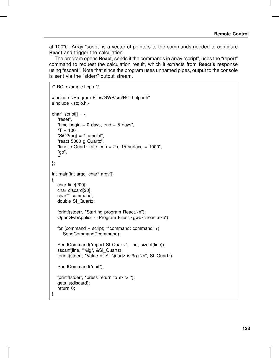at 100°C. Array "script" is a vector of pointers to the commands needed to configure **React** and trigger the calculation.

The program opens **React**, sends it the commands in array "script", uses the "report" command to request the calculation result, which it extracts from **React's** response using "sscanf". Note that since the program uses unnamed pipes, output to the console is sent via the "stderr" output stream.

```
/* RC_example1.cpp */
#include "/Program Files/GWB/src/RC_helper.h"
#include <stdio.h>
char<sup>*</sup> script[] = \{"reset",
   "time begin = 0 days, end = 5 days",
   "T = 100",
  "SiO2(aq) = 1 umolal",
   "react 5000 g Quartz",
   "kinetic Quartz rate_con = 2.e-15 surface = 1000",
   "go",
   ""
};
int main(int argc, char* argv[])
{
  char line[200];
  char discard[20];
  char** command;
  double SI_Quartz;
  fprintf(stderr, "Starting program React.\n");
  OpenGwbApplic("\\Program Files\\gwb\\react.exe");
  for (command = script; **command; command++)
     SendCommand(*command);
   SendCommand("report SI Quartz", line, sizeof(line));
   sscanf(line, "%lg", &SI_Quartz);
  fprintf(stderr, "Value of SI Quartz is %g.\n", SI_Quartz);
   SendCommand("quit");
  fprintf(stderr, "press return to exit> ");
  gets_s(discard);
   return 0;
}
```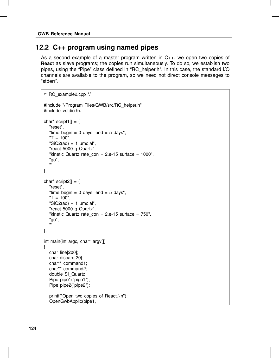## <span id="page-131-0"></span>**12.2 C++ program using named pipes**

As a second example of a master program written in  $C_{++}$ , we open two copies of **React** as slave programs; the copies run simultaneously. To do so, we establish two pipes, using the "Pipe" class defined in "RC\_helper.h". In this case, the standard I/O channels are available to the program, so we need not direct console messages to "stderr".

```
/* RC_example2.cpp */
#include "/Program Files/GWB/src/RC_helper.h"
#include <stdio.h>
char<sup>*</sup> script1[] = \{"reset",
   "time begin = 0 days, end = 5 days",
  T = 100",
  "SiO2(aq) = 1 umolal",
  "react 5000 g Quartz",
  "kinetic Quartz rate_con = 2.e-15 surface = 1000",
   "go",
   ""
};
char* script2[] = {
  "reset",
   "time begin = 0 days, end = 5 days",
   T = 100",
  "SiO2(aq) = 1 umolal",
   "react 5000 g Quartz",
   "kinetic Quartz rate con = 2.e-15 surface = 750",
   "go",
   ""
};
int main(int argc, char* argv[])
{
  char line[200];
  char discard[20];
   char** command1;
  char** command2;
  double SI_Quartz;
   Pipe pipe1("pipe1");
   Pipe pipe2("pipe2");
   printf("Open two copies of React.\n");
   OpenGwbApplic(pipe1,
```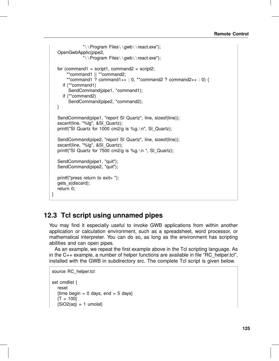```
"\\Program Files\\gwb\\react.exe");
OpenGwbApplic(pipe2,
            "\\Program Files\\gwb\\react.exe");
for (command1 = script1, command2 = script2;
    **command1 || **command2;
    **command1 ? command1++ : 0, **command2 ? command2++ : 0) {
  if (**command1)
     SendCommand(pipe1, *command1);
  if (**command2)
     SendCommand(pipe2, *command2);
}
SendCommand(pipe1, "report SI Quartz", line, sizeof(line));
sscanf(line, "%lg", &SI_Quartz);
printf("SI Quartz for 1000 cm2/g is %g.\n", SI Quartz);
SendCommand(pipe2, "report SI Quartz", line, sizeof(line));
sscanf(line, "%lg", &SI_Quartz);
printf("SI Quartz for 7500 cm2/g is %g.\n ", SI_Quartz);
SendCommand(pipe1, "quit");
SendCommand(pipe2, "quit");
printf("press return to exit> ");
gets_s(discard);
return 0;
```
## **12.3 Tcl script using unnamed pipes**

}

You may find it especially useful to invoke GWB applications from within another application or calculation environment, such as a spreadsheet, word processor, or mathematical interpreter. You can do so, as long as the environment has scripting abilities and can open pipes.

As an example, we repeat the first example above in the Tcl scripting language. As in the C++ example, a number of helper functions are available in file "RC\_helper.tcl", installed with the GWB in subdirectory src. The complete Tcl script is given below.

```
source RC_helper.tcl
set cmdlist {
  reset
   {time begin = 0 days, end = 5 days}
   \{T = 100\}{SiO2(aq) = 1 \text{ umolal}}
```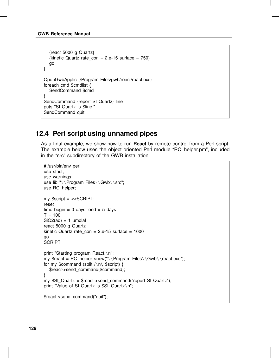```
{react 5000 g Quartz}
  {kinetic Quartz rate_con = 2.e-15 surface = 750}
  go
}
OpenGwbApplic {/Program Files/gwb/react/react.exe}
foreach cmd $cmdlist {
  SendCommand $cmd
}
SendCommand {report SI Quartz} line
puts "SI Quartz is $line."
SendCommand quit
```
## **12.4 Perl script using unnamed pipes**

As a final example, we show how to run **React** by remote control from a Perl script. The example below uses the object oriented Perl module "RC\_helper.pm", included in the "src" subdirectory of the GWB installation.

```
#!/usr/bin/env perl
use strict;
use warnings;
use lib "\\Program Files\\Gwb\\src";
use RC_helper;
my $script = <<SCRIPT;
reset
time begin = 0 days, end = 5 days
T = 100SiO2(aq) = 1 umolal
react 5000 g Quartz
kinetic Quartz rate_con = 2.e-15 surface = 1000go
SCRIPT
print "Starting program React.\n";
my \text{Sreact} = \text{RC} helper->new("\\Program Files\\Gwb\\react.exe");
for my $command (split /\n\lambda, $script) {
  $react->send_command($command);
}
my $SI_Quartz = $react->send_command("report SI Quartz");
print "Value of SI Quartz is $SI_Quartz\n";
$react->send_command("quit");
```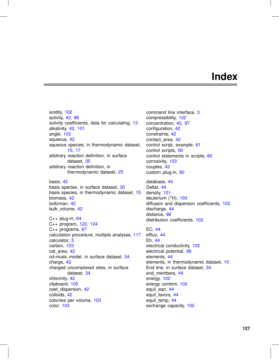# **Index**

acidity, [102](#page-109-0) activity, [42,](#page-49-0) [98](#page-105-0) activity coefficients, data for calculating, [13](#page-20-0) alkalinity, [42,](#page-49-0) [101](#page-108-0) angle, [103](#page-110-0) aqueous, [42](#page-49-0) aqueous species, in thermodynamic dataset, [15,](#page-22-0) [17](#page-24-0) arbitrary reaction definition, in surface dataset, [35](#page-42-0) arbitrary reaction definition, in thermodynamic dataset, [25](#page-32-0) basis, [42](#page-49-0) basis species, in surface dataset, [30](#page-37-0) basis species, in thermodynamic dataset, [15](#page-22-0) biomass, [42](#page-49-0) boltzman, [42](#page-49-0) bulk volume, [42](#page-49-0)  $C_{++}$  plug-in,  $64$ C++ program, [122,](#page-129-0) [124](#page-131-0) C++ programs, [67](#page-74-0) calculation procedure, multiple analyses, [117](#page-124-0) calculator, [5](#page-12-0) carbon, [103](#page-110-0) cat area, [42](#page-49-0) cd-music model, in surface dataset, [34](#page-41-0) charge, [42](#page-49-0) charged uncomplexed sites, in surface dataset, [34](#page-41-0) chlorinity, [42](#page-49-0) clipboard, [105](#page-112-0) coef\_dispersion, [42](#page-49-0) colloids, [42](#page-49-0) colonies per volume, [103](#page-110-0) color, [103](#page-110-0)

command line interface, [3](#page-10-0) compressibility, [102](#page-109-0) concentration, [42,](#page-49-0) [97](#page-104-0) configuration, [42](#page-49-0) constraints, [42](#page-49-0) contact\_area, [42](#page-49-0) control script, example, [61](#page-68-0) control scripts, [59](#page-66-1) control statements in scripts, [60](#page-67-0) corrosivity, [103](#page-110-0) couples, [42](#page-49-0) custom plug-in, [90](#page-97-0) database, [44](#page-51-0)

Deltat, [44](#page-51-0) density, [101](#page-108-0) deuterium  $(^{2}H)$ , [103](#page-110-0) diffusion and dispersion coefficients, [102](#page-109-0) discharge, [44](#page-51-0) distance, [98](#page-105-0) distribution coefficients, [102](#page-109-0)

EC, [44](#page-51-0) efflux, [44](#page-51-0) Eh, [44](#page-51-0) electrical conductivity, [102](#page-109-0) electrical potential, [98](#page-105-0) elements, [44](#page-51-0) elements, in thermodynamic dataset, [15](#page-22-0) End line, in surface dataset, [34](#page-41-0) end\_members, [44](#page-51-0) energy, [102](#page-109-0) energy content, [102](#page-109-0) equil\_eqn, [44](#page-51-0) equil favors, [44](#page-51-0) equil\_temp, [44](#page-51-0) exchange capacity, [102](#page-109-0)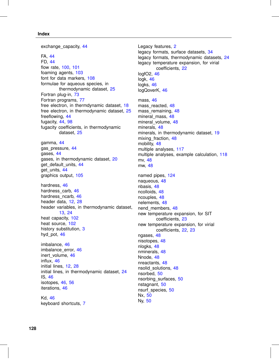exchange capacity, [44](#page-51-0) FA, [44](#page-51-0) FD, [44](#page-51-0) flow rate, [100,](#page-107-0) [101](#page-108-0) foaming agents, [103](#page-110-0) font for data markers, [108](#page-115-0) formulae for aqueous species, in thermodynamic dataset, [25](#page-32-0) Fortran plug-in, [73](#page-80-0) Fortran programs, [77](#page-84-0) free electron, in thermdynamic dataset, [18](#page-25-0) free electron, in thermodynamic dataset, [25](#page-32-0) freeflowing, [44](#page-51-0) fugacity, [44,](#page-51-0) [98](#page-105-0) fugacity coefficients, in thermodynamic dataset, [25](#page-32-0) gamma, [44](#page-51-0) gas\_pressure, [44](#page-51-0) gases, [44](#page-51-0) gases, in thermodynamic dataset, [20](#page-27-0) get default units, [44](#page-51-0) get\_units, [44](#page-51-0) graphics output, [105](#page-112-0) hardness, [46](#page-53-0) hardness carb, [46](#page-53-0) hardness\_ncarb, [46](#page-53-0) header data, [12,](#page-19-0) [28](#page-35-0) header variables, in thermodynamic dataset, [13,](#page-20-0) [24](#page-31-0) heat capacity, [102](#page-109-0) heat source, [102](#page-109-0) history substitution, [3](#page-10-0) hyd\_pot, [46](#page-53-0) imbalance, [46](#page-53-0) imbalance\_error, [46](#page-53-0) inert\_volume, [46](#page-53-0) influx, [46](#page-53-0) initial lines, [12,](#page-19-0) [28](#page-35-0) initial lines, in thermodynamic dataset, [24](#page-31-0) IS, [46](#page-53-0) isotopes, [46,](#page-53-0) [56](#page-63-0) iterations, [46](#page-53-0) Kd, [46](#page-53-0)

keyboard shortcuts, [7](#page-14-0)

Legacy features, [2](#page-9-0) legacy formats, surface datasets, [34](#page-41-0) legacy formats, thermodynamic datasets, [24](#page-31-0) legacy temperature expansion, for virial coefficients, [22](#page-29-0) logfO2, [46](#page-53-0) logk, [46](#page-53-0) logks, [46](#page-53-0) logQoverK, [46](#page-53-0) mass, [46](#page-53-0) mass reacted, [48](#page-55-0) mass remaining, [48](#page-55-0) mineral mass, [48](#page-55-0) mineral\_volume, [48](#page-55-0) minerals, [48](#page-55-0) minerals, in thermodynamic dataset, [19](#page-26-0) mixing fraction, [48](#page-55-0) mobility, [48](#page-55-0) multiple analyses, [117](#page-124-0) multiple analyses, example calculation, [118](#page-125-0) mv, [48](#page-55-0) mw, [48](#page-55-0) named pipes, [124](#page-131-0) naqueous, [48](#page-55-0) nbasis, [48](#page-55-0) ncolloids, [48](#page-55-0) ncouples, [48](#page-55-0) nelements, [48](#page-55-0) nend\_members, [48](#page-55-0) new temperature expansion, for SIT coefficients, [23](#page-30-0) new temperature expansion, for virial coefficients, [22,](#page-29-0) [23](#page-30-0) ngases, [48](#page-55-0) nisotopes, [48](#page-55-0) nlogks, [48](#page-55-0) nminerals, [48](#page-55-0) Nnode, [48](#page-55-0) nreactants, [48](#page-55-0) nsolid\_solutions, [48](#page-55-0) nsorbed, [50](#page-57-0) nsorbing\_surfaces, [50](#page-57-0) nstagnant, [50](#page-57-0) nsurf\_species, [50](#page-57-0) Nx, [50](#page-57-0)

Ny, [50](#page-57-0)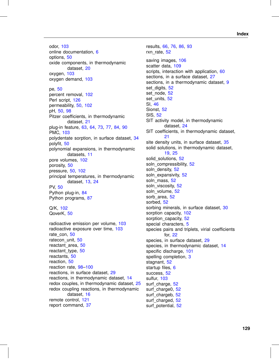odor, [103](#page-110-0) online documentation, [6](#page-13-0) options, [50](#page-57-0) oxide components, in thermodynamic dataset, [20](#page-27-0) oxygen, [103](#page-110-0) oxygen demand, [103](#page-110-0) pe, [50](#page-57-0) percent removal, [102](#page-109-0) Perl script, [126](#page-133-0) permeability, [50,](#page-57-0) [102](#page-109-0) pH, [50,](#page-57-0) [98](#page-105-0) Pitzer coefficients, in thermodynamic dataset, [21](#page-28-0) plug-in feature, [63,](#page-70-1) [64,](#page-71-0) [73,](#page-80-0) [77,](#page-84-0) [84,](#page-91-0) [90](#page-97-0) PMC, [103](#page-110-0) polydentate sorption, in surface dataset, [34](#page-41-0) polyfit, [50](#page-57-0) polynomial expansions, in thermodynamic datasets, [11](#page-18-0) pore volumes, [102](#page-109-0) porosity, [50](#page-57-0) pressure, [50,](#page-57-0) [102](#page-109-0) principal temperatures, in thermodynamic dataset, [13,](#page-20-0) [24](#page-31-0) PV, [50](#page-57-0) Python plug-in, [84](#page-91-0) Python programs, [87](#page-94-0)

Q/K, [102](#page-109-0)

QoverK, [50](#page-57-0)

```
radioactive emission per volume, 103
radioactive exposure over time, 103
50
50
reactant_area, 50
50
reactants, 50
reaction, 50
reaction rate, 98–100
reactions, in surface dataset, 29
reactions, in thermodynamic dataset, 14
redox couples, in thermodynamic dataset, 25
redox coupling reactions, in thermodynamic
       dataset, 16
remote control, 121
report command, 37
```
results, [66,](#page-73-0) [76,](#page-83-0) [86,](#page-93-0) [93](#page-100-0) rxn rate, [52](#page-59-0) saving images, [106](#page-113-0) scatter data, [109](#page-116-0) scripts, interaction with application, [60](#page-67-0) sections, in a surface dataset, [27](#page-34-0) sections, in a thermodynamic dataset, [9](#page-16-0) set digits, [52](#page-59-0) set\_node, [52](#page-59-0) set units, [52](#page-59-0) SI, [46](#page-53-0) Sionst, [52](#page-59-0) SIS, [52](#page-59-0) SIT activity model, in thermodynamic dataset, [24](#page-31-0) SIT coefficients, in thermodynamic dataset, [21](#page-28-0) site density units, in surface dataset, [35](#page-42-0) solid solutions, in thermodynamic dataset, [19,](#page-26-0) [25](#page-32-0) solid\_solutions, [52](#page-59-0) soln\_compressibility, [52](#page-59-0) soln\_density, [52](#page-59-0) soln\_expansivity, [52](#page-59-0) soln\_mass, [52](#page-59-0) soln\_viscosity, [52](#page-59-0) soln\_volume, [52](#page-59-0) sorb area, [52](#page-59-0) sorbed, [52](#page-59-0) sorbing minerals, in surface dataset, [30](#page-37-0) sorption capacity, [102](#page-109-0) sorption capacity, [52](#page-59-0) special characters, [5](#page-12-0) species pairs and triplets, virial coefficients for, [22](#page-29-0) species, in surface dataset, [29](#page-36-0) species, in thermodynamic dataset, [14](#page-21-0) specific discharge, [101](#page-108-0) spelling completion, [3](#page-10-0) stagnant, [52](#page-59-0) startup files, [6](#page-13-0) success, [52](#page-59-0) sulfur, [103](#page-110-0) surf charge, [52](#page-59-0) surf charge0, [52](#page-59-0) surf chargeb, [52](#page-59-0) surf\_charged, [52](#page-59-0) surf\_potential, [52](#page-59-0)